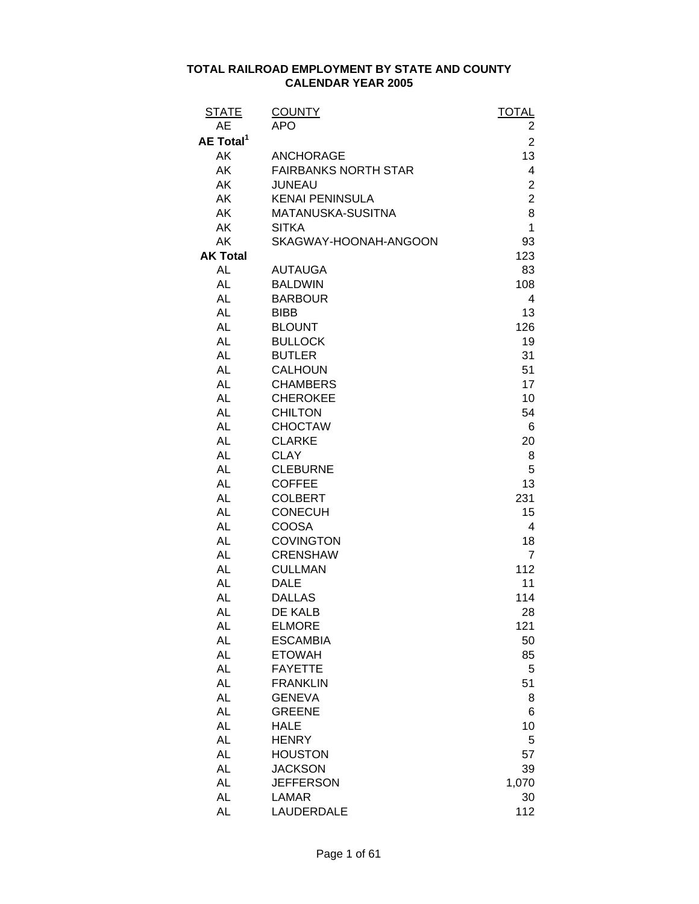| <b>STATE</b>          | <b>COUNTY</b>               | <b>TOTAL</b>   |
|-----------------------|-----------------------------|----------------|
| <b>AE</b>             | <b>APO</b>                  | 2              |
| AE Total <sup>1</sup> |                             | $\overline{2}$ |
| AK                    | <b>ANCHORAGE</b>            | 13             |
| AK                    | <b>FAIRBANKS NORTH STAR</b> | 4              |
| AK                    | <b>JUNEAU</b>               | $\overline{c}$ |
| AK                    | <b>KENAI PENINSULA</b>      | $\overline{2}$ |
| AK                    | MATANUSKA-SUSITNA           | 8              |
| AK                    | <b>SITKA</b>                | 1              |
| AK                    | SKAGWAY-HOONAH-ANGOON       | 93             |
| <b>AK Total</b>       |                             | 123            |
| <b>AL</b>             | <b>AUTAUGA</b>              | 83             |
| <b>AL</b>             | <b>BALDWIN</b>              | 108            |
| <b>AL</b>             | <b>BARBOUR</b>              | 4              |
| AL                    | <b>BIBB</b>                 | 13             |
| <b>AL</b>             | <b>BLOUNT</b>               | 126            |
| <b>AL</b>             | <b>BULLOCK</b>              | 19             |
| <b>AL</b>             | <b>BUTLER</b>               | 31             |
| <b>AL</b>             | <b>CALHOUN</b>              | 51             |
| <b>AL</b>             | <b>CHAMBERS</b>             | 17             |
| <b>AL</b>             | <b>CHEROKEE</b>             | 10             |
| <b>AL</b>             | <b>CHILTON</b>              | 54             |
| <b>AL</b>             | <b>CHOCTAW</b>              | 6              |
| <b>AL</b>             | <b>CLARKE</b>               | 20             |
| <b>AL</b>             | <b>CLAY</b>                 | 8              |
| <b>AL</b>             | <b>CLEBURNE</b>             | 5              |
| AL                    | <b>COFFEE</b>               | 13             |
| <b>AL</b>             | <b>COLBERT</b>              | 231            |
| <b>AL</b>             | <b>CONECUH</b>              | 15             |
| <b>AL</b>             | <b>COOSA</b>                | 4              |
| <b>AL</b>             | <b>COVINGTON</b>            | 18             |
| <b>AL</b>             | <b>CRENSHAW</b>             | $\overline{7}$ |
| <b>AL</b>             | <b>CULLMAN</b>              | 112            |
| <b>AL</b>             | <b>DALE</b>                 | 11             |
| <b>AL</b>             | <b>DALLAS</b>               | 114            |
| <b>AL</b>             | <b>DE KALB</b>              | 28             |
| AL                    | <b>ELMORE</b>               | 121            |
| <b>AL</b>             | <b>ESCAMBIA</b>             | 50             |
| <b>AL</b>             | <b>ETOWAH</b>               | 85             |
| <b>AL</b>             | <b>FAYETTE</b>              | 5              |
| <b>AL</b>             | <b>FRANKLIN</b>             | 51             |
| <b>AL</b>             | <b>GENEVA</b>               | 8              |
| <b>AL</b>             | <b>GREENE</b>               | 6              |
| <b>AL</b>             | <b>HALE</b>                 | 10             |
| <b>AL</b>             | <b>HENRY</b>                | 5              |
| <b>AL</b>             | <b>HOUSTON</b>              | 57             |
| <b>AL</b>             | <b>JACKSON</b>              | 39             |
| <b>AL</b>             | <b>JEFFERSON</b>            | 1,070          |
| <b>AL</b>             | LAMAR                       | 30             |
| <b>AL</b>             | LAUDERDALE                  | 112            |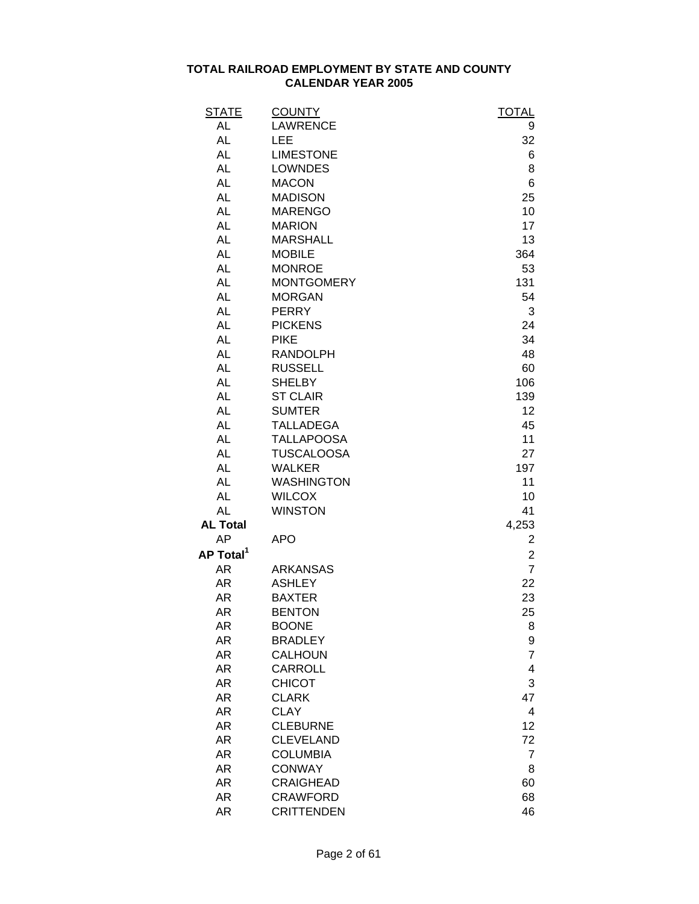| <b>STATE</b>          | <b>COUNTY</b>     | <b>TOTAL</b>            |
|-----------------------|-------------------|-------------------------|
| AL                    | <b>LAWRENCE</b>   | 9                       |
| AL                    | <b>LEE</b>        | 32                      |
| AL                    | <b>LIMESTONE</b>  | 6                       |
| <b>AL</b>             | <b>LOWNDES</b>    | 8                       |
| <b>AL</b>             | <b>MACON</b>      | 6                       |
| AL                    | <b>MADISON</b>    | 25                      |
| <b>AL</b>             | <b>MARENGO</b>    | 10                      |
| <b>AL</b>             | <b>MARION</b>     | 17                      |
| <b>AL</b>             | <b>MARSHALL</b>   | 13                      |
| <b>AL</b>             | <b>MOBILE</b>     | 364                     |
| <b>AL</b>             | <b>MONROE</b>     | 53                      |
| <b>AL</b>             | <b>MONTGOMERY</b> | 131                     |
| <b>AL</b>             | <b>MORGAN</b>     | 54                      |
| <b>AL</b>             | <b>PERRY</b>      | 3                       |
| <b>AL</b>             | <b>PICKENS</b>    | 24                      |
| <b>AL</b>             | <b>PIKE</b>       | 34                      |
| <b>AL</b>             | <b>RANDOLPH</b>   | 48                      |
| <b>AL</b>             | <b>RUSSELL</b>    | 60                      |
| <b>AL</b>             | <b>SHELBY</b>     | 106                     |
| <b>AL</b>             | <b>ST CLAIR</b>   | 139                     |
| <b>AL</b>             | <b>SUMTER</b>     | 12                      |
| <b>AL</b>             | <b>TALLADEGA</b>  | 45                      |
| <b>AL</b>             | <b>TALLAPOOSA</b> | 11                      |
| <b>AL</b>             | <b>TUSCALOOSA</b> | 27                      |
| <b>AL</b>             | <b>WALKER</b>     | 197                     |
| <b>AL</b>             | <b>WASHINGTON</b> | 11                      |
| <b>AL</b>             | <b>WILCOX</b>     | 10                      |
| AL                    | <b>WINSTON</b>    | 41                      |
| <b>AL Total</b>       |                   | 4,253                   |
| AP                    | <b>APO</b>        | 2                       |
| AP Total <sup>1</sup> |                   | $\overline{\mathbf{c}}$ |
| AR                    | <b>ARKANSAS</b>   | $\overline{7}$          |
| AR                    | <b>ASHLEY</b>     | 22                      |
| <b>AR</b>             | <b>BAXTER</b>     | 23                      |
| AR                    | <b>BENTON</b>     | 25                      |
| AR                    | <b>BOONE</b>      | 8                       |
| AR                    | <b>BRADLEY</b>    | $\boldsymbol{9}$        |
| AR                    | <b>CALHOUN</b>    | $\overline{7}$          |
| AR                    | <b>CARROLL</b>    | 4                       |
| AR                    | <b>CHICOT</b>     | 3                       |
| AR                    | <b>CLARK</b>      | 47                      |
| AR                    | <b>CLAY</b>       | 4                       |
| AR                    | <b>CLEBURNE</b>   | 12                      |
| AR                    | <b>CLEVELAND</b>  | 72                      |
| AR                    | <b>COLUMBIA</b>   | $\overline{7}$          |
| AR                    | <b>CONWAY</b>     | 8                       |
| AR                    | <b>CRAIGHEAD</b>  | 60                      |
| AR                    | <b>CRAWFORD</b>   | 68                      |
| AR                    | <b>CRITTENDEN</b> | 46                      |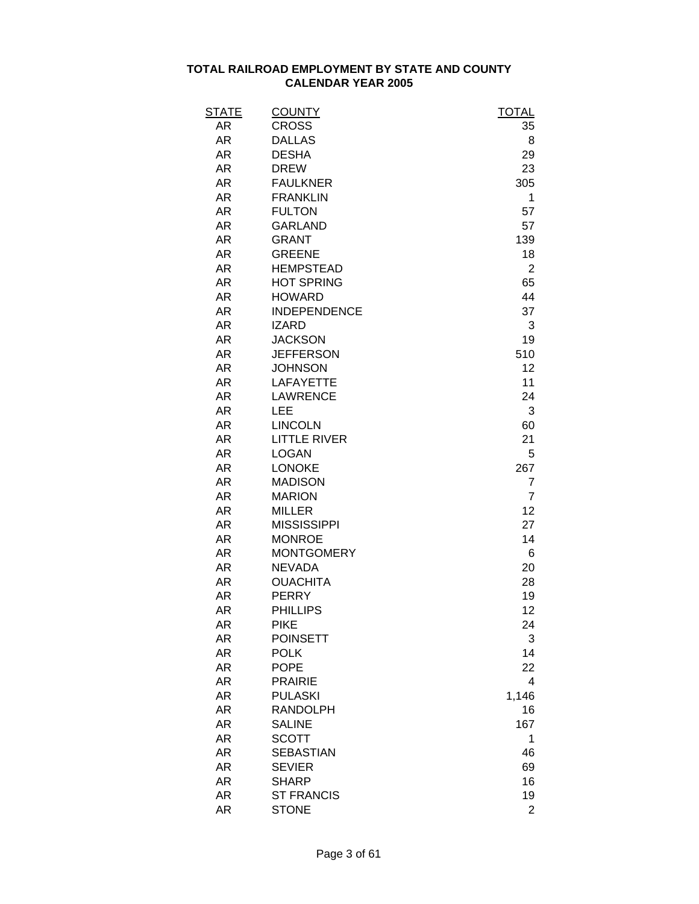| <b>STATE</b> | <b>COUNTY</b>       | <b>TOTAL</b>   |
|--------------|---------------------|----------------|
| AR           | <b>CROSS</b>        | 35             |
| AR           | <b>DALLAS</b>       | 8              |
| AR           | <b>DESHA</b>        | 29             |
| AR           | <b>DREW</b>         | 23             |
| AR           | <b>FAULKNER</b>     | 305            |
| AR           | <b>FRANKLIN</b>     | 1              |
| <b>AR</b>    | <b>FULTON</b>       | 57             |
| AR           | <b>GARLAND</b>      | 57             |
| AR           | <b>GRANT</b>        | 139            |
| AR           | <b>GREENE</b>       | 18             |
| AR           | <b>HEMPSTEAD</b>    | $\overline{2}$ |
| AR           | <b>HOT SPRING</b>   | 65             |
| AR           | <b>HOWARD</b>       | 44             |
| <b>AR</b>    | <b>INDEPENDENCE</b> | 37             |
| AR           | <b>IZARD</b>        | 3              |
| AR           | <b>JACKSON</b>      | 19             |
| AR           | <b>JEFFERSON</b>    | 510            |
| AR           | <b>JOHNSON</b>      | 12             |
| AR           | <b>LAFAYETTE</b>    | 11             |
| AR           | <b>LAWRENCE</b>     | 24             |
| AR           | LEE                 | 3              |
| <b>AR</b>    | <b>LINCOLN</b>      | 60             |
| AR           | <b>LITTLE RIVER</b> | 21             |
| <b>AR</b>    | <b>LOGAN</b>        | 5              |
| AR           | <b>LONOKE</b>       | 267            |
| <b>AR</b>    | <b>MADISON</b>      | 7              |
| <b>AR</b>    | <b>MARION</b>       | $\overline{7}$ |
| AR           | <b>MILLER</b>       | 12             |
| AR           | <b>MISSISSIPPI</b>  | 27             |
| <b>AR</b>    | <b>MONROE</b>       | 14             |
| <b>AR</b>    | <b>MONTGOMERY</b>   | 6              |
| <b>AR</b>    | <b>NEVADA</b>       | 20             |
| <b>AR</b>    | <b>OUACHITA</b>     | 28             |
| AR           | <b>PERRY</b>        | 19             |
| AR           | <b>PHILLIPS</b>     | 12             |
| <b>AR</b>    | <b>PIKE</b>         | 24             |
| <b>AR</b>    | <b>POINSETT</b>     | 3              |
| <b>AR</b>    | <b>POLK</b>         | 14             |
| <b>AR</b>    | <b>POPE</b>         | 22             |
| <b>AR</b>    | <b>PRAIRIE</b>      | 4              |
| <b>AR</b>    | <b>PULASKI</b>      | 1,146          |
| <b>AR</b>    | <b>RANDOLPH</b>     | 16             |
| <b>AR</b>    | <b>SALINE</b>       | 167            |
| <b>AR</b>    | <b>SCOTT</b>        | 1              |
| <b>AR</b>    | <b>SEBASTIAN</b>    | 46             |
| <b>AR</b>    | <b>SEVIER</b>       | 69             |
| <b>AR</b>    | <b>SHARP</b>        | 16             |
| <b>AR</b>    | <b>ST FRANCIS</b>   | 19             |
| <b>AR</b>    | <b>STONE</b>        | $\overline{2}$ |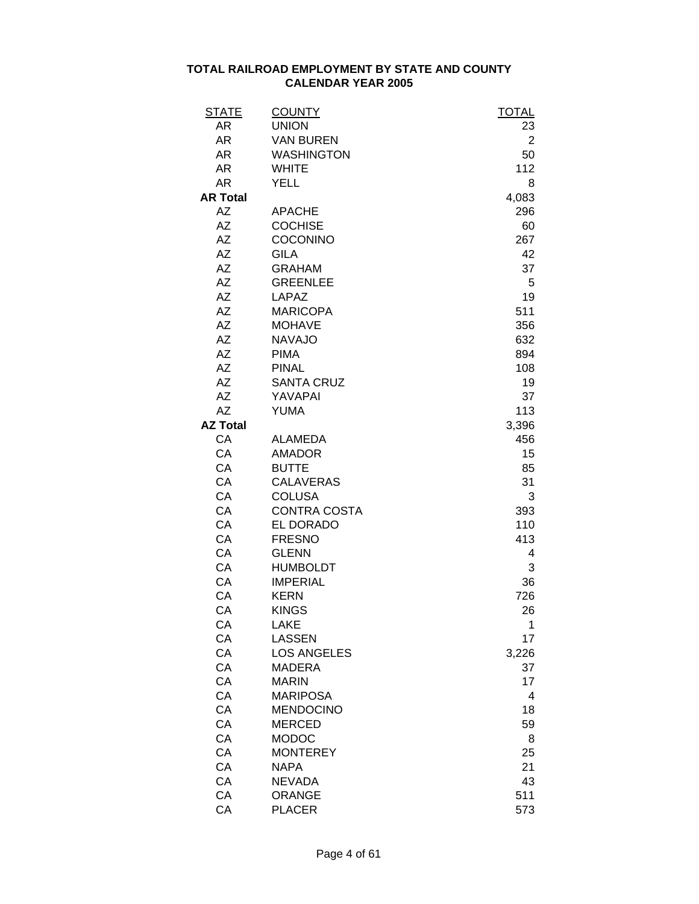| <b>STATE</b>    | <b>COUNTY</b>       | <b>TOTAL</b> |
|-----------------|---------------------|--------------|
| AR              | <b>UNION</b>        | 23           |
| AR              | <b>VAN BUREN</b>    | 2            |
| <b>AR</b>       | <b>WASHINGTON</b>   | 50           |
| <b>AR</b>       | <b>WHITE</b>        | 112          |
| <b>AR</b>       | <b>YELL</b>         | 8            |
| <b>AR Total</b> |                     | 4,083        |
| <b>AZ</b>       | <b>APACHE</b>       | 296          |
| <b>AZ</b>       | <b>COCHISE</b>      | 60           |
| AΖ              | COCONINO            | 267          |
| <b>AZ</b>       | <b>GILA</b>         | 42           |
| <b>AΖ</b>       | <b>GRAHAM</b>       | 37           |
| <b>AZ</b>       | <b>GREENLEE</b>     | 5            |
| AΖ              | <b>LAPAZ</b>        | 19           |
| <b>AZ</b>       | <b>MARICOPA</b>     | 511          |
| <b>AZ</b>       | <b>MOHAVE</b>       | 356          |
| <b>AZ</b>       | <b>NAVAJO</b>       | 632          |
| <b>AZ</b>       | <b>PIMA</b>         | 894          |
| <b>AZ</b>       | <b>PINAL</b>        | 108          |
| AΖ              | <b>SANTA CRUZ</b>   | 19           |
| <b>AZ</b>       | YAVAPAI             | 37           |
| <b>AZ</b>       | <b>YUMA</b>         | 113          |
| <b>AZ Total</b> |                     | 3,396        |
| CA              | <b>ALAMEDA</b>      | 456          |
| CA              | <b>AMADOR</b>       | 15           |
| CA              | <b>BUTTE</b>        | 85           |
| CA              | <b>CALAVERAS</b>    | 31           |
| CA              | <b>COLUSA</b>       | 3            |
| CA              | <b>CONTRA COSTA</b> | 393          |
| CA              | EL DORADO           | 110          |
| CA              | <b>FRESNO</b>       | 413          |
| CA              | <b>GLENN</b>        | 4            |
| CA              | <b>HUMBOLDT</b>     | 3            |
| CA              | <b>IMPERIAL</b>     | 36           |
| CA              | <b>KERN</b>         | 726          |
| CA              | <b>KINGS</b>        | 26           |
| CA              | <b>LAKE</b>         | 1            |
| CA              | <b>LASSEN</b>       | 17           |
| CA              | <b>LOS ANGELES</b>  | 3,226        |
| CA              | <b>MADERA</b>       | 37           |
| CA              | <b>MARIN</b>        | 17           |
| CA              | <b>MARIPOSA</b>     | 4            |
| CA              | <b>MENDOCINO</b>    | 18           |
| CA              | <b>MERCED</b>       | 59           |
| CA              | <b>MODOC</b>        | 8            |
| CA              | <b>MONTEREY</b>     | 25           |
| CA              | <b>NAPA</b>         | 21           |
| CA              | <b>NEVADA</b>       | 43           |
| CA              | <b>ORANGE</b>       | 511          |
| CA              | <b>PLACER</b>       | 573          |
|                 |                     |              |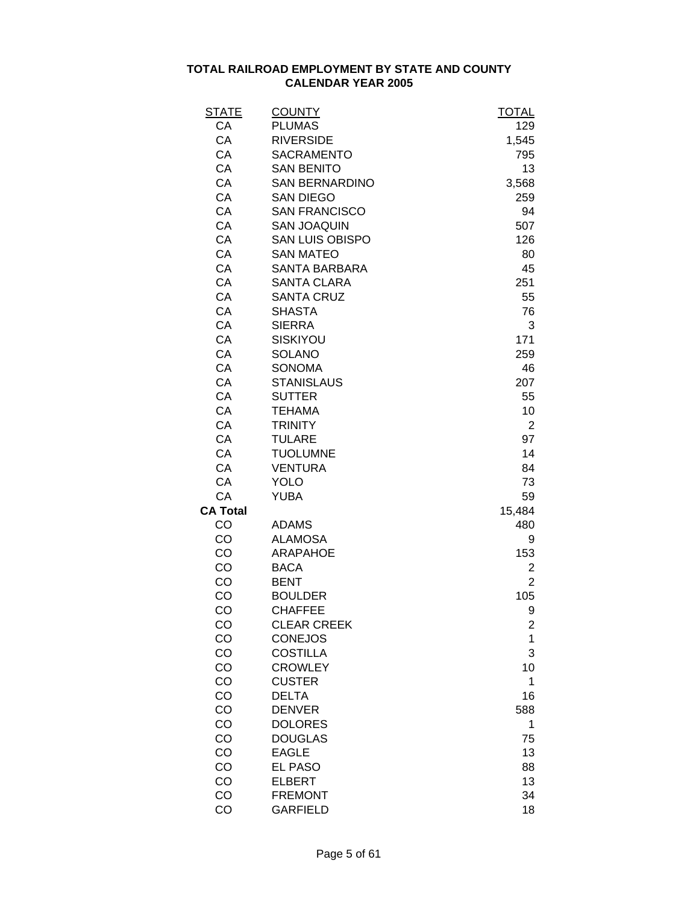| <u>STATE</u>    | <b>COUNTY</b>          | <b>TOTAL</b>   |
|-----------------|------------------------|----------------|
| CA              | <b>PLUMAS</b>          | 129            |
| CA              | <b>RIVERSIDE</b>       | 1,545          |
| CA              | <b>SACRAMENTO</b>      | 795            |
| CA              | <b>SAN BENITO</b>      | 13             |
| CA              | <b>SAN BERNARDINO</b>  | 3,568          |
| CA              | <b>SAN DIEGO</b>       | 259            |
| CA              | <b>SAN FRANCISCO</b>   | 94             |
| CA              | <b>SAN JOAQUIN</b>     | 507            |
| CA              | <b>SAN LUIS OBISPO</b> | 126            |
| CA              | <b>SAN MATEO</b>       | 80             |
| CA              | <b>SANTA BARBARA</b>   | 45             |
| CA              | <b>SANTA CLARA</b>     | 251            |
| CA              | <b>SANTA CRUZ</b>      | 55             |
| CA              | <b>SHASTA</b>          | 76             |
| CA              | <b>SIERRA</b>          | 3              |
| CA              | SISKIYOU               | 171            |
| CA              | <b>SOLANO</b>          | 259            |
| CA              | <b>SONOMA</b>          | 46             |
| CA              | <b>STANISLAUS</b>      | 207            |
| CA              | <b>SUTTER</b>          | 55             |
| CA              | <b>TEHAMA</b>          | 10             |
| CA              | <b>TRINITY</b>         | $\overline{2}$ |
| CA              | <b>TULARE</b>          | 97             |
| CA              | <b>TUOLUMNE</b>        | 14             |
| CA              | <b>VENTURA</b>         | 84             |
| CA              | YOLO                   | 73             |
| CA              | YUBA                   | 59             |
| <b>CA Total</b> |                        | 15,484         |
| CO              | <b>ADAMS</b>           | 480            |
| CO              | <b>ALAMOSA</b>         | 9              |
| CO              | ARAPAHOE               | 153            |
| CO              | <b>BACA</b>            | 2              |
| CO              | <b>BENT</b>            | $\overline{2}$ |
| CO              | <b>BOULDER</b>         | 105            |
| CO              | <b>CHAFFEE</b>         | 9              |
| CO              | <b>CLEAR CREEK</b>     | 2              |
| CO              | <b>CONEJOS</b>         | 1              |
| CO              | <b>COSTILLA</b>        | 3              |
| CO              | <b>CROWLEY</b>         | 10             |
| CO              | <b>CUSTER</b>          | 1              |
| CO              | <b>DELTA</b>           | 16             |
| CO              | <b>DENVER</b>          | 588            |
| CO              | <b>DOLORES</b>         | 1              |
| CO              | <b>DOUGLAS</b>         | 75             |
| CO              | <b>EAGLE</b>           | 13             |
| CO              | <b>EL PASO</b>         | 88             |
| CO              | <b>ELBERT</b>          | 13             |
| CO              | <b>FREMONT</b>         | 34             |
| CO              | <b>GARFIELD</b>        | 18             |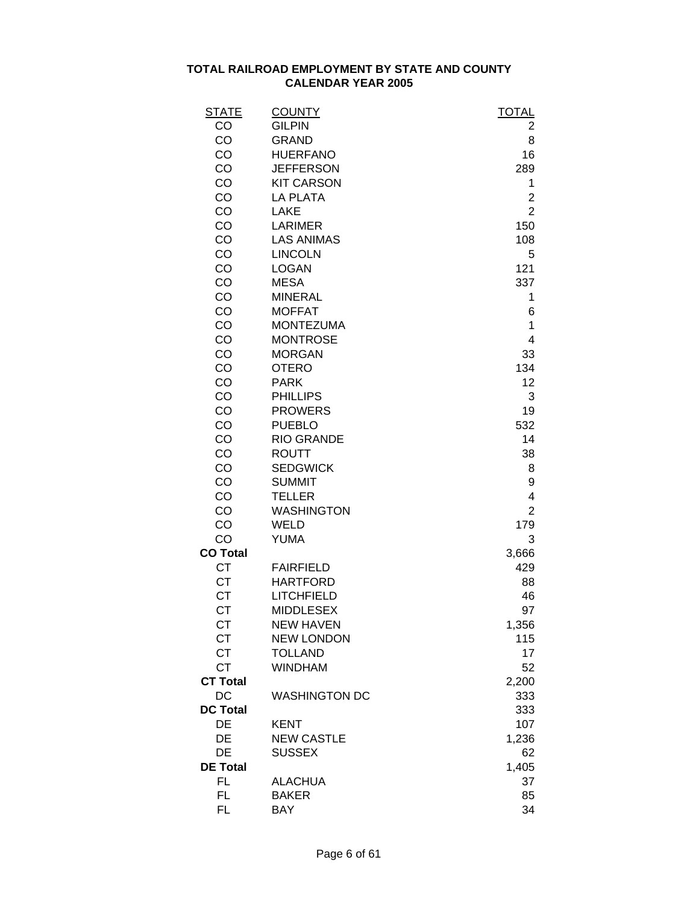| <b>STATE</b>    | <b>COUNTY</b>        | <b>TOTAL</b>   |
|-----------------|----------------------|----------------|
| CO              | <b>GILPIN</b>        | 2              |
| CO              | <b>GRAND</b>         | 8              |
| CO              | <b>HUERFANO</b>      | 16             |
| CO              | <b>JEFFERSON</b>     | 289            |
| CO              | <b>KIT CARSON</b>    | 1              |
| CO              | <b>LA PLATA</b>      | $\overline{2}$ |
| CO              | <b>LAKE</b>          | $\overline{2}$ |
| CO              | <b>LARIMER</b>       | 150            |
| CO              | <b>LAS ANIMAS</b>    | 108            |
| CO              | <b>LINCOLN</b>       | 5              |
| CO              | <b>LOGAN</b>         | 121            |
| CO              | <b>MESA</b>          | 337            |
| CO              | <b>MINERAL</b>       | 1              |
| CO              | <b>MOFFAT</b>        | 6              |
| CO              | <b>MONTEZUMA</b>     | 1              |
| CO              | <b>MONTROSE</b>      | 4              |
| CO              | <b>MORGAN</b>        | 33             |
| CO              | <b>OTERO</b>         | 134            |
| CO              | <b>PARK</b>          | 12             |
| CO              | <b>PHILLIPS</b>      | 3              |
| CO              | <b>PROWERS</b>       | 19             |
| CO              | <b>PUEBLO</b>        | 532            |
| CO              | <b>RIO GRANDE</b>    | 14             |
| CO              | <b>ROUTT</b>         | 38             |
| CO              | <b>SEDGWICK</b>      | 8              |
| CO              | <b>SUMMIT</b>        | 9              |
| CO              | <b>TELLER</b>        | 4              |
| CO              | <b>WASHINGTON</b>    | $\overline{2}$ |
| CO              | <b>WELD</b>          | 179            |
| CO              | <b>YUMA</b>          | 3              |
| <b>CO Total</b> |                      | 3,666          |
| <b>CT</b>       | <b>FAIRFIELD</b>     | 429            |
| <b>CT</b>       | <b>HARTFORD</b>      | 88             |
| <b>CT</b>       | <b>LITCHFIELD</b>    | 46             |
| СT              | <b>MIDDLESEX</b>     | 97             |
| СT              | <b>NEW HAVEN</b>     | 1,356          |
| <b>CT</b>       | <b>NEW LONDON</b>    | 115            |
| <b>CT</b>       | <b>TOLLAND</b>       | 17             |
| <b>CT</b>       | <b>WINDHAM</b>       | 52             |
| <b>CT Total</b> |                      | 2,200          |
| DC              | <b>WASHINGTON DC</b> | 333            |
| <b>DC Total</b> |                      | 333            |
| DE              | <b>KENT</b>          | 107            |
| DE              | <b>NEW CASTLE</b>    | 1,236          |
| DE              | <b>SUSSEX</b>        | 62             |
| <b>DE Total</b> |                      | 1,405          |
| <b>FL</b>       | <b>ALACHUA</b>       | 37             |
| <b>FL</b>       | <b>BAKER</b>         | 85             |
| <b>FL</b>       | BAY                  | 34             |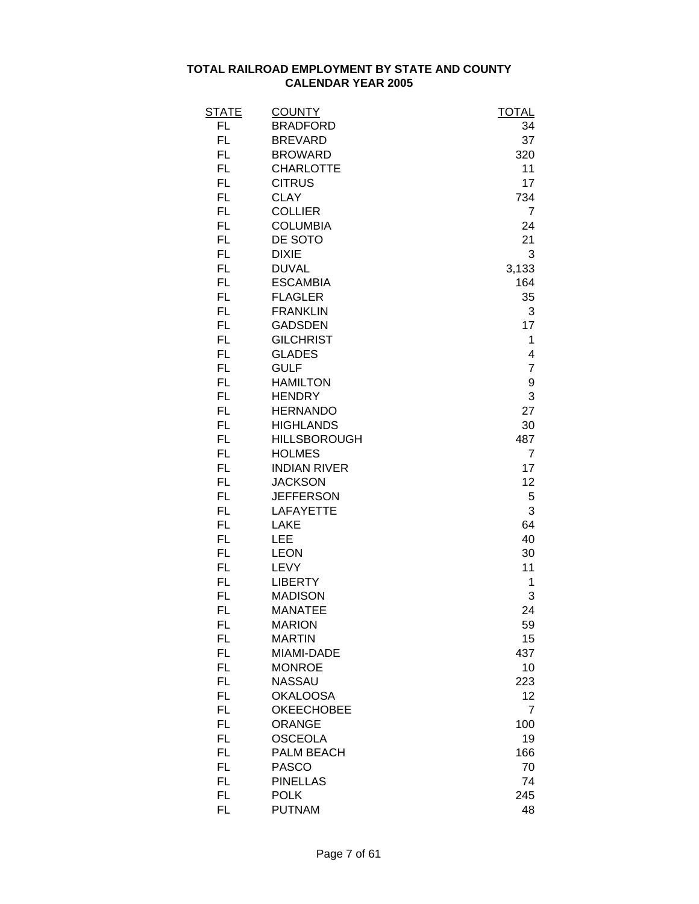| <b>STATE</b> | <b>COUNTY</b>       | <b>TOTAL</b>     |
|--------------|---------------------|------------------|
| FL           | <b>BRADFORD</b>     | 34               |
| <b>FL</b>    | <b>BREVARD</b>      | 37               |
| FL.          | <b>BROWARD</b>      | 320              |
| FL.          | <b>CHARLOTTE</b>    | 11               |
| FL.          | <b>CITRUS</b>       | 17               |
| FL.          | <b>CLAY</b>         | 734              |
| FL.          | <b>COLLIER</b>      | $\overline{7}$   |
| FL.          | <b>COLUMBIA</b>     | 24               |
| FL.          | DE SOTO             | 21               |
| FL           | <b>DIXIE</b>        | 3                |
| FL.          | <b>DUVAL</b>        | 3,133            |
| FL           | <b>ESCAMBIA</b>     | 164              |
| FL           | <b>FLAGLER</b>      | 35               |
| <b>FL</b>    | <b>FRANKLIN</b>     | 3                |
| FL.          | <b>GADSDEN</b>      | 17               |
| FL.          | <b>GILCHRIST</b>    | 1                |
| FL.          | <b>GLADES</b>       | 4                |
| FL.          | <b>GULF</b>         | $\overline{7}$   |
| FL.          | <b>HAMILTON</b>     | $\boldsymbol{9}$ |
| FL.          | <b>HENDRY</b>       | 3                |
| FL.          | <b>HERNANDO</b>     | 27               |
| FL.          | <b>HIGHLANDS</b>    | 30               |
| FL.          | <b>HILLSBOROUGH</b> | 487              |
| FL           | <b>HOLMES</b>       | 7                |
| <b>FL</b>    | <b>INDIAN RIVER</b> | 17               |
| FL.          | <b>JACKSON</b>      | 12               |
| FL           | <b>JEFFERSON</b>    | 5                |
| FL.          | <b>LAFAYETTE</b>    | 3                |
| FL.          | <b>LAKE</b>         | 64               |
| FL.          | LEE                 | 40               |
| FL.          | <b>LEON</b>         | 30               |
| FL.          | <b>LEVY</b>         | 11               |
| FL.          | <b>LIBERTY</b>      | 1                |
| FL.          | <b>MADISON</b>      | 3                |
| FL           | <b>MANATEE</b>      | 24               |
| <b>FL</b>    | <b>MARION</b>       | 59               |
| <b>FL</b>    | <b>MARTIN</b>       | 15               |
| FL.          | MIAMI-DADE          | 437              |
| FL.          | <b>MONROE</b>       | 10               |
| FL.          | <b>NASSAU</b>       | 223              |
| FL.          | <b>OKALOOSA</b>     | 12               |
| FL.          | <b>OKEECHOBEE</b>   | $\overline{7}$   |
| FL.          | <b>ORANGE</b>       | 100              |
| FL.          | <b>OSCEOLA</b>      | 19               |
| FL.          |                     |                  |
|              | PALM BEACH          | 166              |
| FL.          | <b>PASCO</b>        | 70               |
| <b>FL</b>    | <b>PINELLAS</b>     | 74               |
| <b>FL</b>    | <b>POLK</b>         | 245              |
| <b>FL</b>    | <b>PUTNAM</b>       | 48               |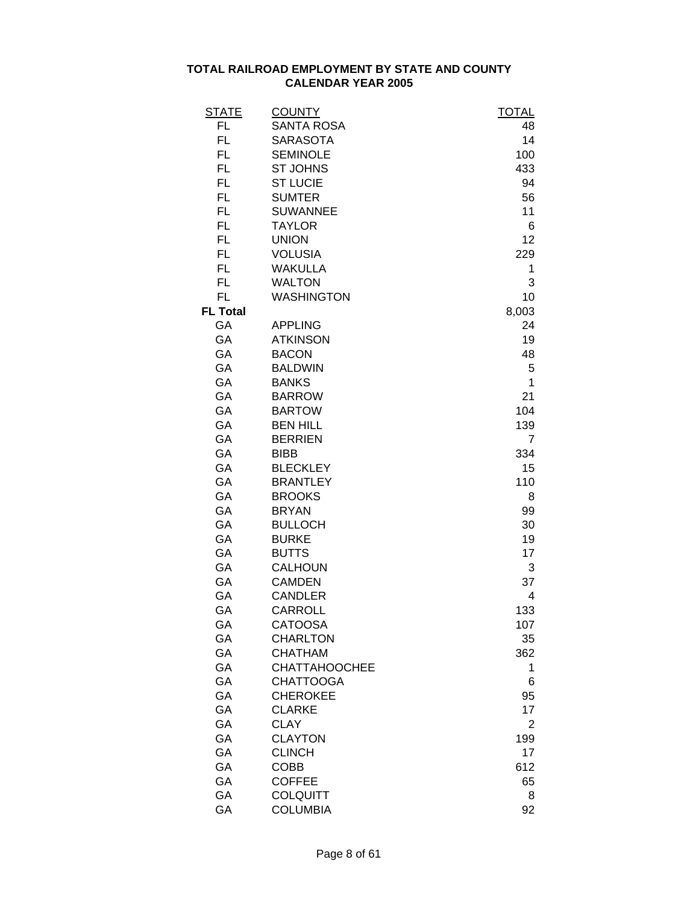| <b>STATE</b>    | <b>COUNTY</b>        | <b>TOTAL</b>   |
|-----------------|----------------------|----------------|
| FL              | <b>SANTA ROSA</b>    | 48             |
| FL              | <b>SARASOTA</b>      | 14             |
| FL.             | <b>SEMINOLE</b>      | 100            |
| FL.             | <b>ST JOHNS</b>      | 433            |
| FL.             | <b>ST LUCIE</b>      | 94             |
| FL.             | <b>SUMTER</b>        | 56             |
| FL.             | <b>SUWANNEE</b>      | 11             |
| FL.             | <b>TAYLOR</b>        | 6              |
| FL.             | <b>UNION</b>         | 12             |
| FL.             | <b>VOLUSIA</b>       | 229            |
| FL.             | <b>WAKULLA</b>       | 1              |
| FL.             | <b>WALTON</b>        | 3              |
| FL.             | <b>WASHINGTON</b>    | 10             |
| <b>FL Total</b> |                      | 8,003          |
| GA              | <b>APPLING</b>       | 24             |
| GA              | <b>ATKINSON</b>      | 19             |
| GA              | <b>BACON</b>         | 48             |
| GA              | <b>BALDWIN</b>       | 5              |
| GA              | <b>BANKS</b>         | 1              |
| GA              | <b>BARROW</b>        | 21             |
| GA              | <b>BARTOW</b>        | 104            |
| GA              | <b>BEN HILL</b>      | 139            |
| GA              | <b>BERRIEN</b>       | $\overline{7}$ |
| GA              | <b>BIBB</b>          | 334            |
| GA              | <b>BLECKLEY</b>      | 15             |
| GA              | <b>BRANTLEY</b>      | 110            |
| GA              | <b>BROOKS</b>        | 8              |
| GA              | <b>BRYAN</b>         | 99             |
| GA              | <b>BULLOCH</b>       | 30             |
| GA              | <b>BURKE</b>         | 19             |
| GA              | <b>BUTTS</b>         | 17             |
| GA              | <b>CALHOUN</b>       | 3              |
| GA              | <b>CAMDEN</b>        | 37             |
| GA              | <b>CANDLER</b>       | 4              |
| GA              | <b>CARROLL</b>       | 133            |
| GA              | <b>CATOOSA</b>       | 107            |
| GA              | <b>CHARLTON</b>      | 35             |
| GA              | <b>CHATHAM</b>       | 362            |
| GA              | <b>CHATTAHOOCHEE</b> | 1              |
| GA              | <b>CHATTOOGA</b>     | 6              |
| GA              | <b>CHEROKEE</b>      | 95             |
| GA              | <b>CLARKE</b>        | 17             |
| GA              | <b>CLAY</b>          | 2              |
| GA              | <b>CLAYTON</b>       | 199            |
| GA              | <b>CLINCH</b>        | 17             |
| GA              | COBB                 | 612            |
| GA              | <b>COFFEE</b>        | 65             |
| GA              | <b>COLQUITT</b>      | 8              |
| GA              | <b>COLUMBIA</b>      | 92             |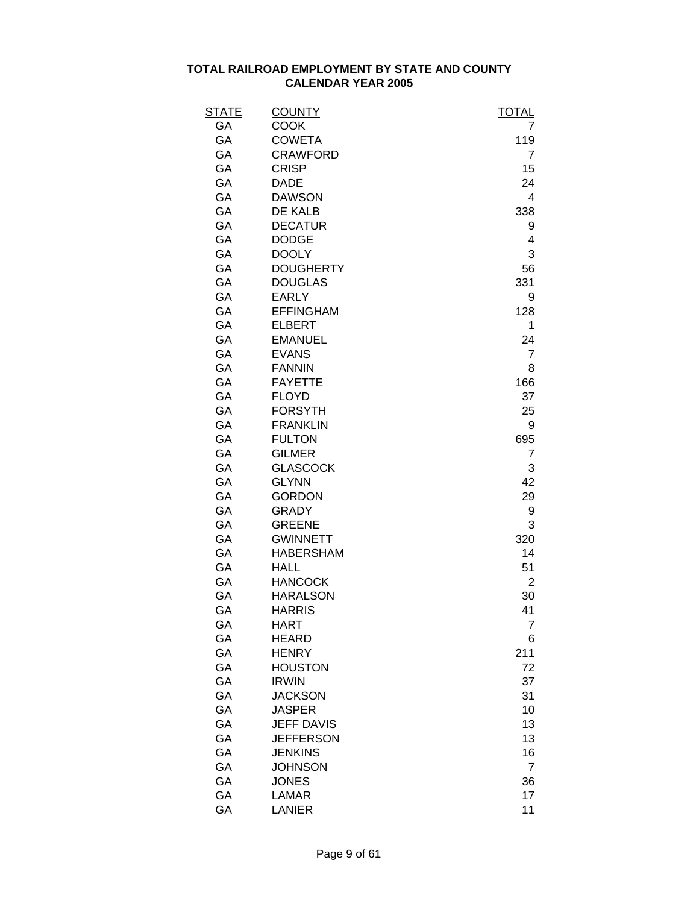| STATE | <b>COUNTY</b>     | <b>TOTAL</b>   |
|-------|-------------------|----------------|
| GA    | <b>COOK</b>       | 7              |
| GА    | <b>COWETA</b>     | 119            |
| GA    | <b>CRAWFORD</b>   | 7              |
| GA    | <b>CRISP</b>      | 15             |
| GA    | <b>DADE</b>       | 24             |
| GA    | <b>DAWSON</b>     | 4              |
| GA    | DE KALB           | 338            |
| GA    | <b>DECATUR</b>    | 9              |
| GA    | <b>DODGE</b>      | 4              |
| GA    | <b>DOOLY</b>      | 3              |
| GA    | <b>DOUGHERTY</b>  | 56             |
| GA    | <b>DOUGLAS</b>    | 331            |
| GA    | <b>EARLY</b>      | 9              |
| GA    | <b>EFFINGHAM</b>  | 128            |
| GA    | <b>ELBERT</b>     | 1              |
| GA    | <b>EMANUEL</b>    | 24             |
| GA    | <b>EVANS</b>      | $\overline{7}$ |
| GA    | <b>FANNIN</b>     | 8              |
| GA    | <b>FAYETTE</b>    | 166            |
| GA    | <b>FLOYD</b>      | 37             |
| GA    | <b>FORSYTH</b>    | 25             |
| GA    | <b>FRANKLIN</b>   | 9              |
| GA    | <b>FULTON</b>     | 695            |
| GA    | <b>GILMER</b>     | 7              |
| GA    | <b>GLASCOCK</b>   | 3              |
| GA    | <b>GLYNN</b>      | 42             |
| GA    | <b>GORDON</b>     | 29             |
| GA    | <b>GRADY</b>      | 9              |
| GA    | <b>GREENE</b>     | 3              |
| GA    | <b>GWINNETT</b>   | 320            |
| GA    | <b>HABERSHAM</b>  | 14             |
| GA    | <b>HALL</b>       | 51             |
| GA    | <b>HANCOCK</b>    | 2              |
| GA    | <b>HARALSON</b>   | 30             |
| GA    | <b>HARRIS</b>     | 41             |
| GA    | <b>HART</b>       | 7              |
| GA    | <b>HEARD</b>      | 6              |
| GA    | <b>HENRY</b>      | 211            |
| GA    | <b>HOUSTON</b>    | 72             |
| GA    | <b>IRWIN</b>      | 37             |
| GA    | <b>JACKSON</b>    | 31             |
| GA    | <b>JASPER</b>     | 10             |
| GA    | <b>JEFF DAVIS</b> | 13             |
| GA    | <b>JEFFERSON</b>  | 13             |
| GA    | <b>JENKINS</b>    | 16             |
| GA    | <b>JOHNSON</b>    | 7              |
| GA    | <b>JONES</b>      | 36             |
| GA    | <b>LAMAR</b>      | 17             |
| GA    | <b>LANIER</b>     | 11             |
|       |                   |                |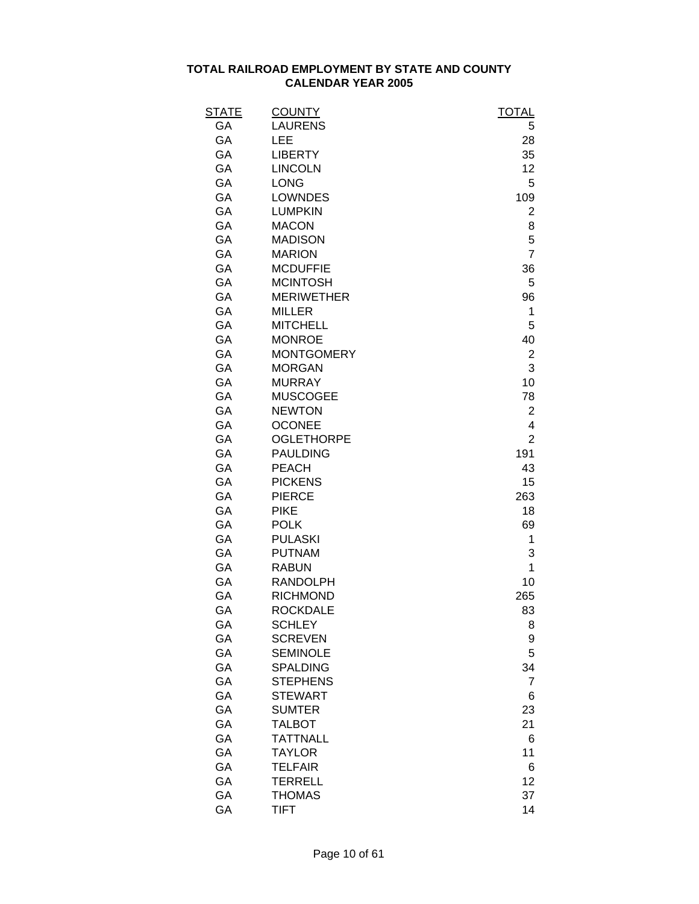| STATE | <b>COUNTY</b>     | <b>TOTAL</b>   |
|-------|-------------------|----------------|
| GA    | <b>LAURENS</b>    | 5              |
| GА    | LEE               | 28             |
| GA    | <b>LIBERTY</b>    | 35             |
| GA    | <b>LINCOLN</b>    | 12             |
| GA    | <b>LONG</b>       | 5              |
| GA    | <b>LOWNDES</b>    | 109            |
| GA    | <b>LUMPKIN</b>    | 2              |
| GA    | <b>MACON</b>      | 8              |
| GA    | <b>MADISON</b>    | 5              |
| GA    | <b>MARION</b>     | $\overline{7}$ |
| GA    | <b>MCDUFFIE</b>   | 36             |
| GA    | <b>MCINTOSH</b>   | 5              |
| GA    | <b>MERIWETHER</b> | 96             |
| GA    | <b>MILLER</b>     | 1              |
| GA    | <b>MITCHELL</b>   | 5              |
| GA    | <b>MONROE</b>     | 40             |
| GA    | <b>MONTGOMERY</b> | $\overline{2}$ |
| GA    | <b>MORGAN</b>     | 3              |
| GA    | <b>MURRAY</b>     | 10             |
| GA    | <b>MUSCOGEE</b>   | 78             |
| GA    | <b>NEWTON</b>     | $\overline{2}$ |
| GA    | <b>OCONEE</b>     | 4              |
| GA    | <b>OGLETHORPE</b> | $\overline{2}$ |
| GA    | <b>PAULDING</b>   | 191            |
| GA    | PEACH             | 43             |
| GA    | <b>PICKENS</b>    | 15             |
| GA    | <b>PIERCE</b>     | 263            |
| GA    | <b>PIKE</b>       | 18             |
| GA    | <b>POLK</b>       | 69             |
| GA    | <b>PULASKI</b>    | 1              |
| GA    | <b>PUTNAM</b>     | 3              |
| GA    | <b>RABUN</b>      | 1              |
| GA    | <b>RANDOLPH</b>   | 10             |
| GA    | <b>RICHMOND</b>   | 265            |
| GA    | <b>ROCKDALE</b>   | 83             |
| GA    | <b>SCHLEY</b>     | 8              |
| GA    | <b>SCREVEN</b>    | 9              |
| GA    | <b>SEMINOLE</b>   | 5              |
| GA    | <b>SPALDING</b>   | 34             |
| GA    | <b>STEPHENS</b>   | 7              |
| GA    | <b>STEWART</b>    | 6              |
| GA    | <b>SUMTER</b>     | 23             |
| GA    | <b>TALBOT</b>     | 21             |
| GA    | <b>TATTNALL</b>   | 6              |
| GA    | <b>TAYLOR</b>     | 11             |
| GA    | <b>TELFAIR</b>    | 6              |
| GA    | <b>TERRELL</b>    | 12             |
| GA    | <b>THOMAS</b>     | 37             |
| GA    | <b>TIFT</b>       | 14             |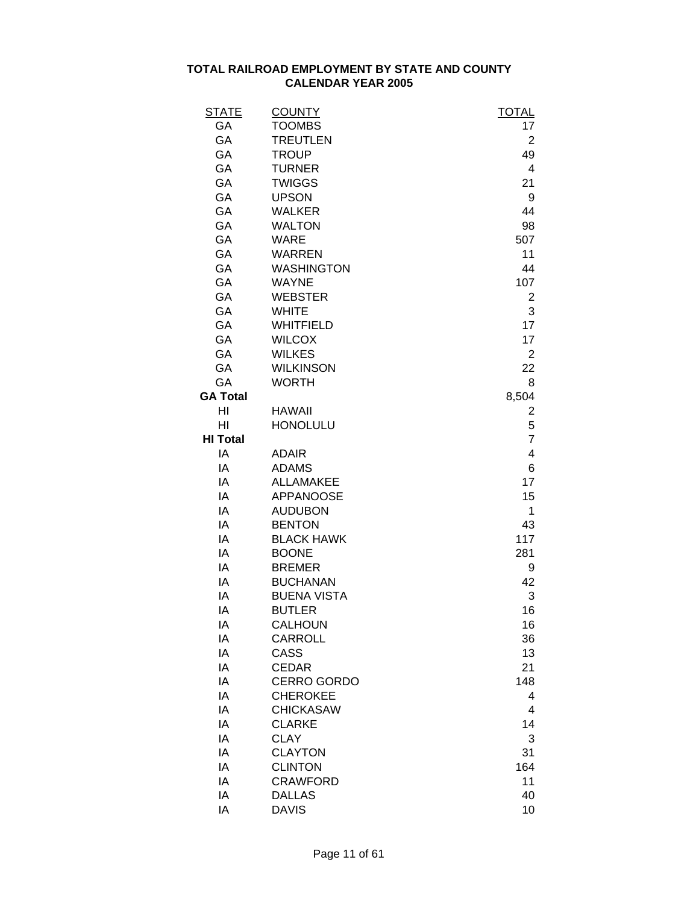| <b>STATE</b>    | <b>COUNTY</b>      | <b>TOTAL</b>   |
|-----------------|--------------------|----------------|
| GA              | <b>TOOMBS</b>      | 17             |
| GA              | <b>TREUTLEN</b>    | 2              |
| GA              | <b>TROUP</b>       | 49             |
| GA              | <b>TURNER</b>      | 4              |
| GA              | <b>TWIGGS</b>      | 21             |
| GA              | <b>UPSON</b>       | 9              |
| GA              | <b>WALKER</b>      | 44             |
| GA              | <b>WALTON</b>      | 98             |
| GA              | <b>WARE</b>        | 507            |
| GA              | <b>WARREN</b>      | 11             |
| GA              | <b>WASHINGTON</b>  | 44             |
| GA              | <b>WAYNE</b>       | 107            |
| GA              | <b>WEBSTER</b>     | $\overline{c}$ |
| GA              | <b>WHITE</b>       | 3              |
| GA              | <b>WHITFIELD</b>   | 17             |
| GA              | <b>WILCOX</b>      | 17             |
| GA              | <b>WILKES</b>      | $\overline{2}$ |
| GA              | <b>WILKINSON</b>   | 22             |
| GA              | <b>WORTH</b>       | 8              |
| <b>GA Total</b> |                    | 8,504          |
| HI              | <b>HAWAII</b>      |                |
| HI              | <b>HONOLULU</b>    | 2<br>5         |
| <b>HI Total</b> |                    | $\overline{7}$ |
| IA              |                    | $\overline{4}$ |
|                 | <b>ADAIR</b>       |                |
| IA              | <b>ADAMS</b>       | 6              |
| IA              | <b>ALLAMAKEE</b>   | 17             |
| IA              | <b>APPANOOSE</b>   | 15             |
| IA              | <b>AUDUBON</b>     | 1              |
| IA              | <b>BENTON</b>      | 43             |
| IA              | <b>BLACK HAWK</b>  | 117            |
| ΙA              | <b>BOONE</b>       | 281            |
| IA              | <b>BREMER</b>      | 9              |
| ΙA              | <b>BUCHANAN</b>    | 42             |
| IA              | <b>BUENA VISTA</b> | 3              |
| IA              | <b>BUTLER</b>      | 16             |
| ΙA              | CALHOUN            | 16             |
| IA              | <b>CARROLL</b>     | 36             |
| IA              | CASS               | 13             |
| IA              | <b>CEDAR</b>       | 21             |
| IA              | <b>CERRO GORDO</b> | 148            |
| IA              | <b>CHEROKEE</b>    | 4              |
| IA              | <b>CHICKASAW</b>   | $\overline{4}$ |
| IA              | <b>CLARKE</b>      | 14             |
| IA              | <b>CLAY</b>        | 3              |
| IA              | <b>CLAYTON</b>     | 31             |
| IA              | <b>CLINTON</b>     | 164            |
| IA              | <b>CRAWFORD</b>    | 11             |
| IA              | <b>DALLAS</b>      | 40             |
| IA              | <b>DAVIS</b>       | 10             |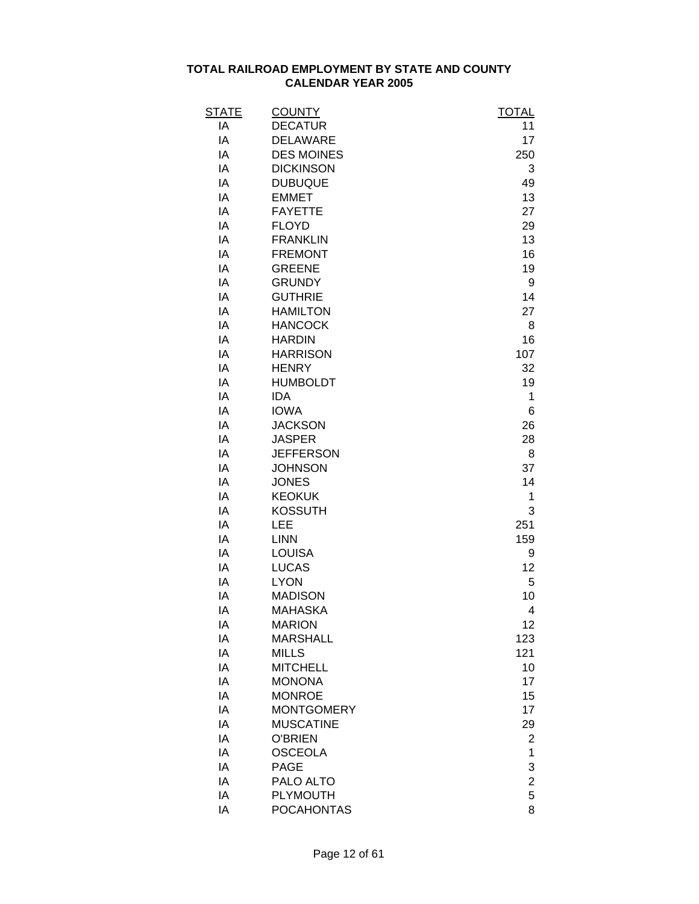| <b>STATE</b> | <b>COUNTY</b>     | <b>TOTAL</b>   |
|--------------|-------------------|----------------|
| ΙA           | <b>DECATUR</b>    | 11             |
| ΙA           | <b>DELAWARE</b>   | 17             |
| IA           | <b>DES MOINES</b> | 250            |
| IA           | <b>DICKINSON</b>  | 3              |
| IA           | <b>DUBUQUE</b>    | 49             |
| IA           | <b>EMMET</b>      | 13             |
| IA           | <b>FAYETTE</b>    | 27             |
| IA           | <b>FLOYD</b>      | 29             |
| IA           | <b>FRANKLIN</b>   | 13             |
| IA           | <b>FREMONT</b>    | 16             |
| IA           | <b>GREENE</b>     | 19             |
| IA           | <b>GRUNDY</b>     | 9              |
| IA           | <b>GUTHRIE</b>    | 14             |
| IA           | <b>HAMILTON</b>   | 27             |
| IA           | <b>HANCOCK</b>    | 8              |
| IA           | <b>HARDIN</b>     | 16             |
| IA           | <b>HARRISON</b>   | 107            |
| IA           | <b>HENRY</b>      | 32             |
| IA           | <b>HUMBOLDT</b>   | 19             |
| IA           | <b>IDA</b>        | 1              |
| IA           | <b>IOWA</b>       | 6              |
| IA           | <b>JACKSON</b>    | 26             |
| IA           | <b>JASPER</b>     | 28             |
| IA           | <b>JEFFERSON</b>  | 8              |
| IA           | <b>JOHNSON</b>    | 37             |
| IA           | <b>JONES</b>      | 14             |
| IA           | <b>KEOKUK</b>     | 1              |
| IA           | <b>KOSSUTH</b>    | 3              |
| IA           | LEE               | 251            |
| IA           | <b>LINN</b>       | 159            |
| IA           | <b>LOUISA</b>     | 9              |
| IA           | <b>LUCAS</b>      | 12             |
| IA           | <b>LYON</b>       | 5              |
| IA           | <b>MADISON</b>    | 10             |
| ΙA           | <b>MAHASKA</b>    | 4              |
| ΙA           | <b>MARION</b>     | 12             |
| IA           | <b>MARSHALL</b>   | 123            |
| IA           | <b>MILLS</b>      | 121            |
| IA           | <b>MITCHELL</b>   | 10             |
| IA           | <b>MONONA</b>     | 17             |
| IA           | <b>MONROE</b>     | 15             |
| IA           | <b>MONTGOMERY</b> | 17             |
| IA           | <b>MUSCATINE</b>  | 29             |
| IA           | <b>O'BRIEN</b>    | 2              |
| IA           | <b>OSCEOLA</b>    | 1              |
| IA           | <b>PAGE</b>       | 3              |
| IA           | PALO ALTO         | $\overline{c}$ |
| IA           | <b>PLYMOUTH</b>   | 5              |
| IA           | <b>POCAHONTAS</b> | 8              |
|              |                   |                |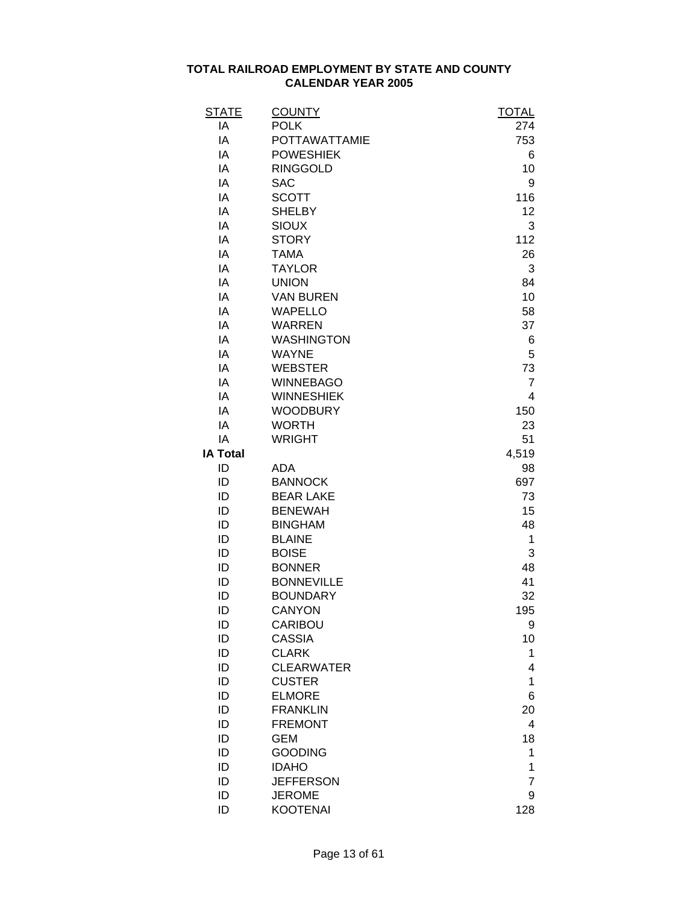| <b>STATE</b>    | <b>COUNTY</b>        | <u>TOTAL</u>   |
|-----------------|----------------------|----------------|
| ΙA              | <b>POLK</b>          | 274            |
| IA              | <b>POTTAWATTAMIE</b> | 753            |
| IA              | <b>POWESHIEK</b>     | 6              |
| IA              | <b>RINGGOLD</b>      | 10             |
| IA              | <b>SAC</b>           | 9              |
| IA              | <b>SCOTT</b>         | 116            |
| IA              | <b>SHELBY</b>        | 12             |
| IA              | <b>SIOUX</b>         | 3              |
| IA              | <b>STORY</b>         | 112            |
| IA              | <b>TAMA</b>          | 26             |
| IA              | <b>TAYLOR</b>        | 3              |
| IA              | <b>UNION</b>         | 84             |
| IA              | <b>VAN BUREN</b>     | 10             |
| IA              | <b>WAPELLO</b>       | 58             |
| IA              | <b>WARREN</b>        | 37             |
| IA              | <b>WASHINGTON</b>    | 6              |
| IA              | <b>WAYNE</b>         | 5              |
| IA              | <b>WEBSTER</b>       | 73             |
| IA              | <b>WINNEBAGO</b>     | $\overline{7}$ |
| IA              | <b>WINNESHIEK</b>    | 4              |
| IA              | <b>WOODBURY</b>      | 150            |
| IA              | <b>WORTH</b>         | 23             |
| IA              | <b>WRIGHT</b>        | 51             |
| <b>IA Total</b> |                      | 4,519          |
| ID              | <b>ADA</b>           | 98             |
| ID              | <b>BANNOCK</b>       | 697            |
| ID              | <b>BEAR LAKE</b>     | 73             |
| ID              | <b>BENEWAH</b>       | 15             |
| ID              | <b>BINGHAM</b>       | 48             |
| ID              | <b>BLAINE</b>        | 1              |
| ID              | <b>BOISE</b>         | 3              |
| ID              | <b>BONNER</b>        |                |
|                 | <b>BONNEVILLE</b>    | 48             |
| ID              |                      | 41             |
| ID              | <b>BOUNDARY</b>      | 32             |
| ID              | <b>CANYON</b>        | 195            |
| ID              | CARIBOU              | 9              |
| ID              | <b>CASSIA</b>        | 10             |
| ID              | <b>CLARK</b>         | 1              |
| ID              | <b>CLEARWATER</b>    | 4              |
| ID              | <b>CUSTER</b>        | 1              |
| ID              | <b>ELMORE</b>        | 6              |
| ID              | <b>FRANKLIN</b>      | 20             |
| ID              | <b>FREMONT</b>       | $\overline{4}$ |
| ID              | <b>GEM</b>           | 18             |
| ID              | <b>GOODING</b>       | 1              |
| ID              | <b>IDAHO</b>         | 1              |
| ID              | <b>JEFFERSON</b>     | $\overline{7}$ |
| ID              | <b>JEROME</b>        | 9              |
| ID              | <b>KOOTENAI</b>      | 128            |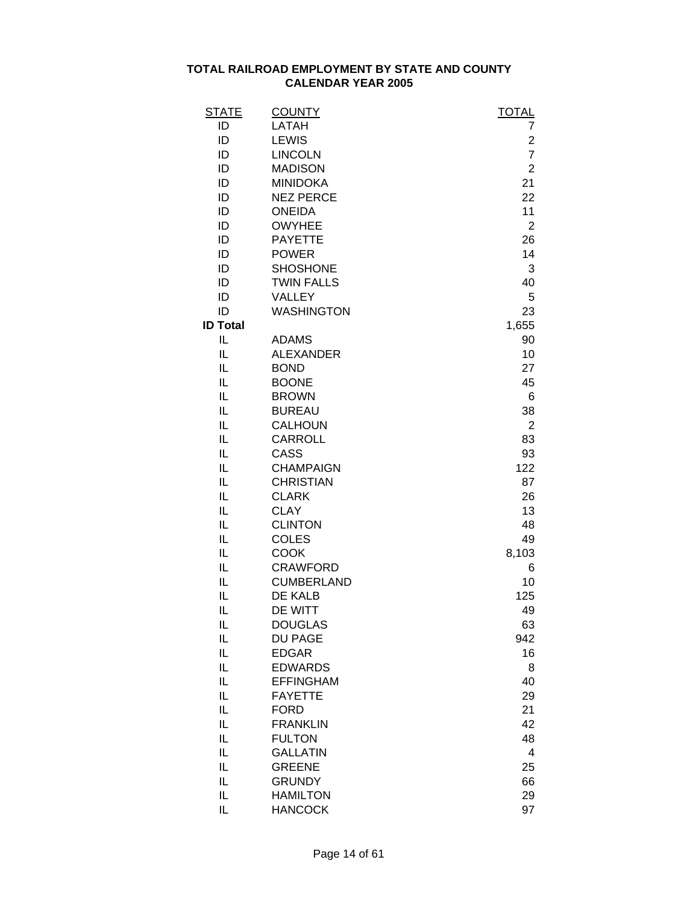| ID<br><b>LEWIS</b><br>ID<br><b>LINCOLN</b><br>ID<br><b>MADISON</b><br><b>MINIDOKA</b><br>21<br>ID<br>22<br>ID<br><b>NEZ PERCE</b><br>ID<br><b>ONEIDA</b><br>11<br>ID<br><b>OWYHEE</b><br>ID<br><b>PAYETTE</b><br>26<br>ID<br><b>POWER</b><br>14<br><b>SHOSHONE</b><br>ID<br>ID<br><b>TWIN FALLS</b><br>ID<br>VALLEY<br>ID<br><b>WASHINGTON</b><br><b>ID Total</b><br>1,655<br>IL<br><b>ADAMS</b><br>IL<br><b>ALEXANDER</b><br>IL<br><b>BOND</b><br>IL<br><b>BOONE</b><br>IL<br><b>BROWN</b><br>IL<br><b>BUREAU</b><br>IL<br><b>CALHOUN</b><br>IL<br><b>CARROLL</b><br>CASS<br>IL<br>IL<br><b>CHAMPAIGN</b><br>IL<br><b>CHRISTIAN</b><br>IL<br><b>CLARK</b><br>IL<br><b>CLAY</b><br>IL<br><b>CLINTON</b><br>IL<br><b>COLES</b><br>IL<br><b>COOK</b><br>IL<br><b>CRAWFORD</b><br>IL<br><b>CUMBERLAND</b><br>IL<br>DE KALB<br>DE WITT<br>IL<br><b>DOUGLAS</b><br>IL<br>IL<br><b>DU PAGE</b><br>IL<br><b>EDGAR</b><br><b>EDWARDS</b><br>IL<br>IL<br><b>EFFINGHAM</b><br>IL<br><b>FAYETTE</b><br>IL<br><b>FORD</b><br>IL<br><b>FRANKLIN</b><br>IL<br><b>FULTON</b><br>IL<br><b>GALLATIN</b><br>IL<br><b>GREENE</b><br>IL<br><b>GRUNDY</b> | <b>STATE</b> | <b>COUNTY</b>   | <b>TOTAL</b>   |
|--------------------------------------------------------------------------------------------------------------------------------------------------------------------------------------------------------------------------------------------------------------------------------------------------------------------------------------------------------------------------------------------------------------------------------------------------------------------------------------------------------------------------------------------------------------------------------------------------------------------------------------------------------------------------------------------------------------------------------------------------------------------------------------------------------------------------------------------------------------------------------------------------------------------------------------------------------------------------------------------------------------------------------------------------------------------------------------------------------------------------------------|--------------|-----------------|----------------|
|                                                                                                                                                                                                                                                                                                                                                                                                                                                                                                                                                                                                                                                                                                                                                                                                                                                                                                                                                                                                                                                                                                                                      | ID           | LATAH           | 7              |
|                                                                                                                                                                                                                                                                                                                                                                                                                                                                                                                                                                                                                                                                                                                                                                                                                                                                                                                                                                                                                                                                                                                                      |              |                 | 2              |
|                                                                                                                                                                                                                                                                                                                                                                                                                                                                                                                                                                                                                                                                                                                                                                                                                                                                                                                                                                                                                                                                                                                                      |              |                 | $\overline{7}$ |
|                                                                                                                                                                                                                                                                                                                                                                                                                                                                                                                                                                                                                                                                                                                                                                                                                                                                                                                                                                                                                                                                                                                                      |              |                 | $\overline{2}$ |
|                                                                                                                                                                                                                                                                                                                                                                                                                                                                                                                                                                                                                                                                                                                                                                                                                                                                                                                                                                                                                                                                                                                                      |              |                 |                |
|                                                                                                                                                                                                                                                                                                                                                                                                                                                                                                                                                                                                                                                                                                                                                                                                                                                                                                                                                                                                                                                                                                                                      |              |                 |                |
|                                                                                                                                                                                                                                                                                                                                                                                                                                                                                                                                                                                                                                                                                                                                                                                                                                                                                                                                                                                                                                                                                                                                      |              |                 |                |
|                                                                                                                                                                                                                                                                                                                                                                                                                                                                                                                                                                                                                                                                                                                                                                                                                                                                                                                                                                                                                                                                                                                                      |              |                 | $\overline{2}$ |
|                                                                                                                                                                                                                                                                                                                                                                                                                                                                                                                                                                                                                                                                                                                                                                                                                                                                                                                                                                                                                                                                                                                                      |              |                 |                |
|                                                                                                                                                                                                                                                                                                                                                                                                                                                                                                                                                                                                                                                                                                                                                                                                                                                                                                                                                                                                                                                                                                                                      |              |                 |                |
|                                                                                                                                                                                                                                                                                                                                                                                                                                                                                                                                                                                                                                                                                                                                                                                                                                                                                                                                                                                                                                                                                                                                      |              |                 | 3              |
|                                                                                                                                                                                                                                                                                                                                                                                                                                                                                                                                                                                                                                                                                                                                                                                                                                                                                                                                                                                                                                                                                                                                      |              |                 | 40             |
|                                                                                                                                                                                                                                                                                                                                                                                                                                                                                                                                                                                                                                                                                                                                                                                                                                                                                                                                                                                                                                                                                                                                      |              |                 | 5              |
|                                                                                                                                                                                                                                                                                                                                                                                                                                                                                                                                                                                                                                                                                                                                                                                                                                                                                                                                                                                                                                                                                                                                      |              |                 | 23             |
|                                                                                                                                                                                                                                                                                                                                                                                                                                                                                                                                                                                                                                                                                                                                                                                                                                                                                                                                                                                                                                                                                                                                      |              |                 |                |
|                                                                                                                                                                                                                                                                                                                                                                                                                                                                                                                                                                                                                                                                                                                                                                                                                                                                                                                                                                                                                                                                                                                                      |              |                 | 90             |
|                                                                                                                                                                                                                                                                                                                                                                                                                                                                                                                                                                                                                                                                                                                                                                                                                                                                                                                                                                                                                                                                                                                                      |              |                 | 10             |
|                                                                                                                                                                                                                                                                                                                                                                                                                                                                                                                                                                                                                                                                                                                                                                                                                                                                                                                                                                                                                                                                                                                                      |              |                 | 27             |
|                                                                                                                                                                                                                                                                                                                                                                                                                                                                                                                                                                                                                                                                                                                                                                                                                                                                                                                                                                                                                                                                                                                                      |              |                 | 45             |
|                                                                                                                                                                                                                                                                                                                                                                                                                                                                                                                                                                                                                                                                                                                                                                                                                                                                                                                                                                                                                                                                                                                                      |              |                 | 6              |
|                                                                                                                                                                                                                                                                                                                                                                                                                                                                                                                                                                                                                                                                                                                                                                                                                                                                                                                                                                                                                                                                                                                                      |              |                 | 38             |
|                                                                                                                                                                                                                                                                                                                                                                                                                                                                                                                                                                                                                                                                                                                                                                                                                                                                                                                                                                                                                                                                                                                                      |              |                 | $\overline{2}$ |
|                                                                                                                                                                                                                                                                                                                                                                                                                                                                                                                                                                                                                                                                                                                                                                                                                                                                                                                                                                                                                                                                                                                                      |              |                 | 83             |
|                                                                                                                                                                                                                                                                                                                                                                                                                                                                                                                                                                                                                                                                                                                                                                                                                                                                                                                                                                                                                                                                                                                                      |              |                 | 93             |
|                                                                                                                                                                                                                                                                                                                                                                                                                                                                                                                                                                                                                                                                                                                                                                                                                                                                                                                                                                                                                                                                                                                                      |              |                 | 122            |
|                                                                                                                                                                                                                                                                                                                                                                                                                                                                                                                                                                                                                                                                                                                                                                                                                                                                                                                                                                                                                                                                                                                                      |              |                 | 87             |
|                                                                                                                                                                                                                                                                                                                                                                                                                                                                                                                                                                                                                                                                                                                                                                                                                                                                                                                                                                                                                                                                                                                                      |              |                 | 26             |
|                                                                                                                                                                                                                                                                                                                                                                                                                                                                                                                                                                                                                                                                                                                                                                                                                                                                                                                                                                                                                                                                                                                                      |              |                 | 13             |
|                                                                                                                                                                                                                                                                                                                                                                                                                                                                                                                                                                                                                                                                                                                                                                                                                                                                                                                                                                                                                                                                                                                                      |              |                 | 48             |
|                                                                                                                                                                                                                                                                                                                                                                                                                                                                                                                                                                                                                                                                                                                                                                                                                                                                                                                                                                                                                                                                                                                                      |              |                 | 49             |
|                                                                                                                                                                                                                                                                                                                                                                                                                                                                                                                                                                                                                                                                                                                                                                                                                                                                                                                                                                                                                                                                                                                                      |              |                 | 8,103          |
|                                                                                                                                                                                                                                                                                                                                                                                                                                                                                                                                                                                                                                                                                                                                                                                                                                                                                                                                                                                                                                                                                                                                      |              |                 | 6              |
|                                                                                                                                                                                                                                                                                                                                                                                                                                                                                                                                                                                                                                                                                                                                                                                                                                                                                                                                                                                                                                                                                                                                      |              |                 | 10             |
|                                                                                                                                                                                                                                                                                                                                                                                                                                                                                                                                                                                                                                                                                                                                                                                                                                                                                                                                                                                                                                                                                                                                      |              |                 | 125            |
|                                                                                                                                                                                                                                                                                                                                                                                                                                                                                                                                                                                                                                                                                                                                                                                                                                                                                                                                                                                                                                                                                                                                      |              |                 | 49             |
|                                                                                                                                                                                                                                                                                                                                                                                                                                                                                                                                                                                                                                                                                                                                                                                                                                                                                                                                                                                                                                                                                                                                      |              |                 | 63             |
|                                                                                                                                                                                                                                                                                                                                                                                                                                                                                                                                                                                                                                                                                                                                                                                                                                                                                                                                                                                                                                                                                                                                      |              |                 | 942            |
|                                                                                                                                                                                                                                                                                                                                                                                                                                                                                                                                                                                                                                                                                                                                                                                                                                                                                                                                                                                                                                                                                                                                      |              |                 | 16             |
|                                                                                                                                                                                                                                                                                                                                                                                                                                                                                                                                                                                                                                                                                                                                                                                                                                                                                                                                                                                                                                                                                                                                      |              |                 | 8              |
|                                                                                                                                                                                                                                                                                                                                                                                                                                                                                                                                                                                                                                                                                                                                                                                                                                                                                                                                                                                                                                                                                                                                      |              |                 | 40             |
|                                                                                                                                                                                                                                                                                                                                                                                                                                                                                                                                                                                                                                                                                                                                                                                                                                                                                                                                                                                                                                                                                                                                      |              |                 | 29             |
|                                                                                                                                                                                                                                                                                                                                                                                                                                                                                                                                                                                                                                                                                                                                                                                                                                                                                                                                                                                                                                                                                                                                      |              |                 | 21             |
|                                                                                                                                                                                                                                                                                                                                                                                                                                                                                                                                                                                                                                                                                                                                                                                                                                                                                                                                                                                                                                                                                                                                      |              |                 | 42             |
|                                                                                                                                                                                                                                                                                                                                                                                                                                                                                                                                                                                                                                                                                                                                                                                                                                                                                                                                                                                                                                                                                                                                      |              |                 | 48             |
|                                                                                                                                                                                                                                                                                                                                                                                                                                                                                                                                                                                                                                                                                                                                                                                                                                                                                                                                                                                                                                                                                                                                      |              |                 | 4              |
|                                                                                                                                                                                                                                                                                                                                                                                                                                                                                                                                                                                                                                                                                                                                                                                                                                                                                                                                                                                                                                                                                                                                      |              |                 | 25             |
|                                                                                                                                                                                                                                                                                                                                                                                                                                                                                                                                                                                                                                                                                                                                                                                                                                                                                                                                                                                                                                                                                                                                      |              |                 | 66             |
|                                                                                                                                                                                                                                                                                                                                                                                                                                                                                                                                                                                                                                                                                                                                                                                                                                                                                                                                                                                                                                                                                                                                      | IL           | <b>HAMILTON</b> | 29             |
| IL<br><b>HANCOCK</b>                                                                                                                                                                                                                                                                                                                                                                                                                                                                                                                                                                                                                                                                                                                                                                                                                                                                                                                                                                                                                                                                                                                 |              |                 | 97             |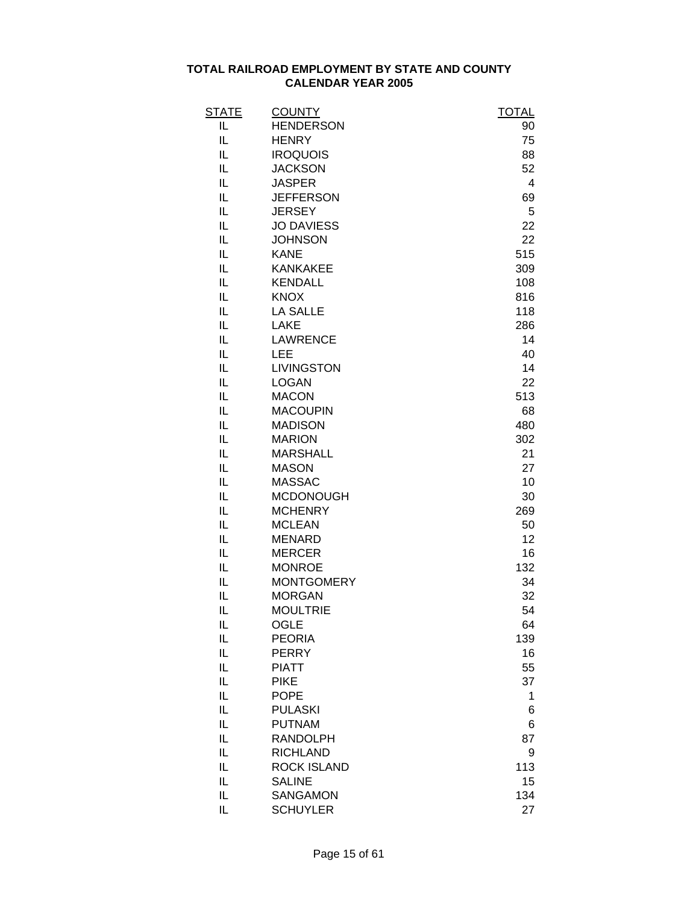| <b>STATE</b> | <b>COUNTY</b>      | <b>TOTAL</b>   |
|--------------|--------------------|----------------|
| IL           | <b>HENDERSON</b>   | 90             |
| IL           | <b>HENRY</b>       | 75             |
| IL           | <b>IROQUOIS</b>    | 88             |
| IL           | <b>JACKSON</b>     | 52             |
| IL           | <b>JASPER</b>      | $\overline{4}$ |
| IL           | <b>JEFFERSON</b>   | 69             |
| IL           | <b>JERSEY</b>      | 5              |
| IL           | <b>JO DAVIESS</b>  | 22             |
| IL           | <b>JOHNSON</b>     | 22             |
| IL           | <b>KANE</b>        | 515            |
| IL           | <b>KANKAKEE</b>    | 309            |
| IL           | <b>KENDALL</b>     | 108            |
| IL           | <b>KNOX</b>        | 816            |
| IL           | <b>LA SALLE</b>    | 118            |
| IL           | <b>LAKE</b>        | 286            |
| IL           | <b>LAWRENCE</b>    | 14             |
| IL           | LEE                | 40             |
| IL           | <b>LIVINGSTON</b>  | 14             |
| IL           | <b>LOGAN</b>       | 22             |
| IL           | <b>MACON</b>       | 513            |
| IL           | <b>MACOUPIN</b>    | 68             |
| IL           | <b>MADISON</b>     | 480            |
| IL           | <b>MARION</b>      | 302            |
| IL           | <b>MARSHALL</b>    | 21             |
| IL           | <b>MASON</b>       | 27             |
| IL           | <b>MASSAC</b>      | 10             |
| IL           | MCDONOUGH          | 30             |
| IL           | <b>MCHENRY</b>     | 269            |
| IL           | <b>MCLEAN</b>      | 50             |
| IL           | <b>MENARD</b>      | 12             |
| IL           | <b>MERCER</b>      | 16             |
| IL           | <b>MONROE</b>      | 132            |
| IL           | <b>MONTGOMERY</b>  | 34             |
| IL           | <b>MORGAN</b>      | 32             |
| IL           | <b>MOULTRIE</b>    | 54             |
| IL           | <b>OGLE</b>        | 64             |
| IL           | <b>PEORIA</b>      | 139            |
| IL           | <b>PERRY</b>       | 16             |
| IL           | <b>PIATT</b>       | 55             |
| IL           | <b>PIKE</b>        | 37             |
| IL           | <b>POPE</b>        | 1              |
| IL           | <b>PULASKI</b>     | 6              |
| IL           | <b>PUTNAM</b>      | 6              |
| IL           | <b>RANDOLPH</b>    | 87             |
| IL           | <b>RICHLAND</b>    | 9              |
| IL           | <b>ROCK ISLAND</b> | 113            |
| IL           | <b>SALINE</b>      | 15             |
| IL           | <b>SANGAMON</b>    | 134            |
| IL           | <b>SCHUYLER</b>    | 27             |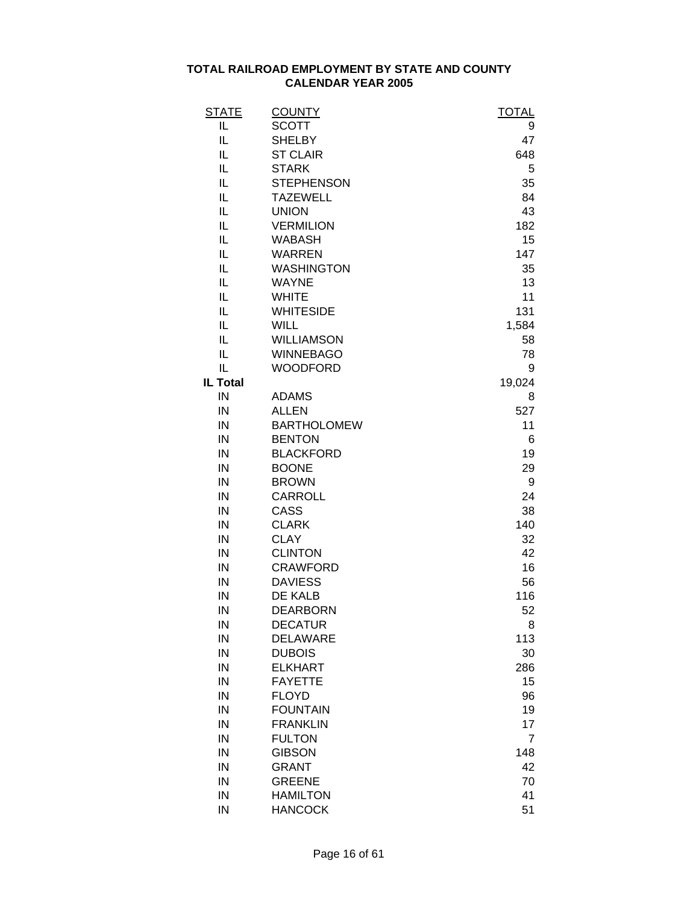| <u>STATE</u>    | <b>COUNTY</b>      | <b>TOTAL</b>   |
|-----------------|--------------------|----------------|
| IL              | <b>SCOTT</b>       | 9              |
| IL              | <b>SHELBY</b>      | 47             |
| IL              | <b>ST CLAIR</b>    | 648            |
| IL              | <b>STARK</b>       | 5              |
| IL              | <b>STEPHENSON</b>  | 35             |
| IL              | <b>TAZEWELL</b>    | 84             |
| IL              | <b>UNION</b>       | 43             |
| IL              | <b>VERMILION</b>   | 182            |
| IL              | <b>WABASH</b>      | 15             |
| IL              | <b>WARREN</b>      | 147            |
| IL              | <b>WASHINGTON</b>  | 35             |
| IL              | <b>WAYNE</b>       | 13             |
| IL              | <b>WHITE</b>       | 11             |
| IL              | <b>WHITESIDE</b>   | 131            |
| IL              | <b>WILL</b>        | 1,584          |
| IL              | <b>WILLIAMSON</b>  | 58             |
| IL              | <b>WINNEBAGO</b>   | 78             |
| IL              | <b>WOODFORD</b>    | 9              |
| <b>IL Total</b> |                    | 19,024         |
| IN              | <b>ADAMS</b>       | 8              |
| IN              | <b>ALLEN</b>       | 527            |
| IN              | <b>BARTHOLOMEW</b> | 11             |
| IN              | <b>BENTON</b>      | 6              |
| IN              | <b>BLACKFORD</b>   | 19             |
| IN              | <b>BOONE</b>       | 29             |
| IN              | <b>BROWN</b>       | 9              |
| IN              | CARROLL            | 24             |
| IN              | CASS               | 38             |
| IN              | <b>CLARK</b>       | 140            |
| IN              | <b>CLAY</b>        | 32             |
| IN              | <b>CLINTON</b>     | 42             |
| IN              | <b>CRAWFORD</b>    | 16             |
| IN              | <b>DAVIESS</b>     | 56             |
| IN              | DE KALB            | 116            |
| IN              | <b>DEARBORN</b>    | 52             |
| IN              | <b>DECATUR</b>     | 8              |
| IN              | <b>DELAWARE</b>    | 113            |
| IN              | <b>DUBOIS</b>      | 30             |
| IN              | <b>ELKHART</b>     | 286            |
| IN              | <b>FAYETTE</b>     | 15             |
| IN              | <b>FLOYD</b>       | 96             |
| IN              | <b>FOUNTAIN</b>    | 19             |
| IN              | <b>FRANKLIN</b>    | 17             |
| IN              | <b>FULTON</b>      | $\overline{7}$ |
| IN              | <b>GIBSON</b>      | 148            |
| IN              | <b>GRANT</b>       | 42             |
| IN              | <b>GREENE</b>      | 70             |
| IN              | <b>HAMILTON</b>    | 41             |
| IN              | <b>HANCOCK</b>     | 51             |
|                 |                    |                |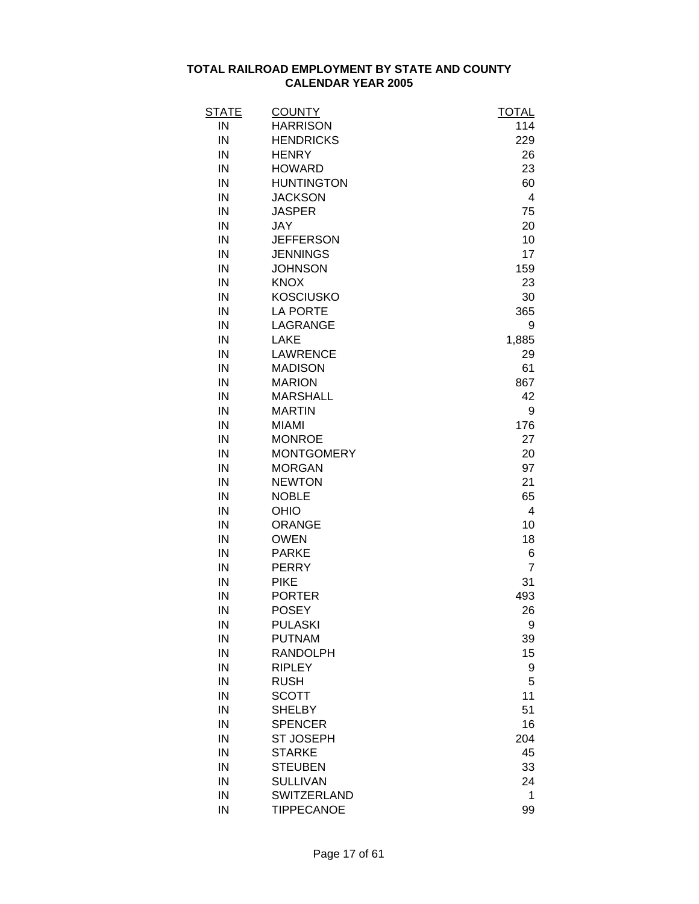| <b>STATE</b> | <b>COUNTY</b>     | <u>TOTAL</u>   |
|--------------|-------------------|----------------|
| IN           | <b>HARRISON</b>   | 114            |
| IN           | <b>HENDRICKS</b>  | 229            |
| IN           | <b>HENRY</b>      | 26             |
| IN           | <b>HOWARD</b>     | 23             |
| IN           | <b>HUNTINGTON</b> | 60             |
| IN           | <b>JACKSON</b>    | $\overline{4}$ |
| IN           | <b>JASPER</b>     | 75             |
| IN           | <b>JAY</b>        | 20             |
| IN           | <b>JEFFERSON</b>  | 10             |
| IN           | <b>JENNINGS</b>   | 17             |
| IN           | <b>JOHNSON</b>    | 159            |
| IN           | <b>KNOX</b>       | 23             |
| IN           | <b>KOSCIUSKO</b>  | 30             |
| IN           | <b>LA PORTE</b>   | 365            |
| IN           | LAGRANGE          | 9              |
| IN           | LAKE              | 1,885          |
| IN           | <b>LAWRENCE</b>   | 29             |
| IN           | <b>MADISON</b>    | 61             |
| IN           | <b>MARION</b>     | 867            |
| IN           | <b>MARSHALL</b>   | 42             |
| IN           | <b>MARTIN</b>     | 9              |
| IN           | <b>MIAMI</b>      | 176            |
| IN           | <b>MONROE</b>     | 27             |
| IN           | <b>MONTGOMERY</b> | 20             |
| IN           | <b>MORGAN</b>     | 97             |
| IN           | <b>NEWTON</b>     | 21             |
| IN           | <b>NOBLE</b>      | 65             |
| IN           | OHIO              | 4              |
| IN           | <b>ORANGE</b>     | 10             |
| IN           | <b>OWEN</b>       | 18             |
| IN           | <b>PARKE</b>      | 6              |
| IN           | <b>PERRY</b>      | $\overline{7}$ |
| IN           | <b>PIKE</b>       | 31             |
| IN           | <b>PORTER</b>     | 493            |
| IN           | <b>POSEY</b>      | 26             |
| IN           | <b>PULASKI</b>    | 9              |
| IN           | <b>PUTNAM</b>     | 39             |
| IN           | <b>RANDOLPH</b>   | 15             |
| IN           | <b>RIPLEY</b>     | 9              |
| IN           | <b>RUSH</b>       | 5              |
| IN           | <b>SCOTT</b>      | 11             |
| IN           | <b>SHELBY</b>     | 51             |
| IN           | <b>SPENCER</b>    | 16             |
| IN           | <b>ST JOSEPH</b>  | 204            |
| IN           | <b>STARKE</b>     | 45             |
| IN           | <b>STEUBEN</b>    | 33             |
| IN           | <b>SULLIVAN</b>   | 24             |
| IN           | SWITZERLAND       | 1              |
| IN           | <b>TIPPECANOE</b> | 99             |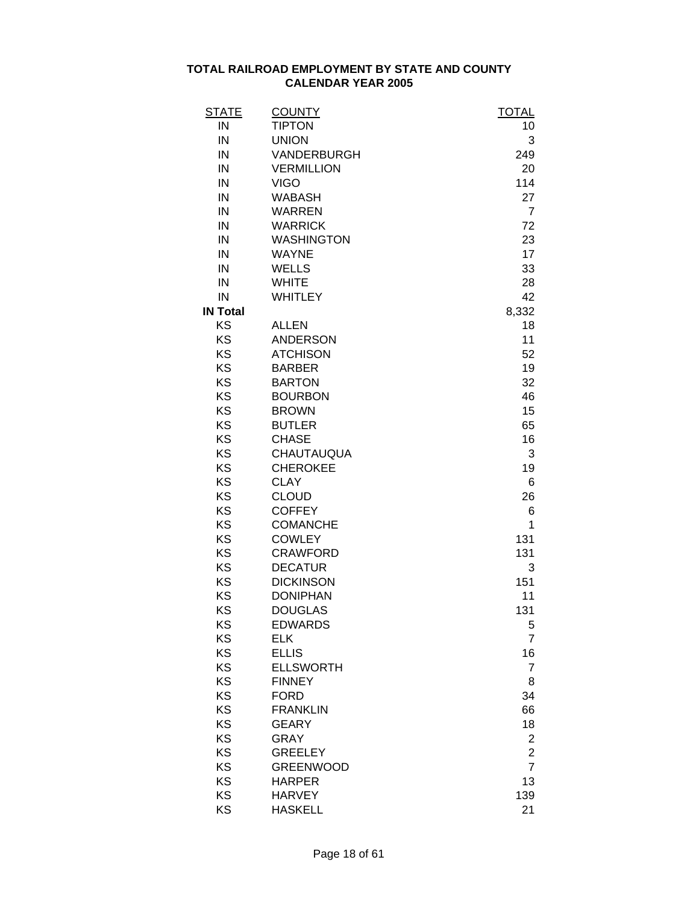| <b>STATE</b>    | <b>COUNTY</b>     | <b>TOTAL</b>   |
|-----------------|-------------------|----------------|
| IN              | <b>TIPTON</b>     | 10             |
| IN              | <b>UNION</b>      | 3              |
| IN              | VANDERBURGH       | 249            |
| IN              | <b>VERMILLION</b> | 20             |
| IN              | <b>VIGO</b>       | 114            |
| IN              | <b>WABASH</b>     | 27             |
| IN              | <b>WARREN</b>     | $\overline{7}$ |
| IN              | <b>WARRICK</b>    | 72             |
| IN              | <b>WASHINGTON</b> | 23             |
| IN              | <b>WAYNE</b>      | 17             |
| IN              | <b>WELLS</b>      | 33             |
| IN              | <b>WHITE</b>      | 28             |
| IN              | <b>WHITLEY</b>    | 42             |
| <b>IN Total</b> |                   | 8,332          |
| KS              | <b>ALLEN</b>      | 18             |
| KS              | <b>ANDERSON</b>   | 11             |
| KS              | <b>ATCHISON</b>   | 52             |
| KS              | <b>BARBER</b>     | 19             |
| KS              | <b>BARTON</b>     | 32             |
| KS              | <b>BOURBON</b>    | 46             |
| KS              | <b>BROWN</b>      | 15             |
| KS              | <b>BUTLER</b>     | 65             |
| KS              | <b>CHASE</b>      | 16             |
| KS              | CHAUTAUQUA        | 3              |
| KS              | <b>CHEROKEE</b>   | 19             |
| KS              | <b>CLAY</b>       | 6              |
| KS              | <b>CLOUD</b>      | 26             |
| KS              | <b>COFFEY</b>     | 6              |
| KS              | <b>COMANCHE</b>   | 1              |
| KS              | <b>COWLEY</b>     | 131            |
| KS              | <b>CRAWFORD</b>   | 131            |
| KS              | <b>DECATUR</b>    | 3              |
| KS              | <b>DICKINSON</b>  | 151            |
| KS              | <b>DONIPHAN</b>   | 11             |
| KS              | <b>DOUGLAS</b>    | 131            |
| KS              | <b>EDWARDS</b>    | 5              |
| KS              | <b>ELK</b>        | $\overline{7}$ |
| KS              | <b>ELLIS</b>      | 16             |
| KS              | <b>ELLSWORTH</b>  | $\overline{7}$ |
| <b>KS</b>       | <b>FINNEY</b>     | 8              |
| <b>KS</b>       | <b>FORD</b>       | 34             |
| KS              | <b>FRANKLIN</b>   | 66             |
| KS              | <b>GEARY</b>      | 18             |
| KS              | <b>GRAY</b>       | $\mathbf 2$    |
| KS              | <b>GREELEY</b>    | $\overline{c}$ |
| KS              | <b>GREENWOOD</b>  | $\overline{7}$ |
| KS              | <b>HARPER</b>     | 13             |
| KS              | <b>HARVEY</b>     | 139            |
| KS              | <b>HASKELL</b>    | 21             |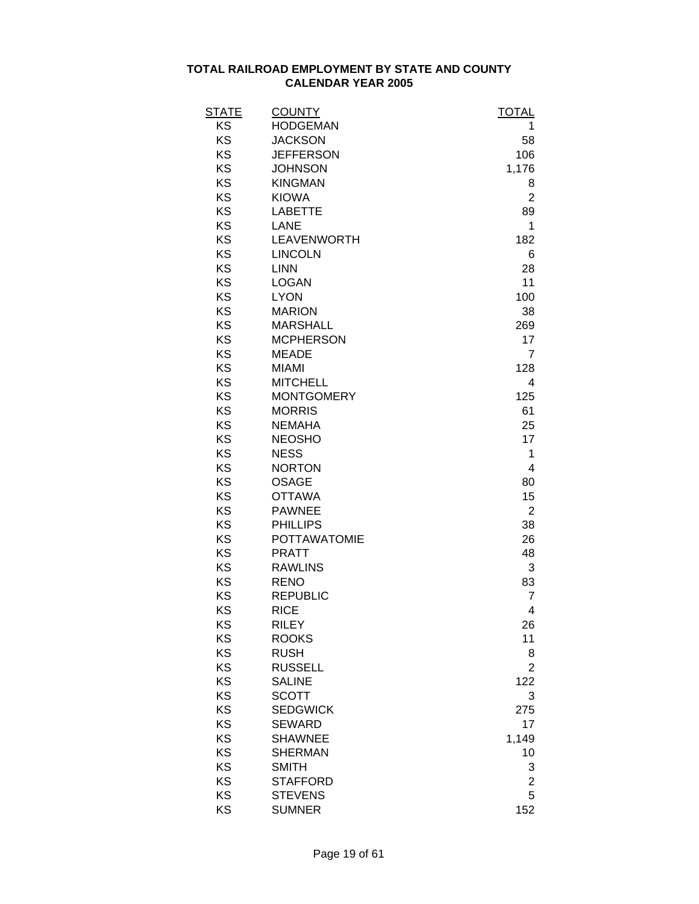| STATE | <b>COUNTY</b>       | <b>TOTAL</b>            |
|-------|---------------------|-------------------------|
| KS    | <b>HODGEMAN</b>     | 1                       |
| KS    | <b>JACKSON</b>      | 58                      |
| KS    | <b>JEFFERSON</b>    | 106                     |
| KS    | <b>JOHNSON</b>      | 1,176                   |
| KS    | <b>KINGMAN</b>      | 8                       |
| KS    | <b>KIOWA</b>        | $\overline{2}$          |
| KS    | <b>LABETTE</b>      | 89                      |
| KS    | <b>LANE</b>         | 1                       |
| KS    | LEAVENWORTH         | 182                     |
| KS    | <b>LINCOLN</b>      | 6                       |
| KS    | <b>LINN</b>         | 28                      |
| KS    | <b>LOGAN</b>        | 11                      |
| KS    | <b>LYON</b>         | 100                     |
| KS    | <b>MARION</b>       | 38                      |
| KS    | <b>MARSHALL</b>     | 269                     |
| KS    | <b>MCPHERSON</b>    | 17                      |
| KS    | <b>MEADE</b>        | 7                       |
| KS    | <b>MIAMI</b>        | 128                     |
| KS    | <b>MITCHELL</b>     | 4                       |
| KS    | <b>MONTGOMERY</b>   | 125                     |
| KS    | <b>MORRIS</b>       | 61                      |
| KS    | <b>NEMAHA</b>       | 25                      |
| KS    | <b>NEOSHO</b>       | 17                      |
| KS    | <b>NESS</b>         | 1                       |
| KS    | <b>NORTON</b>       | 4                       |
| KS    | <b>OSAGE</b>        | 80                      |
| KS    | <b>OTTAWA</b>       | 15                      |
| KS    | <b>PAWNEE</b>       | $\overline{2}$          |
| KS    | <b>PHILLIPS</b>     | 38                      |
| KS    | <b>POTTAWATOMIE</b> | 26                      |
| KS    | <b>PRATT</b>        | 48                      |
| KS    | <b>RAWLINS</b>      | 3                       |
| KS    | <b>RENO</b>         | 83                      |
| KS    | <b>REPUBLIC</b>     | $\overline{7}$          |
| KS    | <b>RICE</b>         | 4                       |
| KS    | <b>RILEY</b>        | 26                      |
| KS    | <b>ROOKS</b>        | 11                      |
| KS    | <b>RUSH</b>         | 8                       |
| KS    | <b>RUSSELL</b>      | $\overline{2}$          |
| KS    | <b>SALINE</b>       | 122                     |
| KS    | <b>SCOTT</b>        | 3                       |
| KS    | <b>SEDGWICK</b>     | 275                     |
| KS    | <b>SEWARD</b>       | 17                      |
| KS    | <b>SHAWNEE</b>      | 1,149                   |
| KS    | <b>SHERMAN</b>      | 10                      |
| KS    | <b>SMITH</b>        | 3                       |
| KS    | <b>STAFFORD</b>     | $\overline{\mathbf{c}}$ |
| KS    | <b>STEVENS</b>      | 5                       |
| KS    | <b>SUMNER</b>       | 152                     |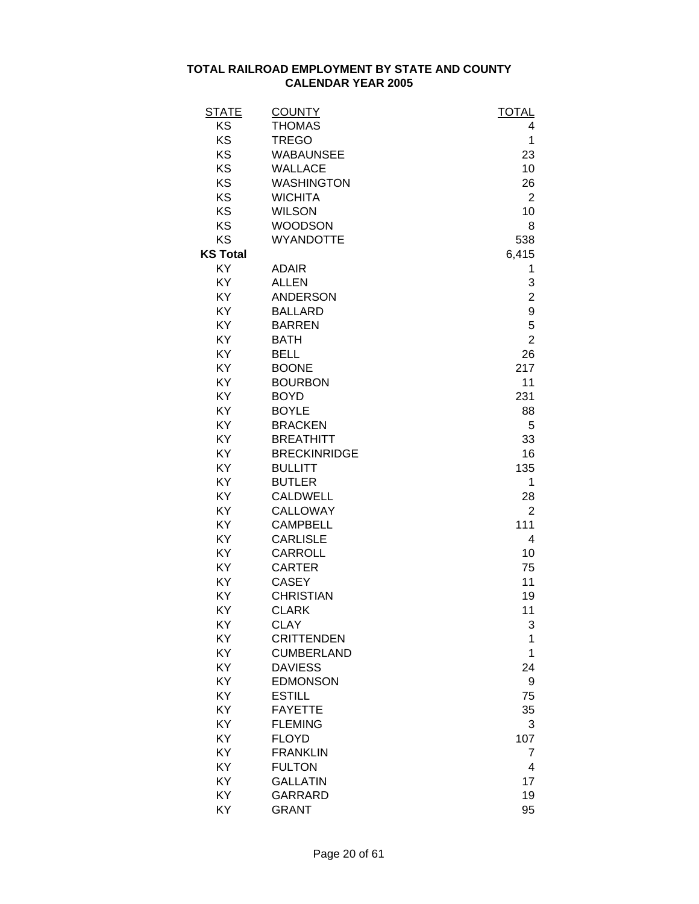| <b>STATE</b>    | <b>COUNTY</b>       | <b>TOTAL</b>   |
|-----------------|---------------------|----------------|
| KS              | <b>THOMAS</b>       | 4              |
| KS              | <b>TREGO</b>        | 1              |
| KS              | <b>WABAUNSEE</b>    | 23             |
| KS              | <b>WALLACE</b>      | 10             |
| KS              | <b>WASHINGTON</b>   | 26             |
| KS              | <b>WICHITA</b>      | $\overline{2}$ |
| KS              | <b>WILSON</b>       | 10             |
| KS              | <b>WOODSON</b>      | 8              |
| KS              | <b>WYANDOTTE</b>    | 538            |
| <b>KS Total</b> |                     | 6,415          |
| KY              | <b>ADAIR</b>        | 1              |
| KY              | <b>ALLEN</b>        | 3              |
| KY              | <b>ANDERSON</b>     | $\overline{2}$ |
| KY              | <b>BALLARD</b>      | 9              |
| KY              | <b>BARREN</b>       | 5              |
| KY              | <b>BATH</b>         | $\overline{2}$ |
| KY              | <b>BELL</b>         | 26             |
| KY              | <b>BOONE</b>        | 217            |
| KY              | <b>BOURBON</b>      | 11             |
| KY              | <b>BOYD</b>         | 231            |
| KY              | <b>BOYLE</b>        | 88             |
| KY              | <b>BRACKEN</b>      | 5              |
| KY              | <b>BREATHITT</b>    | 33             |
| KY              | <b>BRECKINRIDGE</b> | 16             |
| KY              | <b>BULLITT</b>      | 135            |
| KY              | <b>BUTLER</b>       | 1              |
| KY              | <b>CALDWELL</b>     | 28             |
| KY              | CALLOWAY            | $\overline{2}$ |
| KY              | <b>CAMPBELL</b>     | 111            |
| KY              | <b>CARLISLE</b>     | 4              |
| KY              | <b>CARROLL</b>      | 10             |
| KY              | <b>CARTER</b>       | 75             |
| KY              | <b>CASEY</b>        | 11             |
| KY              | <b>CHRISTIAN</b>    | 19             |
| KY              | <b>CLARK</b>        | 11             |
| KY              | <b>CLAY</b>         | 3              |
| KY              | <b>CRITTENDEN</b>   | 1              |
| KY              | <b>CUMBERLAND</b>   | 1              |
| KY              | <b>DAVIESS</b>      | 24             |
| KY              | <b>EDMONSON</b>     | 9              |
| KY              | <b>ESTILL</b>       | 75             |
| KY              | <b>FAYETTE</b>      | 35             |
| KY              | <b>FLEMING</b>      | 3              |
| KY              | <b>FLOYD</b>        | 107            |
| KY              | <b>FRANKLIN</b>     | 7              |
| KY              | <b>FULTON</b>       | 4              |
| KY              |                     |                |
|                 | <b>GALLATIN</b>     | 17             |
| KY              | <b>GARRARD</b>      | 19             |
| KY              | <b>GRANT</b>        | 95             |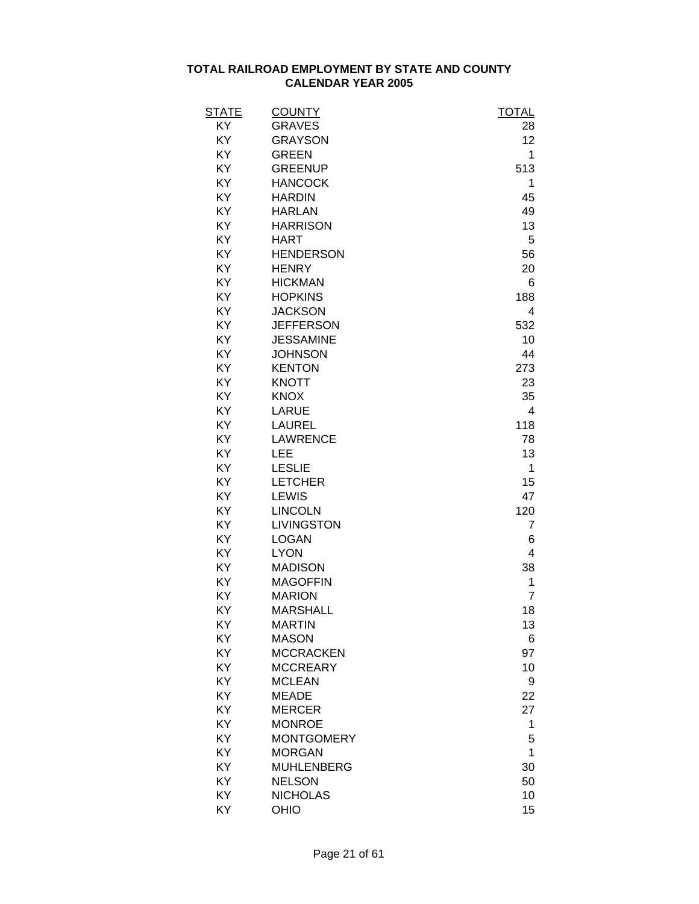| <b>STATE</b> | <b>COUNTY</b>     | <b>TOTAL</b>   |
|--------------|-------------------|----------------|
| KY           | <b>GRAVES</b>     | 28             |
| KY           | <b>GRAYSON</b>    | 12             |
| KY           | <b>GREEN</b>      | 1              |
| KY           | <b>GREENUP</b>    | 513            |
| KY           | <b>HANCOCK</b>    | 1              |
| KY           | <b>HARDIN</b>     | 45             |
| KY           | <b>HARLAN</b>     | 49             |
| KY           | <b>HARRISON</b>   | 13             |
| KY           | <b>HART</b>       | 5              |
| KY           | <b>HENDERSON</b>  | 56             |
| KY           | <b>HENRY</b>      | 20             |
| KY           | <b>HICKMAN</b>    | 6              |
| KY           | <b>HOPKINS</b>    | 188            |
| KY           | <b>JACKSON</b>    | 4              |
| KY           | <b>JEFFERSON</b>  | 532            |
| KY           | <b>JESSAMINE</b>  | 10             |
| KY           | <b>JOHNSON</b>    | 44             |
| KY           | <b>KENTON</b>     | 273            |
| KY           | <b>KNOTT</b>      | 23             |
| KY           | <b>KNOX</b>       | 35             |
| KY           | <b>LARUE</b>      | 4              |
| KY           | <b>LAUREL</b>     | 118            |
| KY           | <b>LAWRENCE</b>   | 78             |
| KY           | LEE               | 13             |
| KY           | <b>LESLIE</b>     | 1              |
| KY           | <b>LETCHER</b>    | 15             |
| KY           | <b>LEWIS</b>      | 47             |
| KY           | <b>LINCOLN</b>    | 120            |
| KY           | <b>LIVINGSTON</b> | $\overline{7}$ |
| KY           | <b>LOGAN</b>      | 6              |
| KY           | <b>LYON</b>       | $\overline{4}$ |
| KY           | <b>MADISON</b>    | 38             |
| KY           | <b>MAGOFFIN</b>   | 1              |
| KY           | <b>MARION</b>     | $\overline{7}$ |
| ΚY           | <b>MARSHALL</b>   | 18             |
| KY           | <b>MARTIN</b>     | 13             |
| KY           | <b>MASON</b>      | 6              |
| KY           | <b>MCCRACKEN</b>  | 97             |
| KY           | <b>MCCREARY</b>   | 10             |
| KY           | <b>MCLEAN</b>     | 9              |
| KY           | <b>MEADE</b>      | 22             |
| KY           | <b>MERCER</b>     | 27             |
| KY           | <b>MONROE</b>     | 1              |
| KY           | <b>MONTGOMERY</b> | 5              |
| KY           | <b>MORGAN</b>     | 1              |
| KY           | <b>MUHLENBERG</b> | 30             |
| KY           | <b>NELSON</b>     | 50             |
| KY           | <b>NICHOLAS</b>   | 10             |
| KY           | OHIO              | 15             |
|              |                   |                |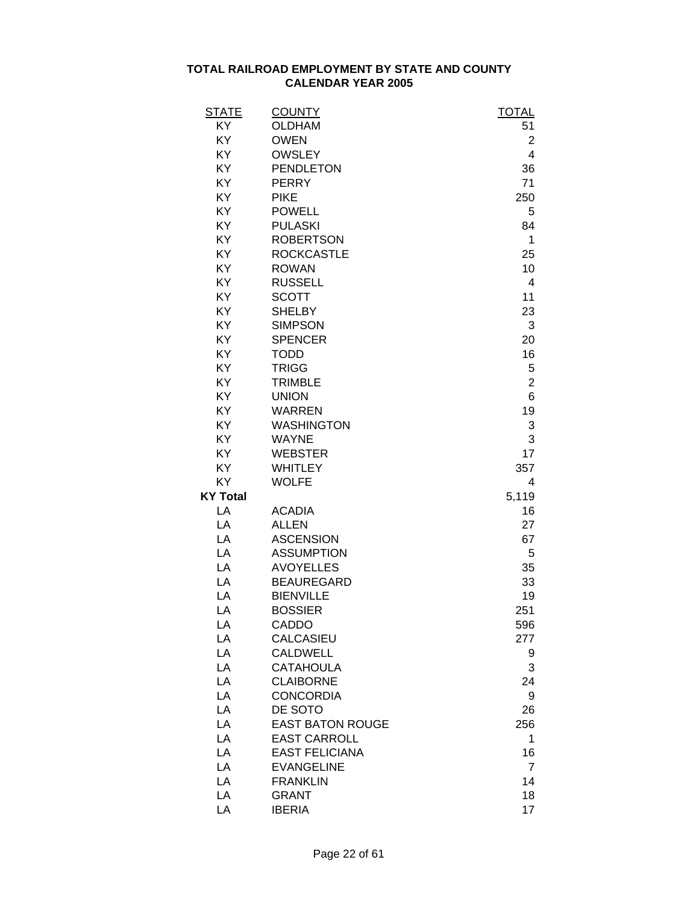| <b>STATE</b>    | <b>COUNTY</b>           | <b>TOTAL</b>   |
|-----------------|-------------------------|----------------|
| KY              | <b>OLDHAM</b>           | 51             |
| KY              | <b>OWEN</b>             | $\overline{2}$ |
| KY              | <b>OWSLEY</b>           | 4              |
| KY              | <b>PENDLETON</b>        | 36             |
| KY              | <b>PERRY</b>            | 71             |
| KY              | <b>PIKE</b>             | 250            |
| KY              | <b>POWELL</b>           | 5              |
| KY              | <b>PULASKI</b>          | 84             |
| KY              | <b>ROBERTSON</b>        | 1              |
| KY              | <b>ROCKCASTLE</b>       | 25             |
| KY              | <b>ROWAN</b>            | 10             |
| KY              | <b>RUSSELL</b>          | 4              |
| KY              | <b>SCOTT</b>            | 11             |
| KY              | <b>SHELBY</b>           | 23             |
| KY              | <b>SIMPSON</b>          | 3              |
| KY              | <b>SPENCER</b>          | 20             |
| KY              | <b>TODD</b>             | 16             |
| KY              | <b>TRIGG</b>            | 5              |
| KY              | <b>TRIMBLE</b>          | $\overline{2}$ |
| KY              | <b>UNION</b>            | 6              |
| KY              | <b>WARREN</b>           | 19             |
| KY              | <b>WASHINGTON</b>       | 3              |
| KY              | <b>WAYNE</b>            | 3              |
| KY              | <b>WEBSTER</b>          | 17             |
| KY              | <b>WHITLEY</b>          | 357            |
| KY              | <b>WOLFE</b>            | 4              |
| <b>KY Total</b> |                         | 5,119          |
| LA              | <b>ACADIA</b>           | 16             |
| LA              | <b>ALLEN</b>            | 27             |
| LA              | <b>ASCENSION</b>        | 67             |
| LA              | <b>ASSUMPTION</b>       | 5              |
| LA              | <b>AVOYELLES</b>        | 35             |
| LA              | <b>BEAUREGARD</b>       | 33             |
| LA              | <b>BIENVILLE</b>        | 19             |
| LA              | <b>BOSSIER</b>          | 251            |
| LA              | CADDO                   | 596            |
| LA              | CALCASIEU               | 277            |
| LA              | <b>CALDWELL</b>         | 9              |
| LA              | <b>CATAHOULA</b>        | 3              |
| LA              | <b>CLAIBORNE</b>        | 24             |
| LA              | <b>CONCORDIA</b>        | 9              |
| LA              | DE SOTO                 | 26             |
| LA              | <b>EAST BATON ROUGE</b> | 256            |
| LA              | <b>EAST CARROLL</b>     | 1              |
| LA              | <b>EAST FELICIANA</b>   | 16             |
| LA              | <b>EVANGELINE</b>       | $\overline{7}$ |
| LA              | <b>FRANKLIN</b>         | 14             |
| LA              | <b>GRANT</b>            | 18             |
| LA              | <b>IBERIA</b>           | 17             |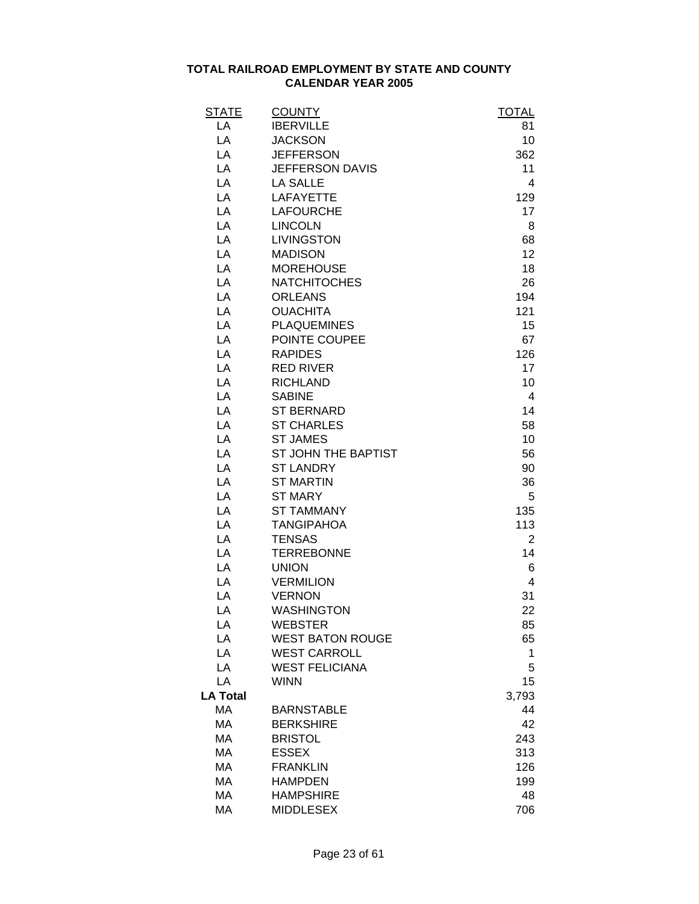| <b>STATE</b>    | <b>COUNTY</b>           | <b>TOTAL</b>   |
|-----------------|-------------------------|----------------|
| LA              | <b>IBERVILLE</b>        | 81             |
| LA              | <b>JACKSON</b>          | 10             |
| LA              | <b>JEFFERSON</b>        | 362            |
| LA              | <b>JEFFERSON DAVIS</b>  | 11             |
| LA              | <b>LA SALLE</b>         | 4              |
| LA              | <b>LAFAYETTE</b>        | 129            |
| LA              | <b>LAFOURCHE</b>        | 17             |
| LA              | <b>LINCOLN</b>          | 8              |
| LA              | <b>LIVINGSTON</b>       | 68             |
| LA              | <b>MADISON</b>          | 12             |
| LA              | <b>MOREHOUSE</b>        | 18             |
| LA              | <b>NATCHITOCHES</b>     | 26             |
| LA              | <b>ORLEANS</b>          | 194            |
| LA              | <b>OUACHITA</b>         | 121            |
| LA              | <b>PLAQUEMINES</b>      | 15             |
| LA              | POINTE COUPEE           | 67             |
| LA              | <b>RAPIDES</b>          | 126            |
| LA              | <b>RED RIVER</b>        | 17             |
| LA              | <b>RICHLAND</b>         | 10             |
| LA              | <b>SABINE</b>           | 4              |
| LA              | <b>ST BERNARD</b>       | 14             |
| LA              | <b>ST CHARLES</b>       | 58             |
| LA              | <b>ST JAMES</b>         | 10             |
| LA              | ST JOHN THE BAPTIST     | 56             |
| LA              | <b>ST LANDRY</b>        | 90             |
| LA              | <b>ST MARTIN</b>        | 36             |
| LA              | <b>ST MARY</b>          | 5              |
| LA              | <b>ST TAMMANY</b>       | 135            |
| LA              | <b>TANGIPAHOA</b>       | 113            |
| LA              | <b>TENSAS</b>           | $\overline{2}$ |
| LA              | <b>TERREBONNE</b>       | 14             |
| LA              | <b>UNION</b>            | 6              |
| LA              | <b>VERMILION</b>        | 4              |
| LA              | <b>VERNON</b>           | 31             |
| LA              | <b>WASHINGTON</b>       | 22             |
| LA              | <b>WEBSTER</b>          | 85             |
| LA              | <b>WEST BATON ROUGE</b> | 65             |
| LA              | <b>WEST CARROLL</b>     | 1              |
| LA              | <b>WEST FELICIANA</b>   | 5              |
| LA              | <b>WINN</b>             | 15             |
| <b>LA Total</b> |                         | 3,793          |
| MA              | <b>BARNSTABLE</b>       | 44             |
| MA              | <b>BERKSHIRE</b>        | 42             |
| <b>MA</b>       | <b>BRISTOL</b>          | 243            |
| MA              | <b>ESSEX</b>            | 313            |
| MA              | <b>FRANKLIN</b>         | 126            |
| MA              | <b>HAMPDEN</b>          | 199            |
| MA              | <b>HAMPSHIRE</b>        | 48             |
| MA              | <b>MIDDLESEX</b>        | 706            |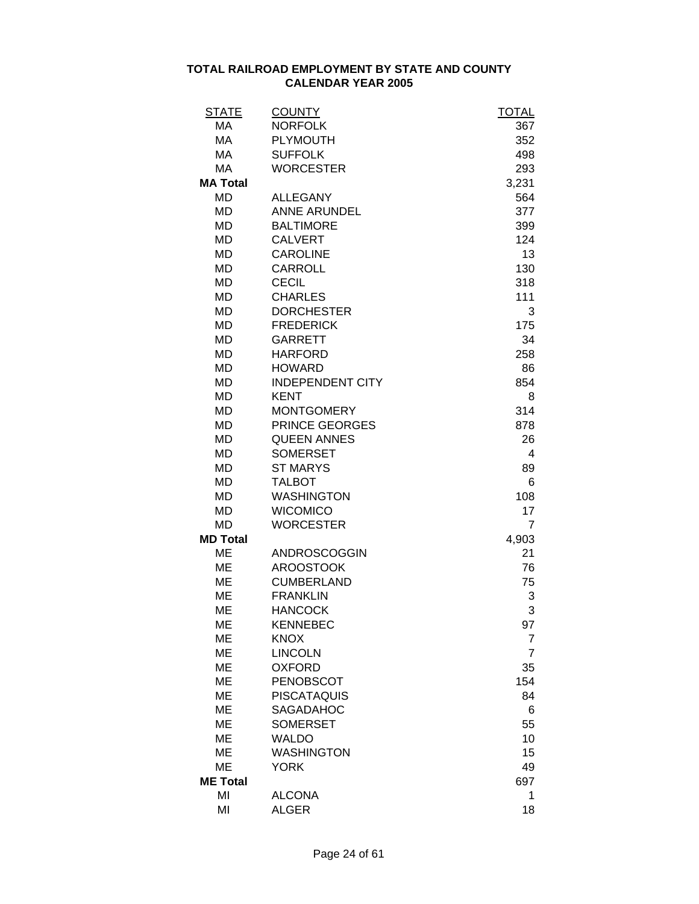| <b>STATE</b>    | <b>COUNTY</b>                 | <b>TOTAL</b>   |
|-----------------|-------------------------------|----------------|
| MA              | <b>NORFOLK</b>                | 367            |
| MA              | <b>PLYMOUTH</b>               | 352            |
| MA              | <b>SUFFOLK</b>                | 498            |
| MA              | <b>WORCESTER</b>              | 293            |
| <b>MA Total</b> |                               | 3,231          |
| MD              | <b>ALLEGANY</b>               | 564            |
| <b>MD</b>       | <b>ANNE ARUNDEL</b>           | 377            |
| <b>MD</b>       | <b>BALTIMORE</b>              | 399            |
| <b>MD</b>       | <b>CALVERT</b>                | 124            |
| <b>MD</b>       | <b>CAROLINE</b>               | 13             |
| <b>MD</b>       | <b>CARROLL</b>                | 130            |
| MD              | <b>CECIL</b>                  | 318            |
| <b>MD</b>       | <b>CHARLES</b>                | 111            |
| <b>MD</b>       | <b>DORCHESTER</b>             | 3              |
| <b>MD</b>       | <b>FREDERICK</b>              | 175            |
| <b>MD</b>       | <b>GARRETT</b>                | 34             |
| <b>MD</b>       | <b>HARFORD</b>                | 258            |
| <b>MD</b>       | <b>HOWARD</b>                 | 86             |
| MD              | <b>INDEPENDENT CITY</b>       | 854            |
| <b>MD</b>       | <b>KENT</b>                   | 8              |
| <b>MD</b>       | <b>MONTGOMERY</b>             | 314            |
| MD              | PRINCE GEORGES                | 878            |
| <b>MD</b>       | <b>QUEEN ANNES</b>            | 26             |
| <b>MD</b>       | <b>SOMERSET</b>               | 4              |
| MD              | <b>ST MARYS</b>               | 89             |
| <b>MD</b>       | <b>TALBOT</b>                 | 6              |
| <b>MD</b>       | <b>WASHINGTON</b>             | 108            |
| <b>MD</b>       | <b>WICOMICO</b>               | 17             |
| MD              | <b>WORCESTER</b>              | $\overline{7}$ |
| <b>MD Total</b> |                               | 4,903          |
| ME              | <b>ANDROSCOGGIN</b>           | 21             |
| ME              | <b>AROOSTOOK</b>              | 76             |
| <b>ME</b>       | <b>CUMBERLAND</b>             | 75             |
| <b>ME</b>       | <b>FRANKLIN</b>               | 3              |
| <b>ME</b>       | <b>HANCOCK</b>                | 3              |
| <b>ME</b>       | <b>KENNEBEC</b>               | 97             |
| <b>ME</b>       | <b>KNOX</b>                   | $\overline{7}$ |
| ME              | <b>LINCOLN</b>                | $\overline{7}$ |
| ME              | <b>OXFORD</b>                 | 35             |
| <b>ME</b>       | PENOBSCOT                     | 154            |
| ME              | <b>PISCATAQUIS</b>            | 84             |
| ME              | SAGADAHOC                     | 6              |
| ME              | <b>SOMERSET</b>               | 55             |
|                 | <b>WALDO</b>                  |                |
| ME              |                               | 10             |
| ME              | <b>WASHINGTON</b>             | 15             |
| ME              | YORK                          | 49             |
| <b>ME Total</b> |                               | 697            |
| MI<br>MI        | <b>ALCONA</b><br><b>ALGER</b> | 1<br>18        |
|                 |                               |                |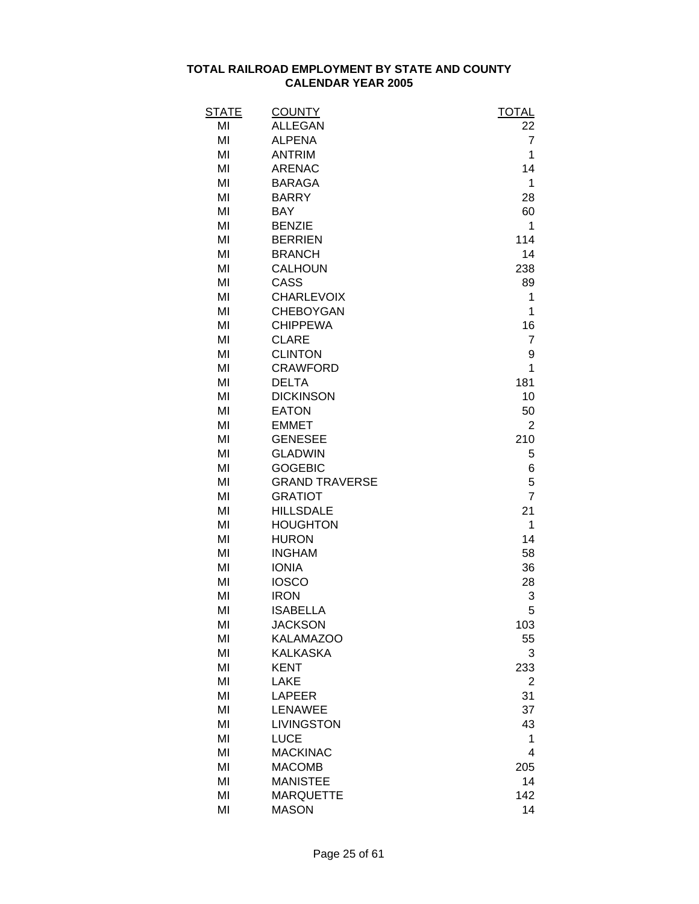| STATE | <b>COUNTY</b>         | <b>TOTAL</b>   |
|-------|-----------------------|----------------|
| MI    | <b>ALLEGAN</b>        | 22             |
| MI    | <b>ALPENA</b>         | $\overline{7}$ |
| MI    | <b>ANTRIM</b>         | 1              |
| MI    | <b>ARENAC</b>         | 14             |
| MI    | <b>BARAGA</b>         | 1              |
| MI    | <b>BARRY</b>          | 28             |
| MI    | <b>BAY</b>            | 60             |
| MI    | <b>BENZIE</b>         | 1              |
| MI    | <b>BERRIEN</b>        | 114            |
| MI    | <b>BRANCH</b>         | 14             |
| MI    | <b>CALHOUN</b>        | 238            |
| MI    | CASS                  | 89             |
| MI    | <b>CHARLEVOIX</b>     | 1              |
| MI    | <b>CHEBOYGAN</b>      | 1              |
| MI    | <b>CHIPPEWA</b>       | 16             |
| MI    | <b>CLARE</b>          | $\overline{7}$ |
| MI    | <b>CLINTON</b>        | 9              |
| MI    | <b>CRAWFORD</b>       | 1              |
| MI    | <b>DELTA</b>          | 181            |
| MI    | <b>DICKINSON</b>      | 10             |
| MI    | <b>EATON</b>          | 50             |
| MI    | <b>EMMET</b>          | $\overline{2}$ |
| MI    | <b>GENESEE</b>        | 210            |
| MI    | <b>GLADWIN</b>        | 5              |
| MI    | <b>GOGEBIC</b>        | 6              |
| MI    | <b>GRAND TRAVERSE</b> | 5              |
| MI    | <b>GRATIOT</b>        | $\overline{7}$ |
| MI    | <b>HILLSDALE</b>      | 21             |
| MI    | <b>HOUGHTON</b>       | 1              |
| MI    | <b>HURON</b>          | 14             |
| MI    | <b>INGHAM</b>         | 58             |
| MI    | <b>IONIA</b>          | 36             |
| MI    | <b>IOSCO</b>          | 28             |
| MI    | <b>IRON</b>           | 3              |
| MI    | <b>ISABELLA</b>       | 5              |
| MI    | <b>JACKSON</b>        | 103            |
| MI    | <b>KALAMAZOO</b>      | 55             |
| MI    | <b>KALKASKA</b>       | 3              |
| MI    | <b>KENT</b>           | 233            |
| MI    | <b>LAKE</b>           | 2              |
| MI    | <b>LAPEER</b>         | 31             |
| MI    | <b>LENAWEE</b>        | 37             |
| MI    | LIVINGSTON            | 43             |
| MI    | <b>LUCE</b>           | 1              |
| MI    | <b>MACKINAC</b>       | 4              |
| MI    | <b>MACOMB</b>         | 205            |
| MI    | <b>MANISTEE</b>       | 14             |
| MI    | <b>MARQUETTE</b>      | 142            |
| MI    | <b>MASON</b>          | 14             |
|       |                       |                |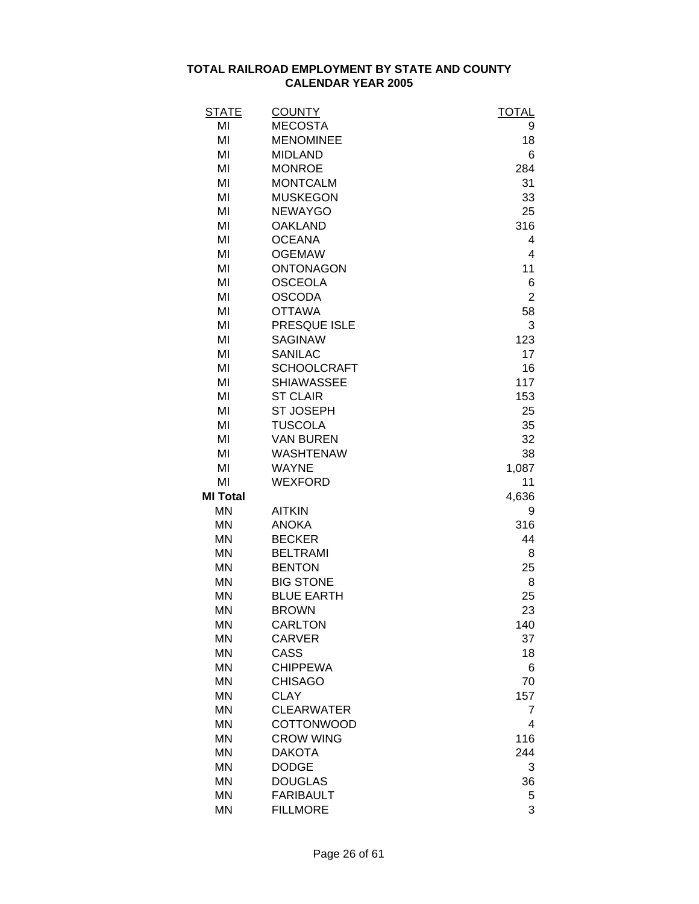| <b>STATE</b>    | <b>COUNTY</b>      | <b>TOTAL</b>   |
|-----------------|--------------------|----------------|
| MI              | <b>MECOSTA</b>     | 9              |
| MI              | <b>MENOMINEE</b>   | 18             |
| MI              | <b>MIDLAND</b>     | 6              |
| MI              | <b>MONROE</b>      | 284            |
| MI              | <b>MONTCALM</b>    | 31             |
| MI              | <b>MUSKEGON</b>    | 33             |
| MI              | <b>NEWAYGO</b>     | 25             |
| MI              | <b>OAKLAND</b>     | 316            |
| MI              | <b>OCEANA</b>      | 4              |
| MI              | <b>OGEMAW</b>      | 4              |
| MI              | <b>ONTONAGON</b>   | 11             |
| MI              | <b>OSCEOLA</b>     | 6              |
| MI              | <b>OSCODA</b>      | $\overline{2}$ |
| MI              | <b>OTTAWA</b>      | 58             |
| MI              | PRESQUE ISLE       | 3              |
| MI              | <b>SAGINAW</b>     | 123            |
| MI              | <b>SANILAC</b>     | 17             |
| MI              | <b>SCHOOLCRAFT</b> | 16             |
| MI              | <b>SHIAWASSEE</b>  | 117            |
| MI              | <b>ST CLAIR</b>    | 153            |
| MI              | <b>ST JOSEPH</b>   | 25             |
| MI              | <b>TUSCOLA</b>     | 35             |
| MI              | <b>VAN BUREN</b>   | 32             |
| MI              | <b>WASHTENAW</b>   | 38             |
| MI              | <b>WAYNE</b>       | 1,087          |
| MI              | <b>WEXFORD</b>     | 11             |
| <b>MI Total</b> |                    | 4,636          |
| <b>MN</b>       | <b>AITKIN</b>      | 9              |
| <b>MN</b>       | <b>ANOKA</b>       | 316            |
| <b>MN</b>       | <b>BECKER</b>      | 44             |
| <b>MN</b>       | <b>BELTRAMI</b>    | 8              |
| <b>MN</b>       | <b>BENTON</b>      | 25             |
| <b>MN</b>       | <b>BIG STONE</b>   | 8              |
| <b>MN</b>       | <b>BLUE EARTH</b>  | 25             |
| <b>MN</b>       | <b>BROWN</b>       | 23             |
| <b>MN</b>       | <b>CARLTON</b>     | 140            |
| <b>MN</b>       | <b>CARVER</b>      | 37             |
| <b>MN</b>       | CASS               | 18             |
| <b>MN</b>       | <b>CHIPPEWA</b>    | 6              |
| <b>MN</b>       | <b>CHISAGO</b>     | 70             |
| <b>MN</b>       | <b>CLAY</b>        | 157            |
| <b>MN</b>       | <b>CLEARWATER</b>  | 7              |
| <b>MN</b>       | <b>COTTONWOOD</b>  | 4              |
| <b>MN</b>       | <b>CROW WING</b>   | 116            |
| <b>MN</b>       | <b>DAKOTA</b>      | 244            |
| <b>MN</b>       | <b>DODGE</b>       | 3              |
| <b>MN</b>       | <b>DOUGLAS</b>     | 36             |
| <b>MN</b>       | <b>FARIBAULT</b>   | 5              |
| <b>MN</b>       | <b>FILLMORE</b>    | 3              |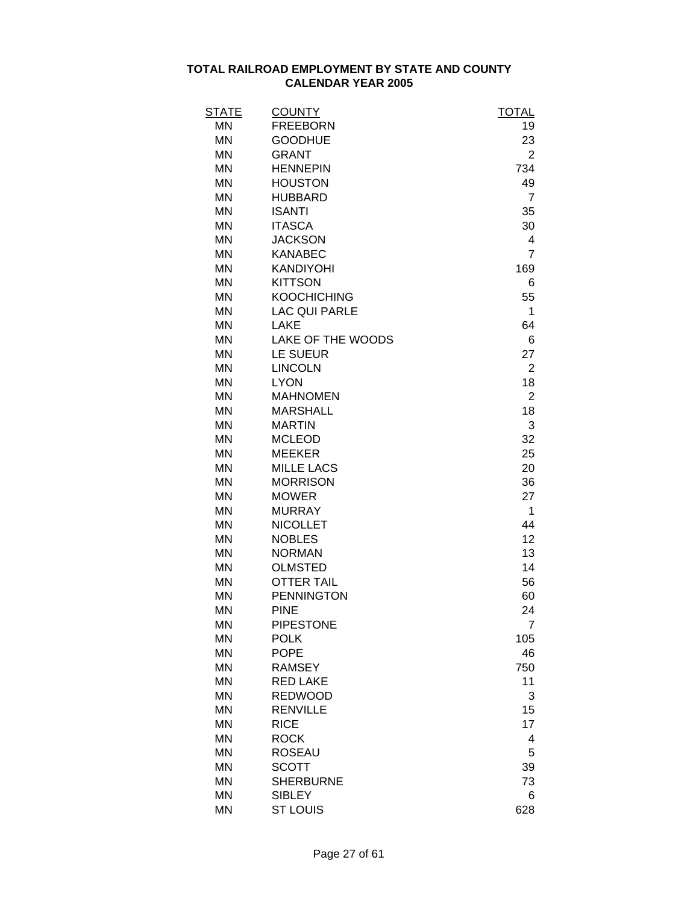| <b>STATE</b> | <b>COUNTY</b>        | <u>TOTAL</u>   |
|--------------|----------------------|----------------|
| MN           | <b>FREEBORN</b>      | 19             |
| <b>MN</b>    | <b>GOODHUE</b>       | 23             |
| <b>MN</b>    | <b>GRANT</b>         | $\overline{2}$ |
| <b>MN</b>    | <b>HENNEPIN</b>      | 734            |
| <b>MN</b>    | <b>HOUSTON</b>       | 49             |
| <b>MN</b>    | <b>HUBBARD</b>       | $\overline{7}$ |
| <b>MN</b>    | <b>ISANTI</b>        | 35             |
| <b>MN</b>    | <b>ITASCA</b>        | 30             |
| <b>MN</b>    | <b>JACKSON</b>       | 4              |
| <b>MN</b>    | <b>KANABEC</b>       | $\overline{7}$ |
| <b>MN</b>    | <b>KANDIYOHI</b>     | 169            |
| <b>MN</b>    | <b>KITTSON</b>       | 6              |
| <b>MN</b>    | <b>KOOCHICHING</b>   | 55             |
| <b>MN</b>    | <b>LAC QUI PARLE</b> | 1              |
| <b>MN</b>    | <b>LAKE</b>          | 64             |
| <b>MN</b>    | LAKE OF THE WOODS    | 6              |
| <b>MN</b>    | LE SUEUR             | 27             |
| <b>MN</b>    | <b>LINCOLN</b>       | $\overline{2}$ |
| <b>MN</b>    | <b>LYON</b>          | 18             |
| <b>MN</b>    | <b>MAHNOMEN</b>      | $\overline{2}$ |
| <b>MN</b>    | <b>MARSHALL</b>      | 18             |
| <b>MN</b>    | <b>MARTIN</b>        | 3              |
| <b>MN</b>    | <b>MCLEOD</b>        | 32             |
| <b>MN</b>    | <b>MEEKER</b>        | 25             |
| <b>MN</b>    | <b>MILLE LACS</b>    | 20             |
| <b>MN</b>    | <b>MORRISON</b>      | 36             |
| <b>MN</b>    | <b>MOWER</b>         | 27             |
| <b>MN</b>    | <b>MURRAY</b>        | $\mathbf 1$    |
| <b>MN</b>    | <b>NICOLLET</b>      | 44             |
| <b>MN</b>    | <b>NOBLES</b>        | 12             |
| <b>MN</b>    | <b>NORMAN</b>        | 13             |
| <b>MN</b>    | <b>OLMSTED</b>       | 14             |
| <b>MN</b>    | <b>OTTER TAIL</b>    | 56             |
| <b>MN</b>    | <b>PENNINGTON</b>    | 60             |
| MN           | <b>PINE</b>          | 24             |
| MN           | <b>PIPESTONE</b>     | 7              |
| <b>MN</b>    | <b>POLK</b>          | 105            |
| <b>MN</b>    | <b>POPE</b>          | 46             |
| <b>MN</b>    | <b>RAMSEY</b>        | 750            |
| <b>MN</b>    | <b>RED LAKE</b>      | 11             |
| <b>MN</b>    | <b>REDWOOD</b>       | 3              |
| <b>MN</b>    | <b>RENVILLE</b>      | 15             |
| <b>MN</b>    | <b>RICE</b>          | 17             |
| <b>MN</b>    | <b>ROCK</b>          | 4              |
| <b>MN</b>    | <b>ROSEAU</b>        | 5              |
| <b>MN</b>    | <b>SCOTT</b>         | 39             |
| MN           | <b>SHERBURNE</b>     | 73             |
| MN           | <b>SIBLEY</b>        | 6              |
| <b>MN</b>    | <b>ST LOUIS</b>      | 628            |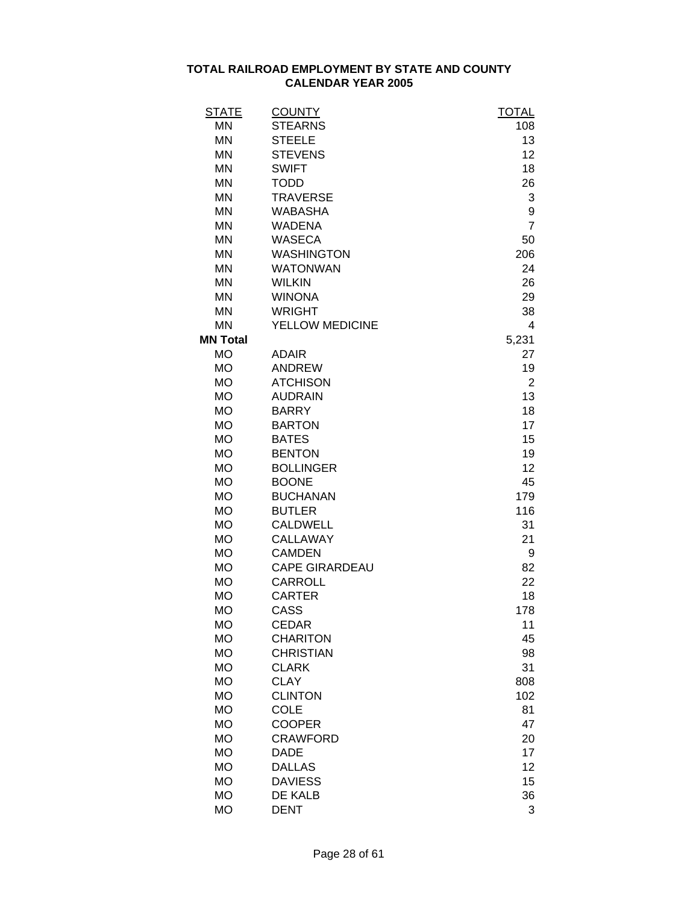| <b>STATE</b>    | <b>COUNTY</b>         | <b>TOTAL</b>   |
|-----------------|-----------------------|----------------|
| <b>MN</b>       | <b>STEARNS</b>        | 108            |
| <b>MN</b>       | <b>STEELE</b>         | 13             |
| <b>MN</b>       | <b>STEVENS</b>        | 12             |
| <b>MN</b>       | <b>SWIFT</b>          | 18             |
| <b>MN</b>       | <b>TODD</b>           | 26             |
| <b>MN</b>       | <b>TRAVERSE</b>       | 3              |
| <b>MN</b>       | <b>WABASHA</b>        | 9              |
| <b>MN</b>       | <b>WADENA</b>         | $\overline{7}$ |
| <b>MN</b>       | <b>WASECA</b>         | 50             |
| <b>MN</b>       | <b>WASHINGTON</b>     | 206            |
| <b>MN</b>       | <b>WATONWAN</b>       | 24             |
| <b>MN</b>       | <b>WILKIN</b>         | 26             |
| <b>MN</b>       | <b>WINONA</b>         | 29             |
| <b>MN</b>       | <b>WRIGHT</b>         | 38             |
| <b>MN</b>       | YELLOW MEDICINE       | $\overline{4}$ |
| <b>MN Total</b> |                       | 5,231          |
| <b>MO</b>       | <b>ADAIR</b>          | 27             |
| <b>MO</b>       | <b>ANDREW</b>         | 19             |
| <b>MO</b>       | <b>ATCHISON</b>       | $\overline{2}$ |
| <b>MO</b>       | <b>AUDRAIN</b>        | 13             |
| <b>MO</b>       | <b>BARRY</b>          | 18             |
| <b>MO</b>       | <b>BARTON</b>         | 17             |
| <b>MO</b>       | <b>BATES</b>          | 15             |
| <b>MO</b>       | <b>BENTON</b>         | 19             |
| <b>MO</b>       | <b>BOLLINGER</b>      | 12             |
| <b>MO</b>       | <b>BOONE</b>          | 45             |
| <b>MO</b>       | <b>BUCHANAN</b>       | 179            |
| <b>MO</b>       | <b>BUTLER</b>         | 116            |
| <b>MO</b>       | <b>CALDWELL</b>       | 31             |
| <b>MO</b>       | <b>CALLAWAY</b>       | 21             |
| <b>MO</b>       | <b>CAMDEN</b>         | 9              |
| <b>MO</b>       | <b>CAPE GIRARDEAU</b> | 82             |
| <b>MO</b>       | <b>CARROLL</b>        | 22             |
| <b>MO</b>       | <b>CARTER</b>         | 18             |
| <b>MO</b>       | CASS                  | 178            |
| <b>MO</b>       | <b>CEDAR</b>          | 11             |
| <b>MO</b>       | <b>CHARITON</b>       | 45             |
| <b>MO</b>       | <b>CHRISTIAN</b>      | 98             |
| <b>MO</b>       | <b>CLARK</b>          | 31             |
| <b>MO</b>       | <b>CLAY</b>           | 808            |
| <b>MO</b>       | <b>CLINTON</b>        | 102            |
| <b>MO</b>       | <b>COLE</b>           | 81             |
| <b>MO</b>       | <b>COOPER</b>         | 47             |
| <b>MO</b>       | <b>CRAWFORD</b>       | 20             |
| <b>MO</b>       | <b>DADE</b>           | 17             |
| <b>MO</b>       | <b>DALLAS</b>         | 12             |
| <b>MO</b>       | <b>DAVIESS</b>        | 15             |
| <b>MO</b>       | DE KALB               | 36             |
| <b>MO</b>       | <b>DENT</b>           | 3              |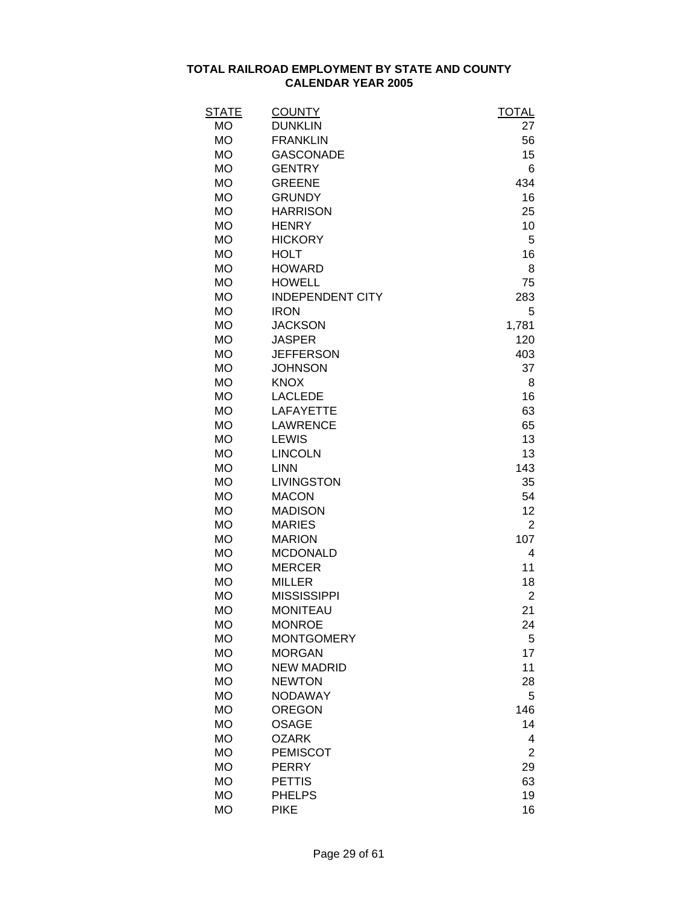| STATE                  | <b>COUNTY</b>                      | <b>TOTAL</b>   |
|------------------------|------------------------------------|----------------|
| <b>MO</b>              | <b>DUNKLIN</b>                     | 27             |
| <b>MO</b>              | <b>FRANKLIN</b>                    | 56             |
| <b>MO</b><br><b>MO</b> | <b>GASCONADE</b><br><b>GENTRY</b>  | 15             |
| <b>MO</b>              | <b>GREENE</b>                      | 6              |
| <b>MO</b>              | <b>GRUNDY</b>                      | 434<br>16      |
|                        | <b>HARRISON</b>                    | 25             |
| <b>MO</b><br><b>MO</b> | <b>HENRY</b>                       | 10             |
| <b>MO</b>              | <b>HICKORY</b>                     | 5              |
| <b>MO</b>              | <b>HOLT</b>                        | 16             |
| <b>MO</b>              | <b>HOWARD</b>                      | 8              |
| <b>MO</b>              | <b>HOWELL</b>                      | 75             |
| <b>MO</b>              | <b>INDEPENDENT CITY</b>            | 283            |
| <b>MO</b>              | <b>IRON</b>                        | 5              |
| <b>MO</b>              | <b>JACKSON</b>                     | 1,781          |
| <b>MO</b>              | <b>JASPER</b>                      | 120            |
| <b>MO</b>              | <b>JEFFERSON</b>                   | 403            |
| <b>MO</b>              | <b>JOHNSON</b>                     | 37             |
| <b>MO</b>              | <b>KNOX</b>                        | 8              |
| <b>MO</b>              | <b>LACLEDE</b>                     | 16             |
| <b>MO</b>              | <b>LAFAYETTE</b>                   | 63             |
| <b>MO</b>              | <b>LAWRENCE</b>                    | 65             |
| <b>MO</b>              | <b>LEWIS</b>                       | 13             |
| <b>MO</b>              | <b>LINCOLN</b>                     | 13             |
| <b>MO</b>              | <b>LINN</b>                        | 143            |
| <b>MO</b>              | <b>LIVINGSTON</b>                  | 35             |
| <b>MO</b>              | <b>MACON</b>                       | 54             |
| <b>MO</b>              | <b>MADISON</b>                     | 12             |
| <b>MO</b>              | <b>MARIES</b>                      | $\overline{2}$ |
| <b>MO</b>              | <b>MARION</b>                      | 107            |
| <b>MO</b>              | <b>MCDONALD</b>                    | 4              |
| <b>MO</b>              | <b>MERCER</b>                      | 11             |
| <b>MO</b>              | <b>MILLER</b>                      | 18             |
| <b>MO</b>              | <b>MISSISSIPPI</b>                 | $\overline{2}$ |
| <b>MO</b>              | <b>MONITEAU</b>                    | 21             |
| <b>MO</b>              | <b>MONROE</b>                      | 24             |
| <b>MO</b>              | <b>MONTGOMERY</b>                  | 5              |
| <b>MO</b>              | <b>MORGAN</b><br><b>NEW MADRID</b> | 17<br>11       |
| <b>MO</b><br><b>MO</b> | <b>NEWTON</b>                      | 28             |
| <b>MO</b>              | <b>NODAWAY</b>                     | 5              |
| <b>MO</b>              | <b>OREGON</b>                      | 146            |
| <b>MO</b>              | <b>OSAGE</b>                       | 14             |
| <b>MO</b>              | <b>OZARK</b>                       | 4              |
| <b>MO</b>              | <b>PEMISCOT</b>                    | $\overline{2}$ |
| <b>MO</b>              | <b>PERRY</b>                       | 29             |
| <b>MO</b>              | <b>PETTIS</b>                      | 63             |
| <b>MO</b>              | <b>PHELPS</b>                      | 19             |
| <b>MO</b>              | <b>PIKE</b>                        | 16             |
|                        |                                    |                |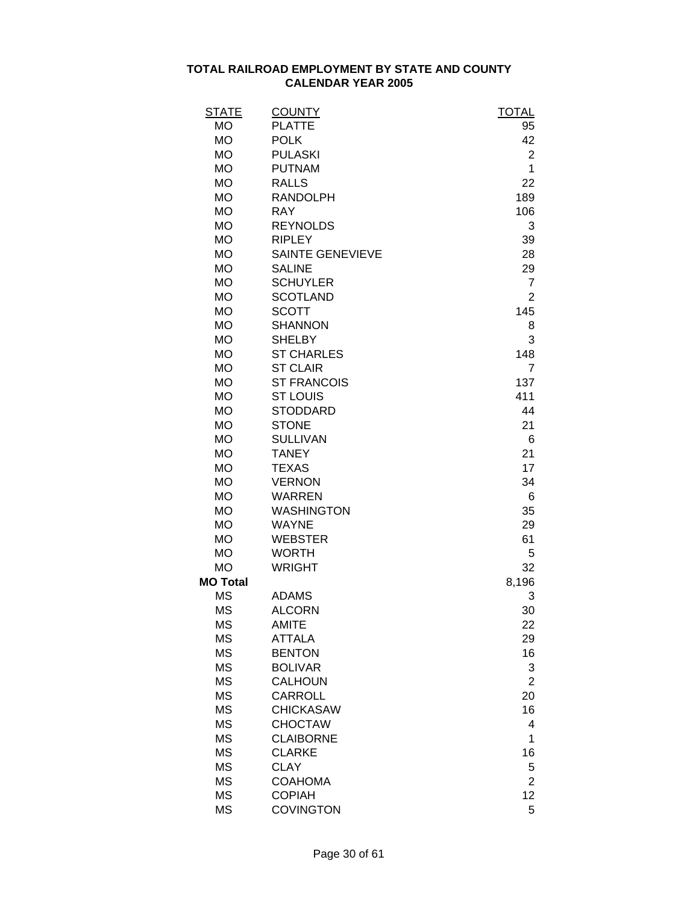| <b>STATE</b>    | <b>COUNTY</b>           | <b>TOTAL</b>   |
|-----------------|-------------------------|----------------|
| <b>MO</b>       | <b>PLATTE</b>           | 95             |
| <b>MO</b>       | <b>POLK</b>             | 42             |
| <b>MO</b>       | <b>PULASKI</b>          | $\overline{2}$ |
| <b>MO</b>       | <b>PUTNAM</b>           | 1              |
| <b>MO</b>       | <b>RALLS</b>            | 22             |
| <b>MO</b>       | <b>RANDOLPH</b>         | 189            |
| <b>MO</b>       | <b>RAY</b>              | 106            |
| <b>MO</b>       | <b>REYNOLDS</b>         | 3              |
| <b>MO</b>       | <b>RIPLEY</b>           | 39             |
| <b>MO</b>       | <b>SAINTE GENEVIEVE</b> | 28             |
| <b>MO</b>       | <b>SALINE</b>           | 29             |
| <b>MO</b>       | <b>SCHUYLER</b>         | $\overline{7}$ |
| <b>MO</b>       | <b>SCOTLAND</b>         | $\overline{2}$ |
| <b>MO</b>       | <b>SCOTT</b>            | 145            |
| <b>MO</b>       | <b>SHANNON</b>          | 8              |
| <b>MO</b>       | <b>SHELBY</b>           | 3              |
| <b>MO</b>       | <b>ST CHARLES</b>       | 148            |
| <b>MO</b>       | <b>ST CLAIR</b>         | $\overline{7}$ |
| <b>MO</b>       | <b>ST FRANCOIS</b>      | 137            |
| <b>MO</b>       | <b>ST LOUIS</b>         | 411            |
| <b>MO</b>       | <b>STODDARD</b>         | 44             |
| <b>MO</b>       | <b>STONE</b>            | 21             |
| <b>MO</b>       | <b>SULLIVAN</b>         | 6              |
| <b>MO</b>       | <b>TANEY</b>            | 21             |
| <b>MO</b>       | <b>TEXAS</b>            | 17             |
| <b>MO</b>       | <b>VERNON</b>           | 34             |
| <b>MO</b>       | <b>WARREN</b>           | 6              |
| <b>MO</b>       | <b>WASHINGTON</b>       | 35             |
| <b>MO</b>       | <b>WAYNE</b>            | 29             |
| <b>MO</b>       | <b>WEBSTER</b>          | 61             |
| <b>MO</b>       | <b>WORTH</b>            | 5              |
| <b>MO</b>       | <b>WRIGHT</b>           | 32             |
| <b>MO Total</b> |                         | 8,196          |
| <b>MS</b>       | <b>ADAMS</b>            | 3              |
| <b>MS</b>       | <b>ALCORN</b>           | 30             |
| <b>MS</b>       | <b>AMITE</b>            | 22             |
| <b>MS</b>       | <b>ATTALA</b>           | 29             |
| <b>MS</b>       | <b>BENTON</b>           | 16             |
| <b>MS</b>       | <b>BOLIVAR</b>          | 3              |
| <b>MS</b>       | <b>CALHOUN</b>          | $\overline{2}$ |
| <b>MS</b>       | <b>CARROLL</b>          | 20             |
| <b>MS</b>       | <b>CHICKASAW</b>        | 16             |
| <b>MS</b>       | <b>CHOCTAW</b>          | 4              |
| <b>MS</b>       | <b>CLAIBORNE</b>        | 1              |
| <b>MS</b>       | <b>CLARKE</b>           | 16             |
| <b>MS</b>       | <b>CLAY</b>             | 5              |
| <b>MS</b>       | <b>COAHOMA</b>          | $\overline{2}$ |
| <b>MS</b>       | <b>COPIAH</b>           | 12             |
| <b>MS</b>       | <b>COVINGTON</b>        | 5              |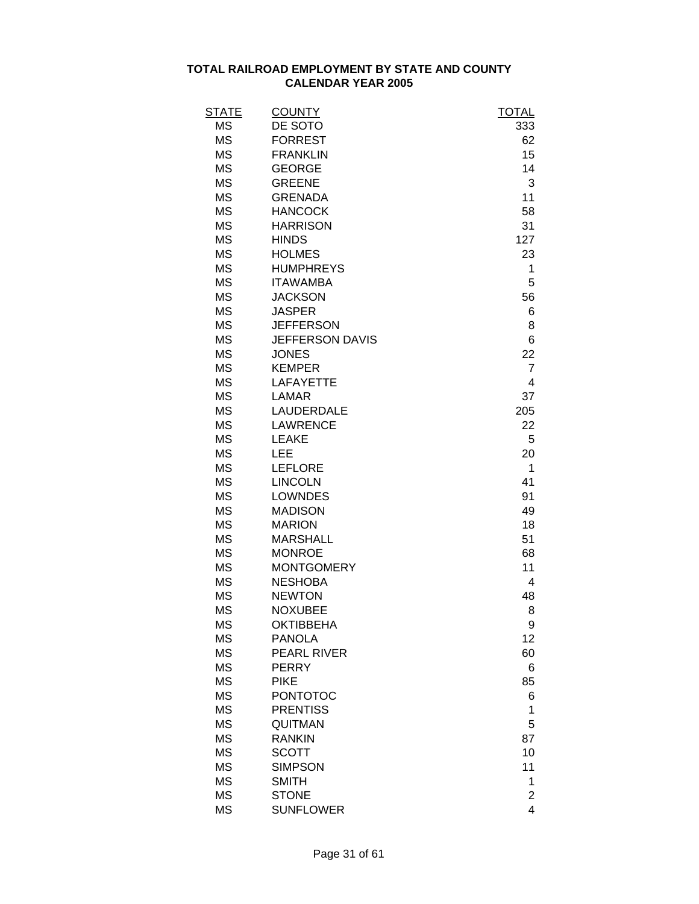| STATE     | <b>COUNTY</b>          | <b>TOTAL</b>            |
|-----------|------------------------|-------------------------|
| <b>MS</b> | DE SOTO                | 333                     |
| <b>MS</b> | <b>FORREST</b>         | 62                      |
| <b>MS</b> | <b>FRANKLIN</b>        | 15                      |
| <b>MS</b> | <b>GEORGE</b>          | 14                      |
| <b>MS</b> | <b>GREENE</b>          | 3                       |
| <b>MS</b> | <b>GRENADA</b>         | 11                      |
| <b>MS</b> | <b>HANCOCK</b>         | 58                      |
| <b>MS</b> | <b>HARRISON</b>        | 31                      |
| <b>MS</b> | <b>HINDS</b>           | 127                     |
| <b>MS</b> | <b>HOLMES</b>          | 23                      |
| <b>MS</b> | <b>HUMPHREYS</b>       | 1                       |
| <b>MS</b> | <b>ITAWAMBA</b>        | 5                       |
| <b>MS</b> | <b>JACKSON</b>         | 56                      |
| <b>MS</b> | <b>JASPER</b>          | 6                       |
| <b>MS</b> | <b>JEFFERSON</b>       | 8                       |
| <b>MS</b> | <b>JEFFERSON DAVIS</b> | 6                       |
| <b>MS</b> | <b>JONES</b>           | 22                      |
| <b>MS</b> | <b>KEMPER</b>          | $\overline{7}$          |
| <b>MS</b> | <b>LAFAYETTE</b>       | 4                       |
| <b>MS</b> | <b>LAMAR</b>           | 37                      |
| <b>MS</b> | LAUDERDALE             | 205                     |
| <b>MS</b> | <b>LAWRENCE</b>        | 22                      |
| <b>MS</b> | <b>LEAKE</b>           | 5                       |
| <b>MS</b> | LEE                    | 20                      |
| <b>MS</b> | <b>LEFLORE</b>         | 1                       |
| <b>MS</b> | <b>LINCOLN</b>         | 41                      |
| <b>MS</b> | <b>LOWNDES</b>         | 91                      |
| <b>MS</b> | <b>MADISON</b>         | 49                      |
| <b>MS</b> | <b>MARION</b>          | 18                      |
| <b>MS</b> | <b>MARSHALL</b>        | 51                      |
| <b>MS</b> | <b>MONROE</b>          | 68                      |
| <b>MS</b> | <b>MONTGOMERY</b>      | 11                      |
| <b>MS</b> | <b>NESHOBA</b>         | 4                       |
| <b>MS</b> | <b>NEWTON</b>          | 48                      |
| MS        | <b>NOXUBEE</b>         | 8                       |
| <b>MS</b> | <b>OKTIBBEHA</b>       | 9                       |
| <b>MS</b> | <b>PANOLA</b>          | 12                      |
| <b>MS</b> | PEARL RIVER            | 60                      |
| <b>MS</b> | <b>PERRY</b>           | 6                       |
| <b>MS</b> | <b>PIKE</b>            | 85                      |
| <b>MS</b> | <b>PONTOTOC</b>        | 6                       |
| <b>MS</b> | <b>PRENTISS</b>        | 1                       |
| <b>MS</b> | QUITMAN                | 5                       |
| <b>MS</b> | <b>RANKIN</b>          | 87                      |
| <b>MS</b> | <b>SCOTT</b>           | 10                      |
| <b>MS</b> | <b>SIMPSON</b>         | 11                      |
| <b>MS</b> | <b>SMITH</b>           | 1                       |
| <b>MS</b> | <b>STONE</b>           | 2                       |
| <b>MS</b> | <b>SUNFLOWER</b>       | $\overline{\mathbf{4}}$ |
|           |                        |                         |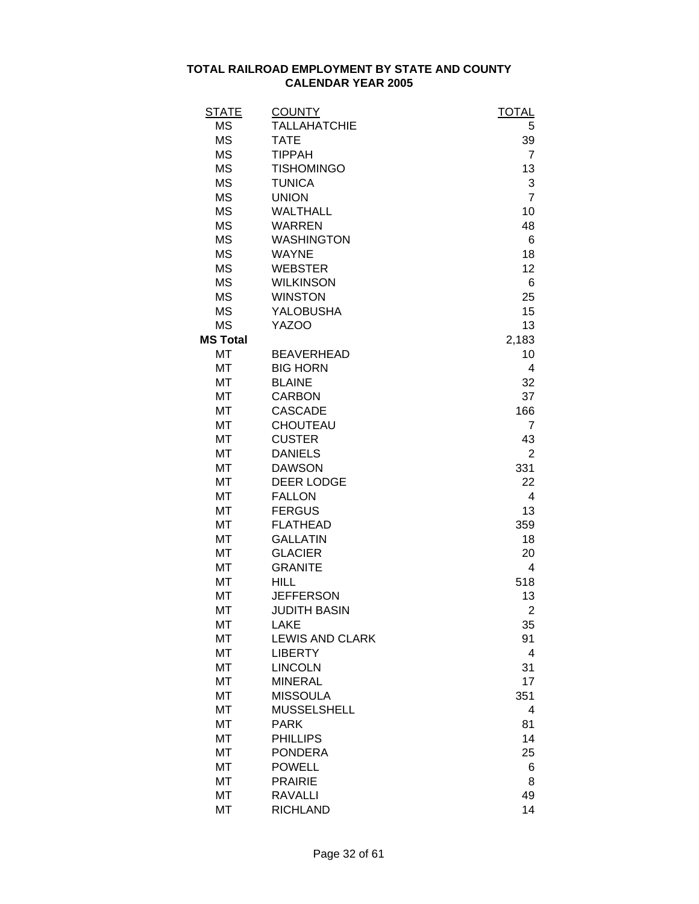| <b>STATE</b>    | <b>COUNTY</b>          | <b>TOTAL</b>   |
|-----------------|------------------------|----------------|
| <b>MS</b>       | <b>TALLAHATCHIE</b>    | 5              |
| <b>MS</b>       | <b>TATE</b>            | 39             |
| <b>MS</b>       | <b>TIPPAH</b>          | $\overline{7}$ |
| <b>MS</b>       | <b>TISHOMINGO</b>      | 13             |
| <b>MS</b>       | <b>TUNICA</b>          | 3              |
| <b>MS</b>       | <b>UNION</b>           | $\overline{7}$ |
| <b>MS</b>       | <b>WALTHALL</b>        | 10             |
| <b>MS</b>       | <b>WARREN</b>          | 48             |
| <b>MS</b>       | <b>WASHINGTON</b>      | 6              |
| <b>MS</b>       | <b>WAYNE</b>           | 18             |
| <b>MS</b>       | <b>WEBSTER</b>         | 12             |
| <b>MS</b>       | <b>WILKINSON</b>       | 6              |
| <b>MS</b>       | <b>WINSTON</b>         | 25             |
| <b>MS</b>       | <b>YALOBUSHA</b>       | 15             |
| <b>MS</b>       | <b>YAZOO</b>           | 13             |
| <b>MS Total</b> |                        | 2,183          |
| МT              | <b>BEAVERHEAD</b>      | 10             |
| MT              | <b>BIG HORN</b>        | 4              |
| MT              | <b>BLAINE</b>          | 32             |
| MT              | <b>CARBON</b>          | 37             |
| MT              | <b>CASCADE</b>         | 166            |
| MT              | CHOUTEAU               | $\overline{7}$ |
| MT              | <b>CUSTER</b>          | 43             |
| MT              | <b>DANIELS</b>         | 2              |
| MT              | <b>DAWSON</b>          | 331            |
| <b>MT</b>       | <b>DEER LODGE</b>      | 22             |
| MT              | <b>FALLON</b>          | 4              |
| MT              | <b>FERGUS</b>          | 13             |
| MT              | <b>FLATHEAD</b>        | 359            |
| MT              | <b>GALLATIN</b>        | 18             |
| MT              | <b>GLACIER</b>         | 20             |
| MT              | <b>GRANITE</b>         | 4              |
| MT              | <b>HILL</b>            | 518            |
| MT              | <b>JEFFERSON</b>       | 13             |
| MT              | <b>JUDITH BASIN</b>    | 2              |
| МT              | LAKE                   | 35             |
| <b>MT</b>       | <b>LEWIS AND CLARK</b> | 91             |
| MT              | <b>LIBERTY</b>         | 4              |
| MT              | <b>LINCOLN</b>         | 31             |
| MT              | <b>MINERAL</b>         | 17             |
| MT              | <b>MISSOULA</b>        | 351            |
| MT              | <b>MUSSELSHELL</b>     | 4              |
| MT              | <b>PARK</b>            | 81             |
| MT              | <b>PHILLIPS</b>        | 14             |
| MT              | <b>PONDERA</b>         | 25             |
| MT              | <b>POWELL</b>          | 6              |
| MT              | <b>PRAIRIE</b>         | 8              |
| <b>MT</b>       | <b>RAVALLI</b>         | 49             |
| <b>MT</b>       | <b>RICHLAND</b>        | 14             |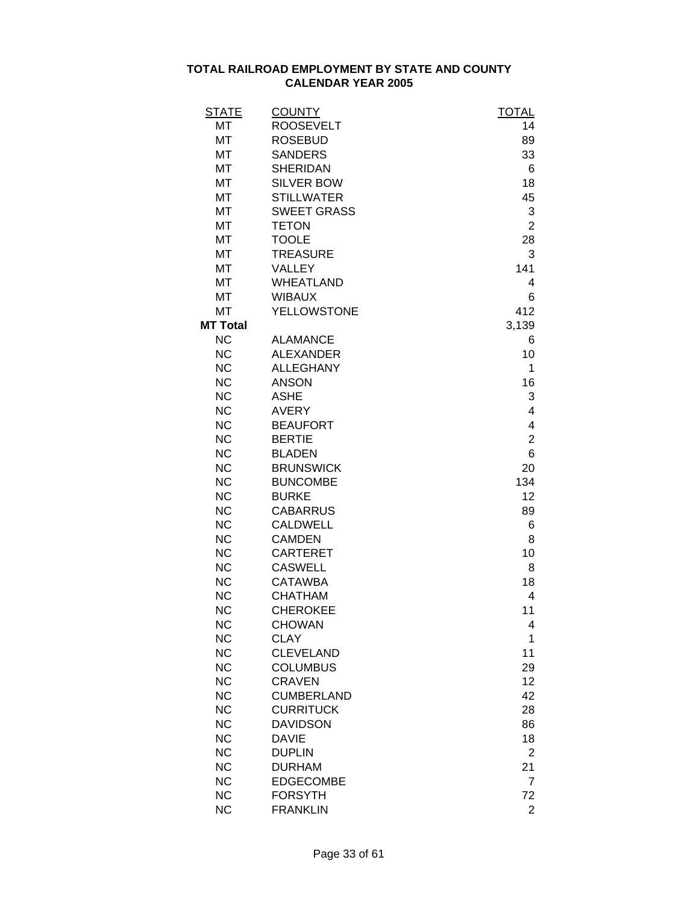| <b>STATE</b>    | <b>COUNTY</b>      | <b>TOTAL</b>   |
|-----------------|--------------------|----------------|
| MT              | <b>ROOSEVELT</b>   | 14             |
| MT              | <b>ROSEBUD</b>     | 89             |
| <b>MT</b>       | <b>SANDERS</b>     | 33             |
| MT              | <b>SHERIDAN</b>    | 6              |
| MT              | <b>SILVER BOW</b>  | 18             |
| MT              | <b>STILLWATER</b>  | 45             |
| MT              | <b>SWEET GRASS</b> | 3              |
| MT              | <b>TETON</b>       | $\overline{2}$ |
| MT              | <b>TOOLE</b>       | 28             |
| MT              | <b>TREASURE</b>    | 3              |
| MT              | VALLEY             | 141            |
| MT              | <b>WHEATLAND</b>   | 4              |
| MT              | <b>WIBAUX</b>      | 6              |
| <b>MT</b>       | <b>YELLOWSTONE</b> | 412            |
| <b>MT Total</b> |                    | 3,139          |
| <b>NC</b>       | <b>ALAMANCE</b>    | 6              |
| <b>NC</b>       | <b>ALEXANDER</b>   | 10             |
| <b>NC</b>       | <b>ALLEGHANY</b>   | 1              |
| <b>NC</b>       | <b>ANSON</b>       | 16             |
| <b>NC</b>       | <b>ASHE</b>        |                |
|                 |                    | 3              |
| <b>NC</b>       | <b>AVERY</b>       | 4              |
| <b>NC</b>       | <b>BEAUFORT</b>    | 4              |
| <b>NC</b>       | <b>BERTIE</b>      | $\overline{2}$ |
| <b>NC</b>       | <b>BLADEN</b>      | 6              |
| <b>NC</b>       | <b>BRUNSWICK</b>   | 20             |
| <b>NC</b>       | <b>BUNCOMBE</b>    | 134            |
| <b>NC</b>       | <b>BURKE</b>       | 12             |
| <b>NC</b>       | <b>CABARRUS</b>    | 89             |
| <b>NC</b>       | <b>CALDWELL</b>    | 6              |
| <b>NC</b>       | <b>CAMDEN</b>      | 8              |
| <b>NC</b>       | <b>CARTERET</b>    | 10             |
| <b>NC</b>       | <b>CASWELL</b>     | 8              |
| <b>NC</b>       | <b>CATAWBA</b>     | 18             |
| <b>NC</b>       | <b>CHATHAM</b>     | 4              |
| <b>NC</b>       | <b>CHEROKEE</b>    | 11             |
| <b>NC</b>       | <b>CHOWAN</b>      | 4              |
| <b>NC</b>       | <b>CLAY</b>        | 1              |
| <b>NC</b>       | <b>CLEVELAND</b>   | 11             |
| <b>NC</b>       | <b>COLUMBUS</b>    | 29             |
| <b>NC</b>       | <b>CRAVEN</b>      | 12             |
| <b>NC</b>       | <b>CUMBERLAND</b>  | 42             |
| <b>NC</b>       | <b>CURRITUCK</b>   | 28             |
| <b>NC</b>       | <b>DAVIDSON</b>    | 86             |
| <b>NC</b>       | <b>DAVIE</b>       | 18             |
| <b>NC</b>       | <b>DUPLIN</b>      | $\overline{2}$ |
| <b>NC</b>       | <b>DURHAM</b>      | 21             |
| <b>NC</b>       | <b>EDGECOMBE</b>   | $\overline{7}$ |
| <b>NC</b>       | <b>FORSYTH</b>     | 72             |
| <b>NC</b>       | <b>FRANKLIN</b>    | $\overline{2}$ |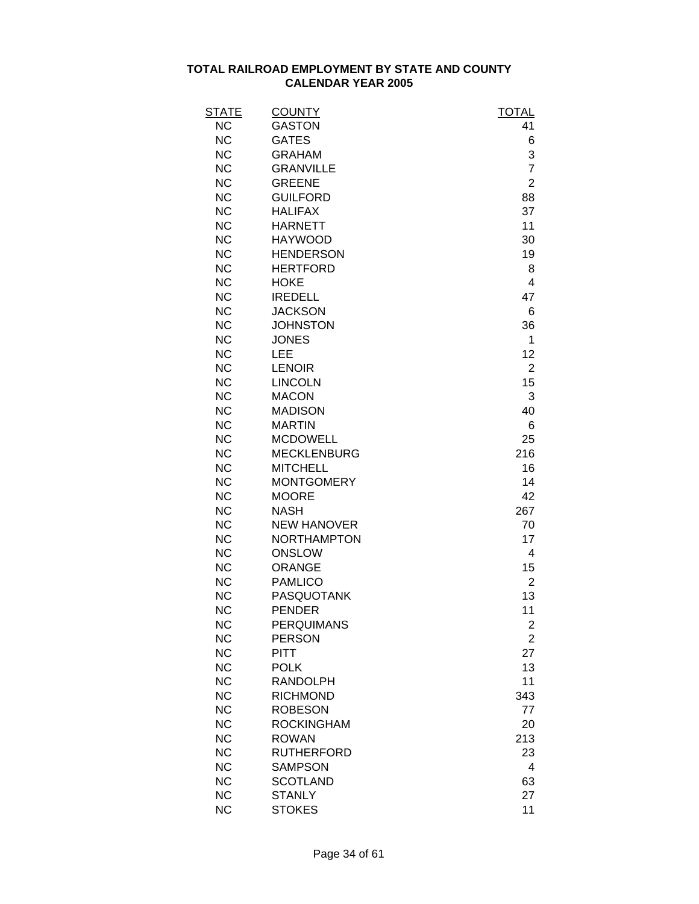| <b>STATE</b> | <b>COUNTY</b>      | <b>TOTAL</b>   |
|--------------|--------------------|----------------|
| <b>NC</b>    | <b>GASTON</b>      | 41             |
| <b>NC</b>    | <b>GATES</b>       | 6              |
| <b>NC</b>    | <b>GRAHAM</b>      | 3              |
| <b>NC</b>    | <b>GRANVILLE</b>   | $\overline{7}$ |
| <b>NC</b>    | <b>GREENE</b>      | $\overline{2}$ |
| <b>NC</b>    | <b>GUILFORD</b>    | 88             |
| <b>NC</b>    | <b>HALIFAX</b>     | 37             |
| <b>NC</b>    | <b>HARNETT</b>     | 11             |
| <b>NC</b>    | <b>HAYWOOD</b>     | 30             |
| <b>NC</b>    | <b>HENDERSON</b>   | 19             |
| <b>NC</b>    | <b>HERTFORD</b>    | 8              |
| <b>NC</b>    | <b>HOKE</b>        | 4              |
| <b>NC</b>    | <b>IREDELL</b>     | 47             |
| <b>NC</b>    | <b>JACKSON</b>     | 6              |
| <b>NC</b>    | <b>JOHNSTON</b>    | 36             |
| <b>NC</b>    | <b>JONES</b>       | 1              |
| <b>NC</b>    | LEE                | 12             |
| <b>NC</b>    | <b>LENOIR</b>      | $\overline{2}$ |
| <b>NC</b>    | <b>LINCOLN</b>     | 15             |
| <b>NC</b>    | <b>MACON</b>       | 3              |
| <b>NC</b>    | <b>MADISON</b>     | 40             |
| <b>NC</b>    | <b>MARTIN</b>      | 6              |
| <b>NC</b>    | <b>MCDOWELL</b>    | 25             |
| <b>NC</b>    | <b>MECKLENBURG</b> | 216            |
| <b>NC</b>    | <b>MITCHELL</b>    | 16             |
| <b>NC</b>    | <b>MONTGOMERY</b>  | 14             |
| <b>NC</b>    | <b>MOORE</b>       | 42             |
| <b>NC</b>    | <b>NASH</b>        | 267            |
| <b>NC</b>    | <b>NEW HANOVER</b> | 70             |
| <b>NC</b>    | <b>NORTHAMPTON</b> | 17             |
| <b>NC</b>    | <b>ONSLOW</b>      | 4              |
| <b>NC</b>    | <b>ORANGE</b>      | 15             |
| <b>NC</b>    | <b>PAMLICO</b>     | $\overline{2}$ |
| <b>NC</b>    | <b>PASQUOTANK</b>  | 13             |
| <b>NC</b>    | <b>PENDER</b>      | 11             |
| <b>NC</b>    | <b>PERQUIMANS</b>  | 2              |
| <b>NC</b>    | <b>PERSON</b>      | $\overline{2}$ |
| <b>NC</b>    | PITT               | 27             |
| <b>NC</b>    | <b>POLK</b>        | 13             |
| <b>NC</b>    | <b>RANDOLPH</b>    | 11             |
| <b>NC</b>    | <b>RICHMOND</b>    | 343            |
| <b>NC</b>    | <b>ROBESON</b>     | 77             |
| <b>NC</b>    | <b>ROCKINGHAM</b>  | 20             |
| <b>NC</b>    | <b>ROWAN</b>       | 213            |
| <b>NC</b>    | <b>RUTHERFORD</b>  | 23             |
| <b>NC</b>    | <b>SAMPSON</b>     | 4              |
| <b>NC</b>    | <b>SCOTLAND</b>    | 63             |
| <b>NC</b>    | <b>STANLY</b>      | 27             |
| <b>NC</b>    | <b>STOKES</b>      | 11             |
|              |                    |                |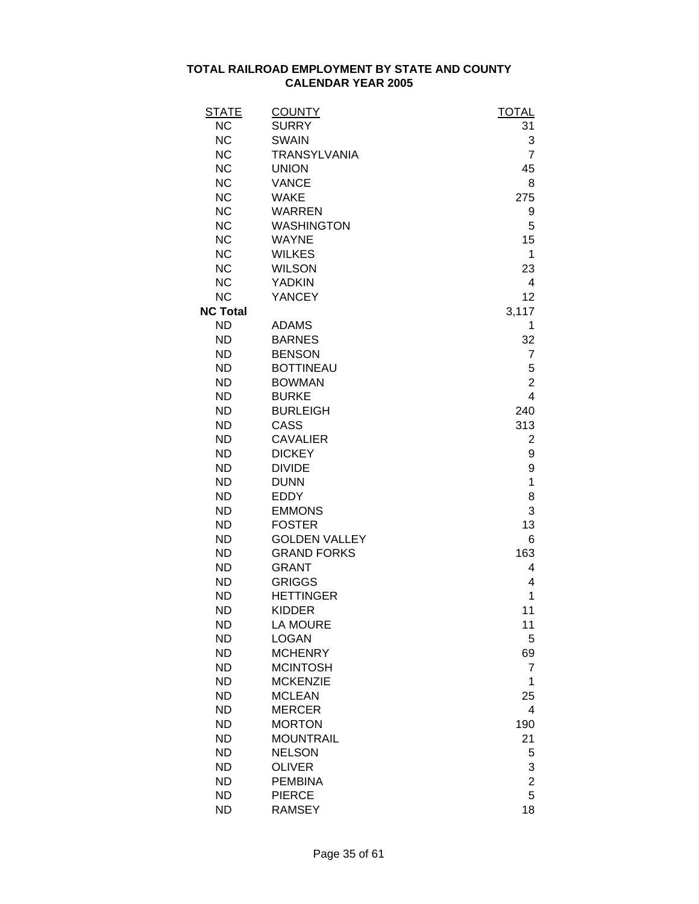| <u>STATE</u>    | <b>COUNTY</b>        | <b>TOTAL</b>            |
|-----------------|----------------------|-------------------------|
| <b>NC</b>       | <b>SURRY</b>         | 31                      |
| <b>NC</b>       | <b>SWAIN</b>         | 3                       |
| <b>NC</b>       | <b>TRANSYLVANIA</b>  | $\overline{7}$          |
| <b>NC</b>       | <b>UNION</b>         | 45                      |
| <b>NC</b>       | <b>VANCE</b>         | 8                       |
| <b>NC</b>       | <b>WAKE</b>          | 275                     |
| <b>NC</b>       | <b>WARREN</b>        | 9                       |
| <b>NC</b>       | <b>WASHINGTON</b>    | 5                       |
| <b>NC</b>       | <b>WAYNE</b>         | 15                      |
| <b>NC</b>       | <b>WILKES</b>        | 1                       |
| <b>NC</b>       | <b>WILSON</b>        | 23                      |
| <b>NC</b>       | <b>YADKIN</b>        | 4                       |
| <b>NC</b>       | YANCEY               | 12                      |
| <b>NC Total</b> |                      | 3,117                   |
| <b>ND</b>       | <b>ADAMS</b>         | 1                       |
| <b>ND</b>       | <b>BARNES</b>        | 32                      |
| <b>ND</b>       | <b>BENSON</b>        | $\overline{7}$          |
| <b>ND</b>       | <b>BOTTINEAU</b>     | 5                       |
| <b>ND</b>       | <b>BOWMAN</b>        | $\overline{c}$          |
| <b>ND</b>       | <b>BURKE</b>         | $\overline{\mathbf{4}}$ |
| <b>ND</b>       | <b>BURLEIGH</b>      | 240                     |
| <b>ND</b>       | CASS                 | 313                     |
| <b>ND</b>       | <b>CAVALIER</b>      | 2                       |
| <b>ND</b>       | <b>DICKEY</b>        | 9                       |
| <b>ND</b>       | <b>DIVIDE</b>        | 9                       |
| <b>ND</b>       | <b>DUNN</b>          | 1                       |
| <b>ND</b>       | <b>EDDY</b>          | 8                       |
| <b>ND</b>       | <b>EMMONS</b>        | 3                       |
| <b>ND</b>       | <b>FOSTER</b>        | 13                      |
| <b>ND</b>       | <b>GOLDEN VALLEY</b> | 6                       |
| <b>ND</b>       | <b>GRAND FORKS</b>   | 163                     |
| <b>ND</b>       | <b>GRANT</b>         | 4                       |
| <b>ND</b>       | <b>GRIGGS</b>        | 4                       |
| <b>ND</b>       | <b>HETTINGER</b>     | 1                       |
| <b>ND</b>       | <b>KIDDER</b>        | 11                      |
| <b>ND</b>       | <b>LA MOURE</b>      | 11                      |
| <b>ND</b>       | <b>LOGAN</b>         | 5                       |
| <b>ND</b>       | <b>MCHENRY</b>       | 69                      |
| <b>ND</b>       | <b>MCINTOSH</b>      | 7                       |
| <b>ND</b>       | <b>MCKENZIE</b>      | 1                       |
| <b>ND</b>       | <b>MCLEAN</b>        | 25                      |
| <b>ND</b>       | <b>MERCER</b>        | 4                       |
| <b>ND</b>       | <b>MORTON</b>        | 190                     |
| <b>ND</b>       | <b>MOUNTRAIL</b>     | 21                      |
| <b>ND</b>       | <b>NELSON</b>        | 5                       |
| <b>ND</b>       | <b>OLIVER</b>        | 3                       |
| <b>ND</b>       | <b>PEMBINA</b>       | $\overline{c}$          |
| <b>ND</b>       | <b>PIERCE</b>        | 5                       |
| <b>ND</b>       | <b>RAMSEY</b>        | 18                      |
|                 |                      |                         |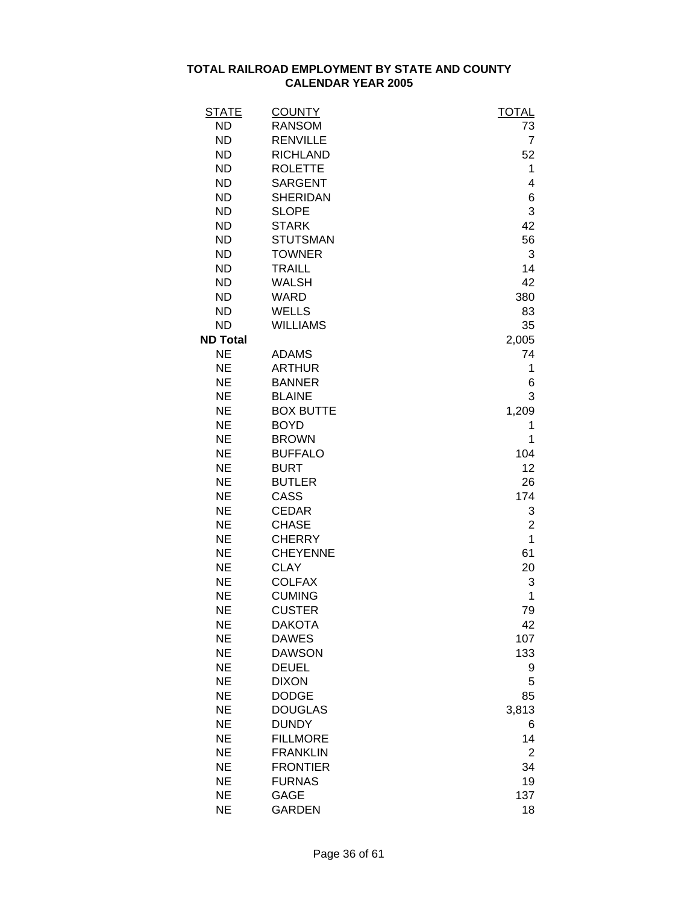| <u>STATE</u>    | <b>COUNTY</b>    | <b>TOTAL</b>   |
|-----------------|------------------|----------------|
| <b>ND</b>       | <b>RANSOM</b>    | 73             |
| <b>ND</b>       | <b>RENVILLE</b>  | $\overline{7}$ |
| <b>ND</b>       | <b>RICHLAND</b>  | 52             |
| <b>ND</b>       | <b>ROLETTE</b>   | 1              |
| <b>ND</b>       | <b>SARGENT</b>   | 4              |
| <b>ND</b>       | <b>SHERIDAN</b>  | 6              |
| <b>ND</b>       | <b>SLOPE</b>     | 3              |
| <b>ND</b>       | <b>STARK</b>     | 42             |
| <b>ND</b>       | <b>STUTSMAN</b>  | 56             |
| <b>ND</b>       | <b>TOWNER</b>    | 3              |
| <b>ND</b>       | <b>TRAILL</b>    | 14             |
| <b>ND</b>       | <b>WALSH</b>     | 42             |
| <b>ND</b>       | <b>WARD</b>      | 380            |
| <b>ND</b>       | <b>WELLS</b>     | 83             |
| <b>ND</b>       | <b>WILLIAMS</b>  | 35             |
| <b>ND Total</b> |                  | 2,005          |
| <b>NE</b>       | <b>ADAMS</b>     | 74             |
| <b>NE</b>       | <b>ARTHUR</b>    | 1              |
| <b>NE</b>       | <b>BANNER</b>    | 6              |
| <b>NE</b>       | <b>BLAINE</b>    | 3              |
| <b>NE</b>       | <b>BOX BUTTE</b> | 1,209          |
| <b>NE</b>       | <b>BOYD</b>      | 1              |
| <b>NE</b>       | <b>BROWN</b>     | 1              |
| <b>NE</b>       | <b>BUFFALO</b>   | 104            |
| <b>NE</b>       | <b>BURT</b>      | 12             |
| <b>NE</b>       | <b>BUTLER</b>    | 26             |
| <b>NE</b>       | CASS             | 174            |
| <b>NE</b>       | <b>CEDAR</b>     | 3              |
| <b>NE</b>       | <b>CHASE</b>     | $\overline{2}$ |
| <b>NE</b>       | <b>CHERRY</b>    | $\mathbf{1}$   |
| <b>NE</b>       | <b>CHEYENNE</b>  | 61             |
| <b>NE</b>       | <b>CLAY</b>      | 20             |
| <b>NE</b>       | <b>COLFAX</b>    | 3              |
| <b>NE</b>       | <b>CUMING</b>    | 1              |
| <b>NE</b>       | <b>CUSTER</b>    | 79             |
| <b>NE</b>       | <b>DAKOTA</b>    | 42             |
| <b>NE</b>       | <b>DAWES</b>     | 107            |
| <b>NE</b>       | <b>DAWSON</b>    | 133            |
| <b>NE</b>       | <b>DEUEL</b>     | 9              |
| <b>NE</b>       | <b>DIXON</b>     | 5              |
| <b>NE</b>       | <b>DODGE</b>     | 85             |
| <b>NE</b>       | <b>DOUGLAS</b>   | 3,813          |
| <b>NE</b>       | <b>DUNDY</b>     | 6              |
| <b>NE</b>       | <b>FILLMORE</b>  | 14             |
| <b>NE</b>       | <b>FRANKLIN</b>  | $\overline{2}$ |
| <b>NE</b>       | <b>FRONTIER</b>  | 34             |
| <b>NE</b>       | <b>FURNAS</b>    | 19             |
| <b>NE</b>       | <b>GAGE</b>      | 137            |
| <b>NE</b>       | <b>GARDEN</b>    | 18             |
|                 |                  |                |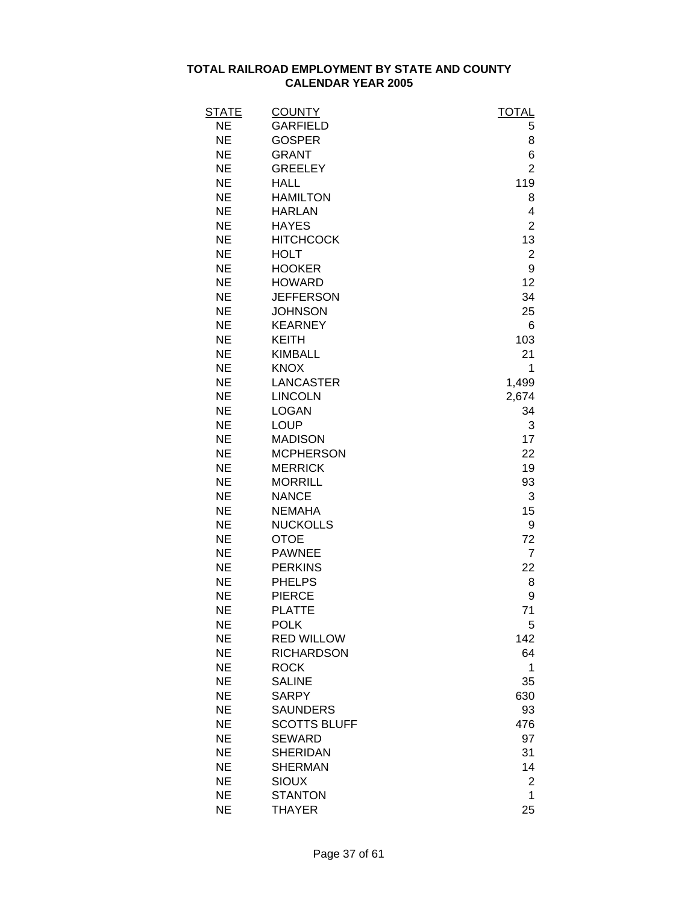| STATE     | <b>COUNTY</b>       | TOTAL          |
|-----------|---------------------|----------------|
| <b>NE</b> | <b>GARFIELD</b>     | 5              |
| <b>NE</b> | <b>GOSPER</b>       | 8              |
| <b>NE</b> | <b>GRANT</b>        | 6              |
| <b>NE</b> | <b>GREELEY</b>      | $\overline{2}$ |
| <b>NE</b> | <b>HALL</b>         | 119            |
| <b>NE</b> | <b>HAMILTON</b>     | 8              |
| <b>NE</b> | <b>HARLAN</b>       | 4              |
| <b>NE</b> | <b>HAYES</b>        | $\overline{2}$ |
| <b>NE</b> | <b>HITCHCOCK</b>    | 13             |
| <b>NE</b> | <b>HOLT</b>         | $\overline{c}$ |
| <b>NE</b> | <b>HOOKER</b>       | 9              |
| <b>NE</b> | <b>HOWARD</b>       | 12             |
| <b>NE</b> | <b>JEFFERSON</b>    | 34             |
| <b>NE</b> | <b>JOHNSON</b>      | 25             |
| <b>NE</b> | <b>KEARNEY</b>      | 6              |
| <b>NE</b> | <b>KEITH</b>        | 103            |
| <b>NE</b> | <b>KIMBALL</b>      | 21             |
| <b>NE</b> | <b>KNOX</b>         | 1              |
| <b>NE</b> | <b>LANCASTER</b>    | 1,499          |
| <b>NE</b> | <b>LINCOLN</b>      | 2,674          |
| <b>NE</b> | <b>LOGAN</b>        | 34             |
| <b>NE</b> | <b>LOUP</b>         | 3              |
| <b>NE</b> | <b>MADISON</b>      | 17             |
| <b>NE</b> | <b>MCPHERSON</b>    | 22             |
| <b>NE</b> | <b>MERRICK</b>      | 19             |
| <b>NE</b> | <b>MORRILL</b>      | 93             |
| <b>NE</b> | <b>NANCE</b>        | 3              |
| <b>NE</b> | <b>NEMAHA</b>       | 15             |
| <b>NE</b> | <b>NUCKOLLS</b>     | 9              |
| <b>NE</b> | <b>OTOE</b>         | 72             |
| <b>NE</b> | <b>PAWNEE</b>       | $\overline{7}$ |
| <b>NE</b> | <b>PERKINS</b>      | 22             |
| <b>NE</b> | <b>PHELPS</b>       | 8              |
| <b>NE</b> | <b>PIERCE</b>       | 9              |
| <b>NE</b> | <b>PLATTE</b>       | 71             |
| <b>NE</b> | <b>POLK</b>         | 5              |
| <b>NE</b> | <b>RED WILLOW</b>   | 142            |
| <b>NE</b> | <b>RICHARDSON</b>   | 64             |
| <b>NE</b> | <b>ROCK</b>         | 1              |
| <b>NE</b> | <b>SALINE</b>       | 35             |
| <b>NE</b> | <b>SARPY</b>        | 630            |
| <b>NE</b> | <b>SAUNDERS</b>     | 93             |
| <b>NE</b> | <b>SCOTTS BLUFF</b> | 476            |
| <b>NE</b> | <b>SEWARD</b>       | 97             |
| <b>NE</b> | <b>SHERIDAN</b>     | 31             |
| <b>NE</b> | <b>SHERMAN</b>      | 14             |
| <b>NE</b> | <b>SIOUX</b>        | 2              |
| <b>NE</b> | <b>STANTON</b>      | 1              |
| <b>NE</b> | <b>THAYER</b>       | 25             |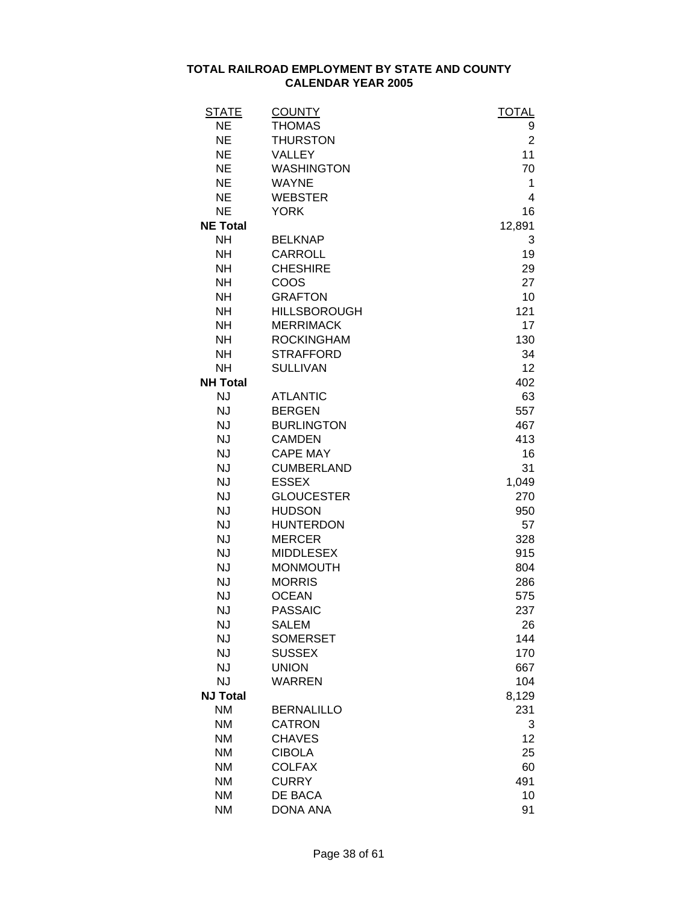| STATE           | <b>COUNTY</b>       | <b>TOTAL</b>   |
|-----------------|---------------------|----------------|
| <b>NE</b>       | <b>THOMAS</b>       | 9              |
| <b>NE</b>       | <b>THURSTON</b>     | $\overline{2}$ |
| <b>NE</b>       | <b>VALLEY</b>       | 11             |
| <b>NE</b>       | <b>WASHINGTON</b>   | 70             |
| <b>NE</b>       | <b>WAYNE</b>        | 1              |
| <b>NE</b>       | <b>WEBSTER</b>      | 4              |
| <b>NE</b>       | <b>YORK</b>         | 16             |
| <b>NE Total</b> |                     | 12,891         |
| <b>NH</b>       | <b>BELKNAP</b>      | 3              |
| <b>NH</b>       | <b>CARROLL</b>      | 19             |
| <b>NH</b>       | <b>CHESHIRE</b>     | 29             |
| <b>NH</b>       | <b>COOS</b>         | 27             |
| <b>NH</b>       | <b>GRAFTON</b>      | 10             |
| <b>NH</b>       | <b>HILLSBOROUGH</b> | 121            |
| <b>NH</b>       | <b>MERRIMACK</b>    | 17             |
| <b>NH</b>       | <b>ROCKINGHAM</b>   | 130            |
| <b>NH</b>       | <b>STRAFFORD</b>    | 34             |
| <b>NH</b>       | <b>SULLIVAN</b>     | 12             |
| <b>NH Total</b> |                     | 402            |
| <b>NJ</b>       | <b>ATLANTIC</b>     | 63             |
| <b>NJ</b>       | <b>BERGEN</b>       | 557            |
| <b>NJ</b>       | <b>BURLINGTON</b>   | 467            |
| <b>NJ</b>       | <b>CAMDEN</b>       | 413            |
| <b>NJ</b>       | <b>CAPE MAY</b>     | 16             |
| <b>NJ</b>       | <b>CUMBERLAND</b>   | 31             |
| <b>NJ</b>       | <b>ESSEX</b>        | 1,049          |
| <b>NJ</b>       | <b>GLOUCESTER</b>   | 270            |
| <b>NJ</b>       | <b>HUDSON</b>       | 950            |
| <b>NJ</b>       | <b>HUNTERDON</b>    | 57             |
| <b>NJ</b>       | <b>MERCER</b>       | 328            |
| <b>NJ</b>       | <b>MIDDLESEX</b>    | 915            |
| <b>NJ</b>       | <b>MONMOUTH</b>     | 804            |
| <b>NJ</b>       | <b>MORRIS</b>       | 286            |
| <b>NJ</b>       | <b>OCEAN</b>        | 575            |
| NJ              | <b>PASSAIC</b>      | 237            |
| <b>NJ</b>       | <b>SALEM</b>        | 26             |
| <b>NJ</b>       | <b>SOMERSET</b>     | 144            |
| <b>NJ</b>       | <b>SUSSEX</b>       | 170            |
| <b>NJ</b>       | <b>UNION</b>        | 667            |
| <b>NJ</b>       | <b>WARREN</b>       | 104            |
| <b>NJ Total</b> |                     | 8,129          |
| <b>NM</b>       | <b>BERNALILLO</b>   | 231            |
| <b>NM</b>       | <b>CATRON</b>       | 3              |
| <b>NM</b>       | <b>CHAVES</b>       | 12             |
| <b>NM</b>       | <b>CIBOLA</b>       | 25             |
| <b>NM</b>       | <b>COLFAX</b>       | 60             |
| <b>NM</b>       | <b>CURRY</b>        | 491            |
| <b>NM</b>       | DE BACA             | 10             |
| <b>NM</b>       | <b>DONA ANA</b>     | 91             |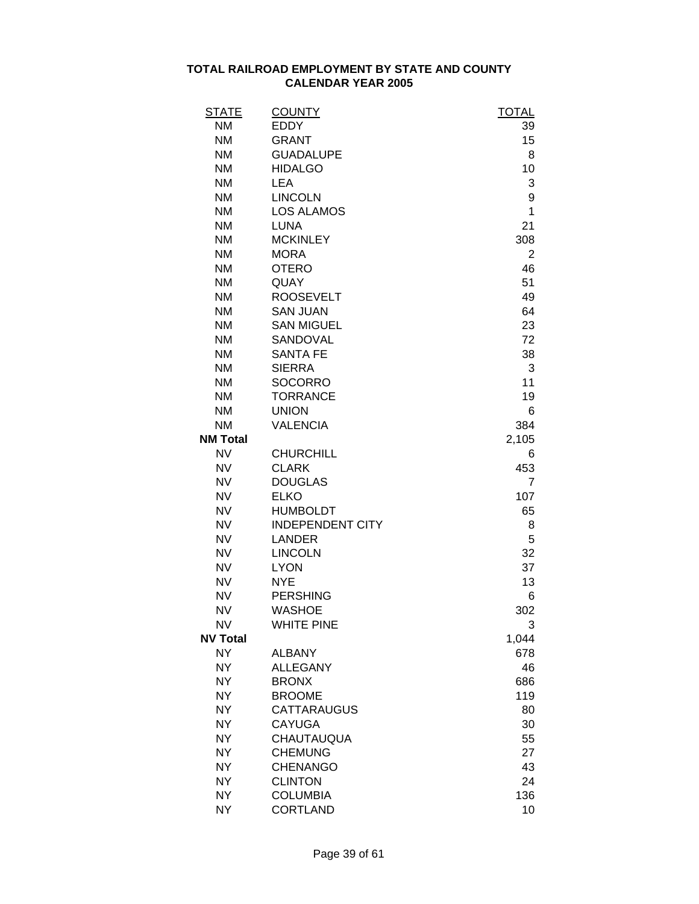| <u>STATE</u>    | <b>COUNTY</b>           | <b>TOTAL</b> |
|-----------------|-------------------------|--------------|
| <b>NM</b>       | <b>EDDY</b>             | 39           |
| <b>NM</b>       | <b>GRANT</b>            | 15           |
| <b>NM</b>       | <b>GUADALUPE</b>        | 8            |
| <b>NM</b>       | <b>HIDALGO</b>          | 10           |
| <b>NM</b>       | <b>LEA</b>              | 3            |
| <b>NM</b>       | <b>LINCOLN</b>          | 9            |
| <b>NM</b>       | <b>LOS ALAMOS</b>       | 1            |
| <b>NM</b>       | <b>LUNA</b>             | 21           |
| <b>NM</b>       | <b>MCKINLEY</b>         | 308          |
| <b>NM</b>       | <b>MORA</b>             | 2            |
| <b>NM</b>       | <b>OTERO</b>            | 46           |
| <b>NM</b>       | QUAY                    | 51           |
| <b>NM</b>       | <b>ROOSEVELT</b>        | 49           |
| <b>NM</b>       | <b>SAN JUAN</b>         | 64           |
| <b>NM</b>       | <b>SAN MIGUEL</b>       | 23           |
| <b>NM</b>       | SANDOVAL                | 72           |
| <b>NM</b>       | <b>SANTA FE</b>         | 38           |
| <b>NM</b>       | <b>SIERRA</b>           | 3            |
| <b>NM</b>       | <b>SOCORRO</b>          | 11           |
| <b>NM</b>       | <b>TORRANCE</b>         | 19           |
| <b>NM</b>       | <b>UNION</b>            | 6            |
| <b>NM</b>       | <b>VALENCIA</b>         | 384          |
| <b>NM Total</b> |                         | 2,105        |
| <b>NV</b>       | <b>CHURCHILL</b>        | 6            |
| <b>NV</b>       | <b>CLARK</b>            | 453          |
| <b>NV</b>       | <b>DOUGLAS</b>          | 7            |
| <b>NV</b>       | <b>ELKO</b>             | 107          |
| <b>NV</b>       | <b>HUMBOLDT</b>         | 65           |
| <b>NV</b>       | <b>INDEPENDENT CITY</b> | 8            |
| <b>NV</b>       | <b>LANDER</b>           | 5            |
| <b>NV</b>       | <b>LINCOLN</b>          | 32           |
| <b>NV</b>       | <b>LYON</b>             | 37           |
| <b>NV</b>       | <b>NYE</b>              | 13           |
| <b>NV</b>       | <b>PERSHING</b>         | 6            |
| <b>NV</b>       | <b>WASHOE</b>           | 302          |
| <b>NV</b>       | <b>WHITE PINE</b>       | 3            |
| <b>NV Total</b> |                         | 1,044        |
| <b>NY</b>       | <b>ALBANY</b>           | 678          |
| <b>NY</b>       | <b>ALLEGANY</b>         | 46           |
| <b>NY</b>       | <b>BRONX</b>            | 686          |
| <b>NY</b>       | <b>BROOME</b>           | 119          |
| <b>NY</b>       | <b>CATTARAUGUS</b>      | 80           |
| <b>NY</b>       | <b>CAYUGA</b>           | 30           |
| <b>NY</b>       | CHAUTAUQUA              | 55           |
| <b>NY</b>       | <b>CHEMUNG</b>          | 27           |
| <b>NY</b>       | <b>CHENANGO</b>         | 43           |
| <b>NY</b>       | <b>CLINTON</b>          | 24           |
|                 |                         |              |
| <b>NY</b>       | <b>COLUMBIA</b>         | 136          |
| <b>NY</b>       | <b>CORTLAND</b>         | 10           |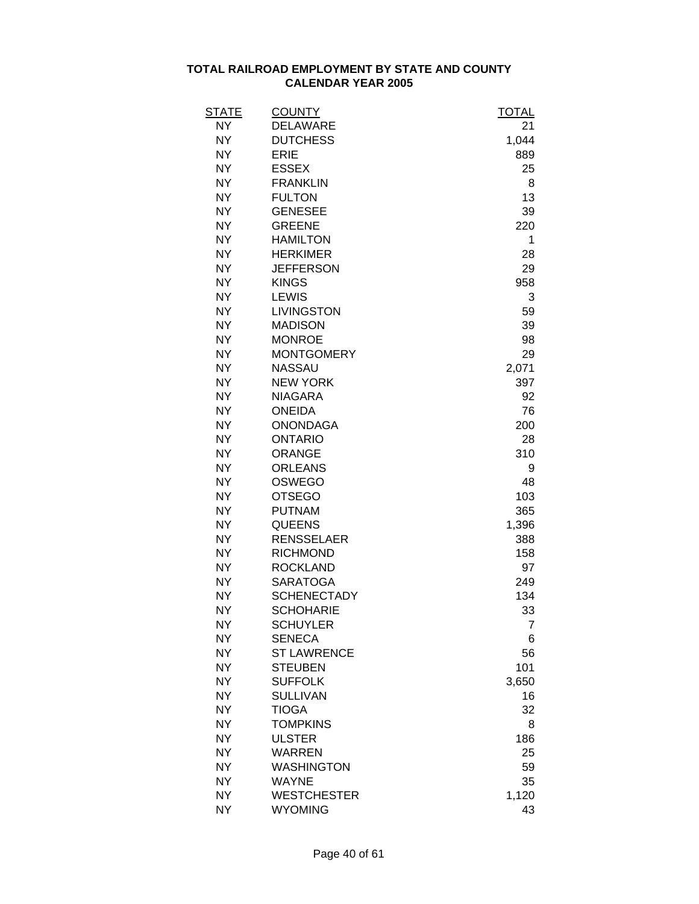| STATE     | <b>COUNTY</b>      | TOTAL |
|-----------|--------------------|-------|
| NY        | <b>DELAWARE</b>    | 21    |
| <b>NY</b> | <b>DUTCHESS</b>    | 1,044 |
| <b>NY</b> | <b>ERIE</b>        | 889   |
| <b>NY</b> | <b>ESSEX</b>       | 25    |
| <b>NY</b> | <b>FRANKLIN</b>    | 8     |
| <b>NY</b> | <b>FULTON</b>      | 13    |
| <b>NY</b> | <b>GENESEE</b>     | 39    |
| <b>NY</b> | <b>GREENE</b>      | 220   |
| <b>NY</b> | <b>HAMILTON</b>    | 1     |
| <b>NY</b> | <b>HERKIMER</b>    | 28    |
| <b>NY</b> | <b>JEFFERSON</b>   | 29    |
| <b>NY</b> | <b>KINGS</b>       | 958   |
| <b>NY</b> | <b>LEWIS</b>       | 3     |
| <b>NY</b> | <b>LIVINGSTON</b>  | 59    |
| <b>NY</b> | <b>MADISON</b>     | 39    |
| <b>NY</b> | <b>MONROE</b>      | 98    |
| <b>NY</b> | <b>MONTGOMERY</b>  | 29    |
| <b>NY</b> | <b>NASSAU</b>      | 2,071 |
| <b>NY</b> | <b>NEW YORK</b>    | 397   |
| <b>NY</b> | <b>NIAGARA</b>     | 92    |
| <b>NY</b> | <b>ONEIDA</b>      | 76    |
| <b>NY</b> | <b>ONONDAGA</b>    | 200   |
| <b>NY</b> | <b>ONTARIO</b>     | 28    |
| <b>NY</b> | <b>ORANGE</b>      | 310   |
| <b>NY</b> | <b>ORLEANS</b>     | 9     |
| <b>NY</b> | <b>OSWEGO</b>      | 48    |
| <b>NY</b> | <b>OTSEGO</b>      | 103   |
| <b>NY</b> | <b>PUTNAM</b>      | 365   |
| <b>NY</b> | <b>QUEENS</b>      | 1,396 |
| <b>NY</b> | <b>RENSSELAER</b>  | 388   |
| <b>NY</b> | <b>RICHMOND</b>    | 158   |
| <b>NY</b> | <b>ROCKLAND</b>    | 97    |
| <b>NY</b> | <b>SARATOGA</b>    | 249   |
| <b>NY</b> | <b>SCHENECTADY</b> | 134   |
| <b>NY</b> | <b>SCHOHARIE</b>   | 33    |
| NΥ        | <b>SCHUYLER</b>    | 7     |
| <b>NY</b> | <b>SENECA</b>      | 6     |
| <b>NY</b> | <b>ST LAWRENCE</b> | 56    |
| <b>NY</b> | <b>STEUBEN</b>     | 101   |
| <b>NY</b> | <b>SUFFOLK</b>     | 3,650 |
| <b>NY</b> | <b>SULLIVAN</b>    | 16    |
| <b>NY</b> | <b>TIOGA</b>       | 32    |
| <b>NY</b> | <b>TOMPKINS</b>    | 8     |
| <b>NY</b> | <b>ULSTER</b>      | 186   |
| <b>NY</b> | <b>WARREN</b>      | 25    |
| <b>NY</b> | <b>WASHINGTON</b>  | 59    |
| <b>NY</b> | <b>WAYNE</b>       | 35    |
| <b>NY</b> | <b>WESTCHESTER</b> | 1,120 |
| <b>NY</b> | <b>WYOMING</b>     | 43    |
|           |                    |       |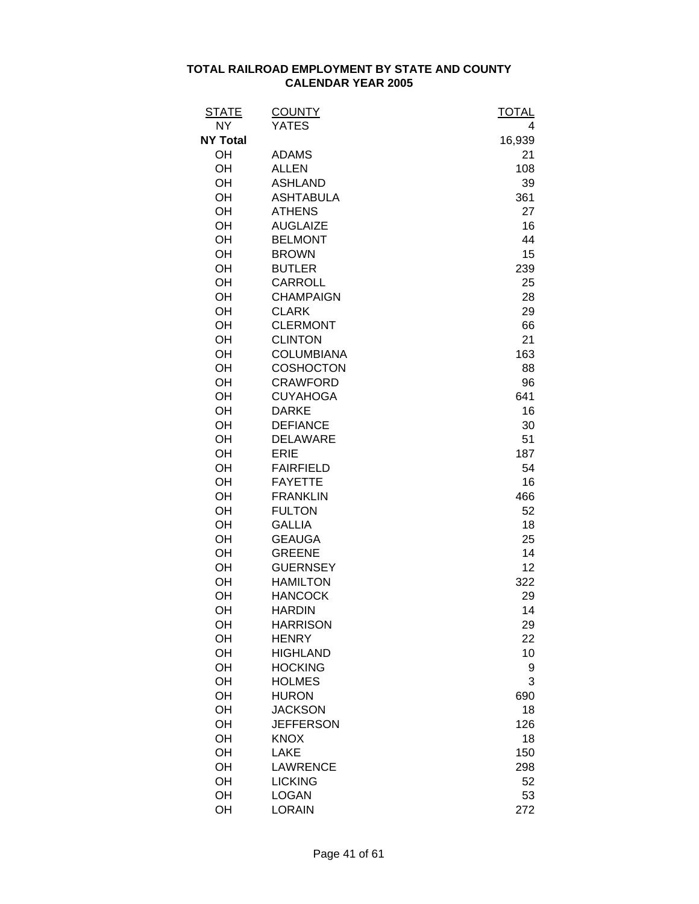| <b>STATE</b>    | <b>COUNTY</b>     | <b>TOTAL</b> |
|-----------------|-------------------|--------------|
| <b>NY</b>       | <b>YATES</b>      | 4            |
| <b>NY Total</b> |                   | 16,939       |
| OH              | <b>ADAMS</b>      | 21           |
| OH              | <b>ALLEN</b>      | 108          |
| OH              | <b>ASHLAND</b>    | 39           |
| OH              | <b>ASHTABULA</b>  | 361          |
| OH              | <b>ATHENS</b>     | 27           |
| OH              | <b>AUGLAIZE</b>   | 16           |
| OH              | <b>BELMONT</b>    | 44           |
| OH              | <b>BROWN</b>      | 15           |
| OH              | <b>BUTLER</b>     | 239          |
| OH              | <b>CARROLL</b>    | 25           |
| OH              | <b>CHAMPAIGN</b>  | 28           |
| OH              | <b>CLARK</b>      | 29           |
| OH              | <b>CLERMONT</b>   | 66           |
| OH              | <b>CLINTON</b>    | 21           |
| OH              | <b>COLUMBIANA</b> | 163          |
| OH              | <b>COSHOCTON</b>  | 88           |
| OH              | <b>CRAWFORD</b>   | 96           |
| OH              | <b>CUYAHOGA</b>   | 641          |
| OH              | <b>DARKE</b>      | 16           |
| OH              | <b>DEFIANCE</b>   | 30           |
| OH              | <b>DELAWARE</b>   | 51           |
| OH              | <b>ERIE</b>       | 187          |
| OH              | <b>FAIRFIELD</b>  | 54           |
| OH              | <b>FAYETTE</b>    | 16           |
| OH              | <b>FRANKLIN</b>   | 466          |
| OH              | <b>FULTON</b>     | 52           |
| OH              | <b>GALLIA</b>     | 18           |
| OH              | <b>GEAUGA</b>     | 25           |
| OH              | <b>GREENE</b>     | 14           |
| OH              | <b>GUERNSEY</b>   | 12           |
| OH              | <b>HAMILTON</b>   | 322          |
| OH              | <b>HANCOCK</b>    | 29           |
| OH              | <b>HARDIN</b>     | 14           |
| OH              | <b>HARRISON</b>   | 29           |
| OH              | <b>HENRY</b>      | 22           |
| OH              | <b>HIGHLAND</b>   | 10           |
| OH              | <b>HOCKING</b>    | 9            |
| OH              | <b>HOLMES</b>     | 3            |
| OH              | <b>HURON</b>      | 690          |
| OH              | <b>JACKSON</b>    | 18           |
| OH              | <b>JEFFERSON</b>  | 126          |
| OH              | <b>KNOX</b>       | 18           |
| OH              | <b>LAKE</b>       | 150          |
| OH              | <b>LAWRENCE</b>   | 298          |
| OH              | <b>LICKING</b>    | 52           |
| OH              | <b>LOGAN</b>      | 53           |
| OH              | <b>LORAIN</b>     | 272          |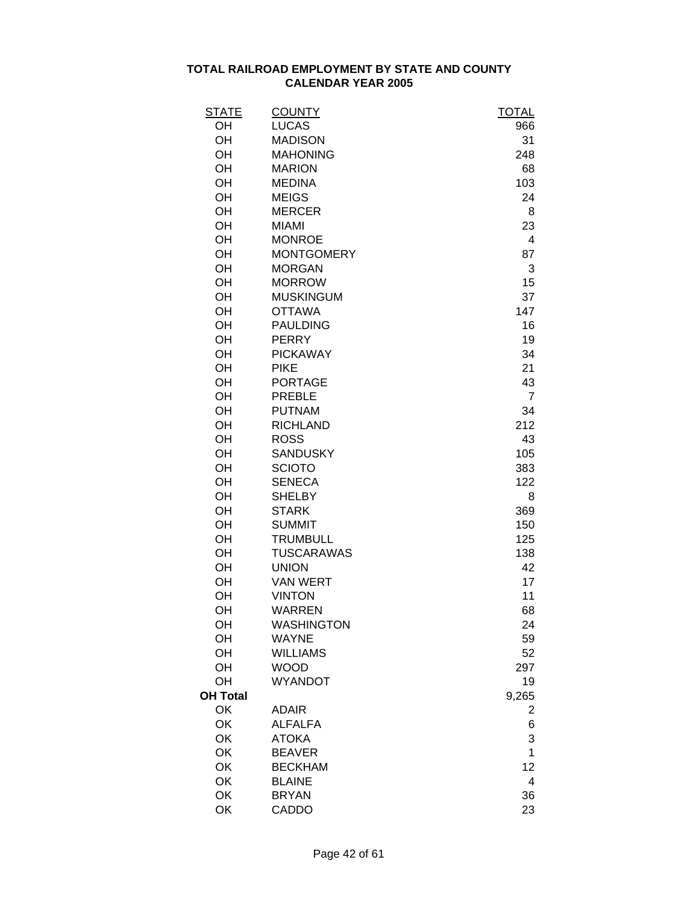| <u>STATE</u>    | <b>COUNTY</b>     | <b>TOTAL</b>   |
|-----------------|-------------------|----------------|
| OH              | <b>LUCAS</b>      | 966            |
| OH              | <b>MADISON</b>    | 31             |
| OH              | <b>MAHONING</b>   | 248            |
| OH              | <b>MARION</b>     | 68             |
| OH              | <b>MEDINA</b>     | 103            |
| OH              | <b>MEIGS</b>      | 24             |
| OH              | <b>MERCER</b>     | 8              |
| OH              | <b>MIAMI</b>      | 23             |
| OH              | <b>MONROE</b>     | 4              |
| OH              | <b>MONTGOMERY</b> | 87             |
| OH              | <b>MORGAN</b>     | 3              |
| OH              | <b>MORROW</b>     | 15             |
| OH              | <b>MUSKINGUM</b>  | 37             |
| OH              | <b>OTTAWA</b>     | 147            |
| OH              | <b>PAULDING</b>   | 16             |
| OH              | <b>PERRY</b>      | 19             |
| OH              | <b>PICKAWAY</b>   | 34             |
| OH              | <b>PIKE</b>       | 21             |
| OH              | <b>PORTAGE</b>    | 43             |
| OH              | <b>PREBLE</b>     | $\overline{7}$ |
| OH              | <b>PUTNAM</b>     | 34             |
| OH              | <b>RICHLAND</b>   | 212            |
| OH              | <b>ROSS</b>       | 43             |
| OH              | <b>SANDUSKY</b>   | 105            |
| OH              | <b>SCIOTO</b>     | 383            |
| OH              | <b>SENECA</b>     | 122            |
| OH              | <b>SHELBY</b>     | 8              |
| OH              | <b>STARK</b>      | 369            |
| OH              | <b>SUMMIT</b>     | 150            |
| OH              | <b>TRUMBULL</b>   | 125            |
| OH              | <b>TUSCARAWAS</b> | 138            |
| OH              | <b>UNION</b>      | 42             |
| OH              | <b>VAN WERT</b>   | 17             |
| OH              | <b>VINTON</b>     | 11             |
| OH              | <b>WARREN</b>     | 68             |
| OH              | <b>WASHINGTON</b> | 24             |
| OH              | <b>WAYNE</b>      | 59             |
| OH              | <b>WILLIAMS</b>   | 52             |
| OH              | <b>WOOD</b>       | 297            |
| OH              | <b>WYANDOT</b>    | 19             |
| <b>OH Total</b> |                   | 9,265          |
| OK              | <b>ADAIR</b>      | 2              |
| OK              | <b>ALFALFA</b>    | 6              |
| OK              | <b>ATOKA</b>      | 3              |
| OK              | <b>BEAVER</b>     | 1              |
| OK              | <b>BECKHAM</b>    | 12             |
| OK              | <b>BLAINE</b>     | 4              |
| OK              | <b>BRYAN</b>      | 36             |
| OK              | CADDO             | 23             |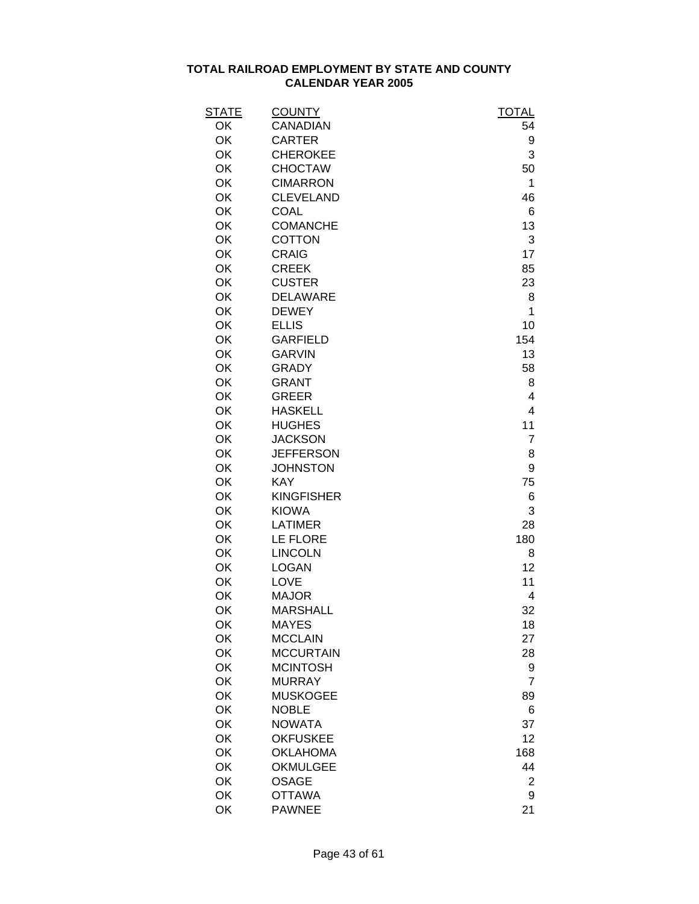| <b>STATE</b> | <b>COUNTY</b>     | <b>TOTAL</b>   |
|--------------|-------------------|----------------|
| OK           | CANADIAN          | 54             |
| OK           | <b>CARTER</b>     | 9              |
| OK           | <b>CHEROKEE</b>   | 3              |
| OK           | <b>CHOCTAW</b>    | 50             |
| OK           | <b>CIMARRON</b>   | 1              |
| OK           | <b>CLEVELAND</b>  | 46             |
| OK           | <b>COAL</b>       | 6              |
| OK           | <b>COMANCHE</b>   | 13             |
| OK           | <b>COTTON</b>     | 3              |
| OK           | <b>CRAIG</b>      | 17             |
| OK           | <b>CREEK</b>      | 85             |
| OK           | <b>CUSTER</b>     | 23             |
| OK           | <b>DELAWARE</b>   | 8              |
| OK           | <b>DEWEY</b>      | 1              |
| OK           | <b>ELLIS</b>      | 10             |
| OK           | <b>GARFIELD</b>   | 154            |
| OK           | <b>GARVIN</b>     | 13             |
| OK           | <b>GRADY</b>      | 58             |
| OK           | <b>GRANT</b>      | 8              |
| OK           | <b>GREER</b>      | 4              |
| OK           | <b>HASKELL</b>    | 4              |
| OK           | <b>HUGHES</b>     | 11             |
| OK           | <b>JACKSON</b>    | $\overline{7}$ |
| OK           | <b>JEFFERSON</b>  | 8              |
| OK           | <b>JOHNSTON</b>   | 9              |
| OK           | <b>KAY</b>        | 75             |
| OK           | <b>KINGFISHER</b> | 6              |
| OK           | <b>KIOWA</b>      | 3              |
| OK           | <b>LATIMER</b>    | 28             |
| OK           | LE FLORE          | 180            |
| OK           | <b>LINCOLN</b>    | 8              |
| OK           | <b>LOGAN</b>      | 12             |
| OK           | <b>LOVE</b>       | 11             |
| OK           | <b>MAJOR</b>      | 4              |
| OK           | <b>MARSHALL</b>   | 32             |
| OK           | <b>MAYES</b>      | 18             |
| OK           | <b>MCCLAIN</b>    | 27             |
| OK           | <b>MCCURTAIN</b>  | 28             |
| OK           | <b>MCINTOSH</b>   | 9              |
| OK           | <b>MURRAY</b>     | $\overline{7}$ |
| OK           | <b>MUSKOGEE</b>   | 89             |
| OK           | <b>NOBLE</b>      | 6              |
| OK           | <b>NOWATA</b>     | 37             |
| OK           | <b>OKFUSKEE</b>   | 12             |
| OK           | <b>OKLAHOMA</b>   | 168            |
| OK           | <b>OKMULGEE</b>   | 44             |
| OK           | <b>OSAGE</b>      | $\overline{2}$ |
| OK           | <b>OTTAWA</b>     | 9              |
| OK           | <b>PAWNEE</b>     | 21             |
|              |                   |                |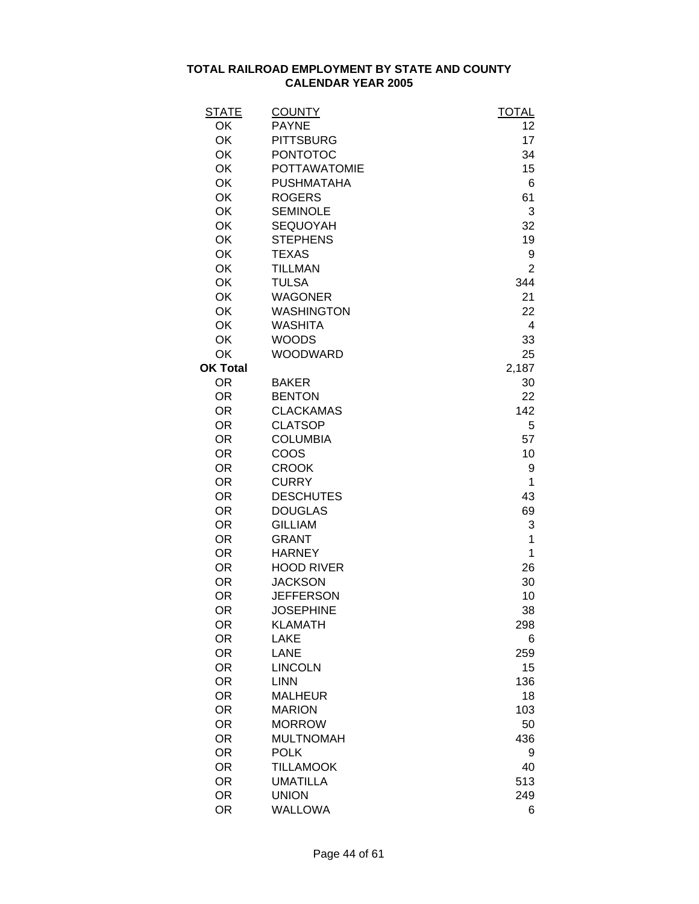| <b>STATE</b>           | <b>COUNTY</b>                     | <b>TOTAL</b>   |
|------------------------|-----------------------------------|----------------|
| OK                     | <b>PAYNE</b>                      | 12             |
| OK                     | <b>PITTSBURG</b>                  | 17             |
| OK                     | <b>PONTOTOC</b>                   | 34             |
| OK                     | <b>POTTAWATOMIE</b>               | 15             |
| OK                     | <b>PUSHMATAHA</b>                 | 6              |
| OK                     | <b>ROGERS</b>                     | 61             |
| <b>OK</b>              | <b>SEMINOLE</b>                   | 3              |
| OK                     | <b>SEQUOYAH</b>                   | 32             |
| OK                     | <b>STEPHENS</b>                   | 19             |
| OK                     | <b>TEXAS</b>                      | 9              |
| OK                     | <b>TILLMAN</b>                    | $\overline{2}$ |
| OK                     | <b>TULSA</b>                      | 344            |
| OK                     | <b>WAGONER</b>                    | 21             |
| OK                     | <b>WASHINGTON</b>                 | 22             |
| OK                     | <b>WASHITA</b>                    | 4              |
| OK                     | <b>WOODS</b>                      | 33             |
| OK                     | <b>WOODWARD</b>                   | 25             |
| <b>OK Total</b>        |                                   | 2,187          |
| <b>OR</b>              | <b>BAKER</b>                      | 30             |
| <b>OR</b>              | <b>BENTON</b>                     | 22             |
| <b>OR</b>              | <b>CLACKAMAS</b>                  | 142            |
| <b>OR</b>              | <b>CLATSOP</b>                    | 5              |
| <b>OR</b>              | <b>COLUMBIA</b>                   | 57             |
| <b>OR</b>              | COOS                              | 10             |
| <b>OR</b>              | <b>CROOK</b>                      | 9              |
| <b>OR</b>              | <b>CURRY</b>                      | 1              |
| <b>OR</b>              | <b>DESCHUTES</b>                  | 43             |
| <b>OR</b>              | <b>DOUGLAS</b>                    | 69             |
| <b>OR</b>              | <b>GILLIAM</b>                    | 3              |
| <b>OR</b>              | <b>GRANT</b>                      | 1              |
| <b>OR</b>              | <b>HARNEY</b>                     | 1              |
| <b>OR</b>              | <b>HOOD RIVER</b>                 | 26             |
| <b>OR</b>              | <b>JACKSON</b>                    | 30             |
| <b>OR</b>              | <b>JEFFERSON</b>                  | 10             |
| <b>OR</b>              | <b>JOSEPHINE</b>                  | 38             |
| <b>OR</b>              | <b>KLAMATH</b>                    | 298            |
| <b>OR</b>              | <b>LAKE</b>                       | 6              |
| <b>OR</b>              | <b>LANE</b>                       | 259            |
| <b>OR</b>              | <b>LINCOLN</b>                    | 15             |
| <b>OR</b><br><b>OR</b> | <b>LINN</b>                       | 136            |
| <b>OR</b>              | <b>MALHEUR</b><br><b>MARION</b>   | 18             |
| <b>OR</b>              |                                   | 103            |
| <b>OR</b>              | <b>MORROW</b><br><b>MULTNOMAH</b> | 50             |
| <b>OR</b>              |                                   | 436            |
|                        | <b>POLK</b><br><b>TILLAMOOK</b>   | 9<br>40        |
| <b>OR</b><br><b>OR</b> | <b>UMATILLA</b>                   | 513            |
| <b>OR</b>              | <b>UNION</b>                      | 249            |
| <b>OR</b>              | <b>WALLOWA</b>                    |                |
|                        |                                   | 6              |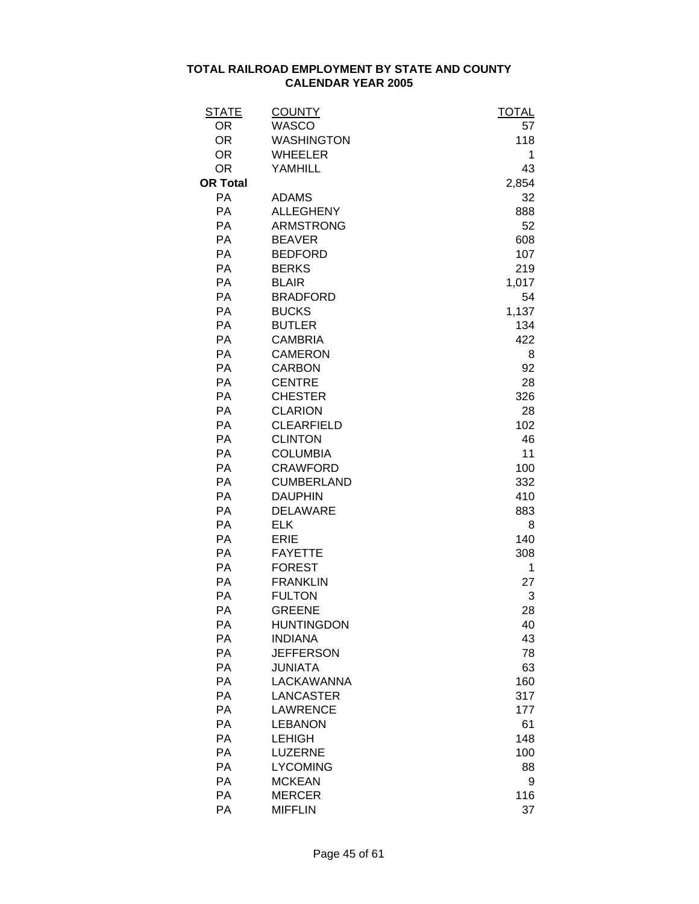| <u>STATE</u>    | <b>COUNTY</b>     | <u>TOTAL</u> |
|-----------------|-------------------|--------------|
| <b>OR</b>       | <b>WASCO</b>      | 57           |
| <b>OR</b>       | <b>WASHINGTON</b> | 118          |
| <b>OR</b>       | <b>WHEELER</b>    | 1            |
| <b>OR</b>       | <b>YAMHILL</b>    | 43           |
| <b>OR Total</b> |                   | 2,854        |
| PA              | <b>ADAMS</b>      | 32           |
| <b>PA</b>       | <b>ALLEGHENY</b>  | 888          |
| <b>PA</b>       | <b>ARMSTRONG</b>  | 52           |
| <b>PA</b>       | <b>BEAVER</b>     | 608          |
| <b>PA</b>       | <b>BEDFORD</b>    | 107          |
| PA              | <b>BERKS</b>      | 219          |
| PA              | <b>BLAIR</b>      | 1,017        |
| PA              | <b>BRADFORD</b>   | 54           |
| PA              | <b>BUCKS</b>      | 1,137        |
| PA              | <b>BUTLER</b>     | 134          |
| PA              | <b>CAMBRIA</b>    | 422          |
| PA              | <b>CAMERON</b>    | 8            |
| PA              | <b>CARBON</b>     | 92           |
| PA              | <b>CENTRE</b>     | 28           |
| <b>PA</b>       | <b>CHESTER</b>    | 326          |
| <b>PA</b>       | <b>CLARION</b>    | 28           |
| PA              | <b>CLEARFIELD</b> | 102          |
| <b>PA</b>       | <b>CLINTON</b>    | 46           |
| PA              | <b>COLUMBIA</b>   | 11           |
| PA              | <b>CRAWFORD</b>   | 100          |
| <b>PA</b>       | <b>CUMBERLAND</b> | 332          |
| PA              | <b>DAUPHIN</b>    | 410          |
| <b>PA</b>       | <b>DELAWARE</b>   | 883          |
| <b>PA</b>       | <b>ELK</b>        | 8            |
| <b>PA</b>       | <b>ERIE</b>       | 140          |
| PA              | <b>FAYETTE</b>    | 308          |
| <b>PA</b>       | <b>FOREST</b>     | 1            |
| PA              | <b>FRANKLIN</b>   | 27           |
| <b>PA</b>       | <b>FULTON</b>     | 3            |
| РA              | <b>GREENE</b>     | 28           |
| РA              | <b>HUNTINGDON</b> | 40           |
| PA              | <b>INDIANA</b>    | 43           |
| <b>PA</b>       | <b>JEFFERSON</b>  | 78           |
| <b>PA</b>       | <b>JUNIATA</b>    | 63           |
| PA              | <b>LACKAWANNA</b> | 160          |
| PA              | <b>LANCASTER</b>  | 317          |
| PA              | <b>LAWRENCE</b>   | 177          |
| <b>PA</b>       | <b>LEBANON</b>    | 61           |
| <b>PA</b>       | <b>LEHIGH</b>     | 148          |
| PA              | <b>LUZERNE</b>    | 100          |
| PA              | <b>LYCOMING</b>   | 88           |
| PA              | <b>MCKEAN</b>     | 9            |
| PA              | <b>MERCER</b>     | 116          |
| PA              | <b>MIFFLIN</b>    | 37           |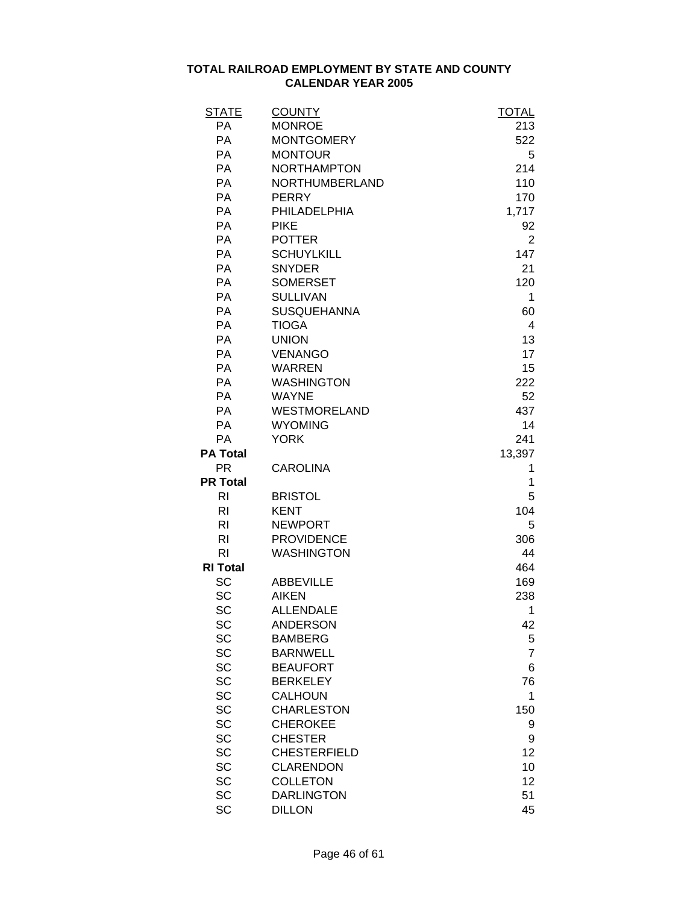| STATE           | <b>COUNTY</b>       | <b>TOTAL</b>   |
|-----------------|---------------------|----------------|
| <b>PA</b>       | <b>MONROE</b>       | 213            |
| <b>PA</b>       | <b>MONTGOMERY</b>   | 522            |
| <b>PA</b>       | <b>MONTOUR</b>      | 5              |
| <b>PA</b>       | <b>NORTHAMPTON</b>  | 214            |
| <b>PA</b>       | NORTHUMBERLAND      | 110            |
| <b>PA</b>       | <b>PERRY</b>        | 170            |
| <b>PA</b>       | PHILADELPHIA        | 1,717          |
| <b>PA</b>       | <b>PIKE</b>         | 92             |
| PA              | <b>POTTER</b>       | 2              |
| <b>PA</b>       | <b>SCHUYLKILL</b>   | 147            |
| <b>PA</b>       | <b>SNYDER</b>       | 21             |
| <b>PA</b>       | <b>SOMERSET</b>     | 120            |
| <b>PA</b>       | <b>SULLIVAN</b>     | 1              |
| <b>PA</b>       | <b>SUSQUEHANNA</b>  | 60             |
| <b>PA</b>       | <b>TIOGA</b>        | 4              |
| <b>PA</b>       | <b>UNION</b>        | 13             |
| <b>PA</b>       | <b>VENANGO</b>      | 17             |
| <b>PA</b>       | <b>WARREN</b>       | 15             |
| <b>PA</b>       | <b>WASHINGTON</b>   | 222            |
| <b>PA</b>       | <b>WAYNE</b>        | 52             |
| PA              | <b>WESTMORELAND</b> | 437            |
| PA              | <b>WYOMING</b>      | 14             |
| <b>PA</b>       | <b>YORK</b>         | 241            |
| <b>PA Total</b> |                     | 13,397         |
| <b>PR</b>       | <b>CAROLINA</b>     | 1              |
| <b>PR Total</b> |                     | 1              |
| RI              | <b>BRISTOL</b>      | 5              |
| RI.             | <b>KENT</b>         | 104            |
| RI.             | <b>NEWPORT</b>      | 5              |
| R <sub>l</sub>  | <b>PROVIDENCE</b>   | 306            |
| R <sub>l</sub>  | <b>WASHINGTON</b>   | 44             |
| <b>RI Total</b> |                     | 464            |
| SC              | <b>ABBEVILLE</b>    | 169            |
| <b>SC</b>       | <b>AIKEN</b>        | 238            |
| SC              | <b>ALLENDALE</b>    | 1              |
| SC              | <b>ANDERSON</b>     | 42             |
| SC              | <b>BAMBERG</b>      | 5              |
| SC              | <b>BARNWELL</b>     | $\overline{7}$ |
| <b>SC</b>       | <b>BEAUFORT</b>     | 6              |
| <b>SC</b>       | <b>BERKELEY</b>     | 76             |
| <b>SC</b>       | <b>CALHOUN</b>      | 1              |
| <b>SC</b>       | <b>CHARLESTON</b>   | 150            |
| <b>SC</b>       | <b>CHEROKEE</b>     | 9              |
| SC              | <b>CHESTER</b>      | 9              |
| SC              | <b>CHESTERFIELD</b> | 12             |
| <b>SC</b>       | <b>CLARENDON</b>    | 10             |
| SC              | <b>COLLETON</b>     | 12             |
| SC              | <b>DARLINGTON</b>   | 51             |
| SC              | <b>DILLON</b>       | 45             |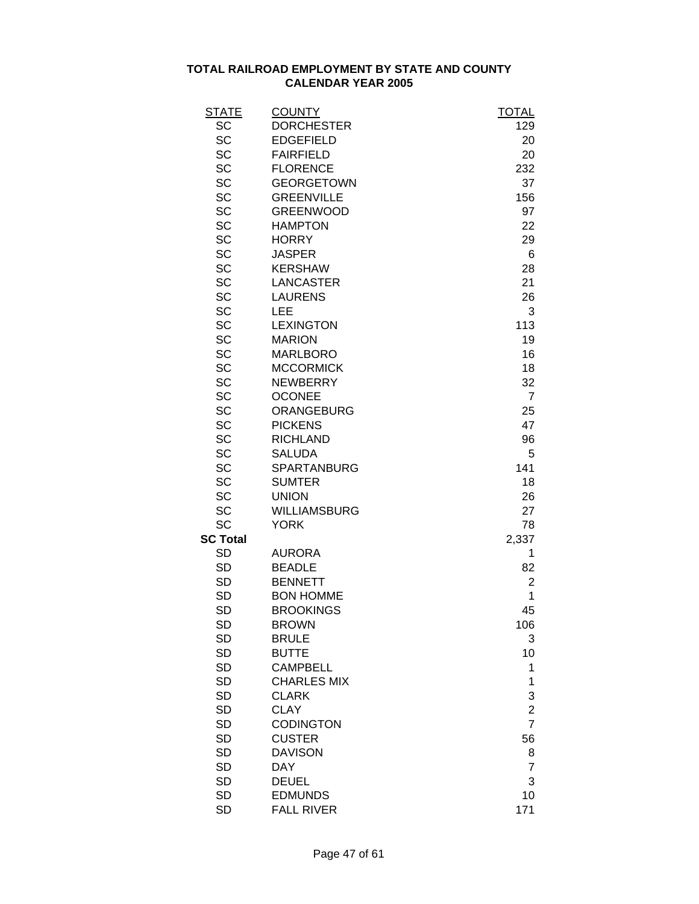| <b>STATE</b>    | <b>COUNTY</b>       | <b>TOTAL</b>   |
|-----------------|---------------------|----------------|
| SC              | <b>DORCHESTER</b>   | 129            |
| SC              | <b>EDGEFIELD</b>    | 20             |
| SC              | <b>FAIRFIELD</b>    | 20             |
| SC              | <b>FLORENCE</b>     | 232            |
| SC              | <b>GEORGETOWN</b>   | 37             |
| SC              | <b>GREENVILLE</b>   | 156            |
| SC              | <b>GREENWOOD</b>    | 97             |
| SC              | <b>HAMPTON</b>      | 22             |
| SC              | <b>HORRY</b>        | 29             |
| SC              | <b>JASPER</b>       | 6              |
| SC              | <b>KERSHAW</b>      | 28             |
| SC              | <b>LANCASTER</b>    | 21             |
| SC              | <b>LAURENS</b>      | 26             |
| SC              | LEE                 | 3              |
| SC              | <b>LEXINGTON</b>    | 113            |
| SC              | <b>MARION</b>       | 19             |
| SC              | <b>MARLBORO</b>     | 16             |
| SC              | <b>MCCORMICK</b>    | 18             |
| SC              | <b>NEWBERRY</b>     | 32             |
| SC              | <b>OCONEE</b>       | $\overline{7}$ |
| SC              | <b>ORANGEBURG</b>   | 25             |
| SC              | <b>PICKENS</b>      | 47             |
| SC              | <b>RICHLAND</b>     | 96             |
| SC              | <b>SALUDA</b>       | 5              |
| <b>SC</b>       | <b>SPARTANBURG</b>  | 141            |
| SC              | <b>SUMTER</b>       | 18             |
| SC              | <b>UNION</b>        | 26             |
| SC              | <b>WILLIAMSBURG</b> | 27             |
| SC              | <b>YORK</b>         | 78             |
| <b>SC Total</b> |                     | 2,337          |
| <b>SD</b>       | <b>AURORA</b>       | 1              |
| <b>SD</b>       | <b>BEADLE</b>       | 82             |
| <b>SD</b>       | <b>BENNETT</b>      | $\overline{2}$ |
| <b>SD</b>       | <b>BON HOMME</b>    | 1              |
| <b>SD</b>       | <b>BROOKINGS</b>    | 45             |
| SD              | <b>BROWN</b>        | 106            |
| <b>SD</b>       | <b>BRULE</b>        | 3              |
| SD              | <b>BUTTE</b>        | 10             |
| <b>SD</b>       | <b>CAMPBELL</b>     | 1              |
| <b>SD</b>       | <b>CHARLES MIX</b>  | 1              |
| <b>SD</b>       | <b>CLARK</b>        | 3              |
| <b>SD</b>       | <b>CLAY</b>         | $\overline{c}$ |
| <b>SD</b>       | <b>CODINGTON</b>    | $\overline{7}$ |
| <b>SD</b>       | <b>CUSTER</b>       | 56             |
| <b>SD</b>       | <b>DAVISON</b>      | 8              |
| <b>SD</b>       | <b>DAY</b>          | $\overline{7}$ |
| <b>SD</b>       | <b>DEUEL</b>        | 3              |
| <b>SD</b>       | <b>EDMUNDS</b>      | 10             |
| <b>SD</b>       | <b>FALL RIVER</b>   | 171            |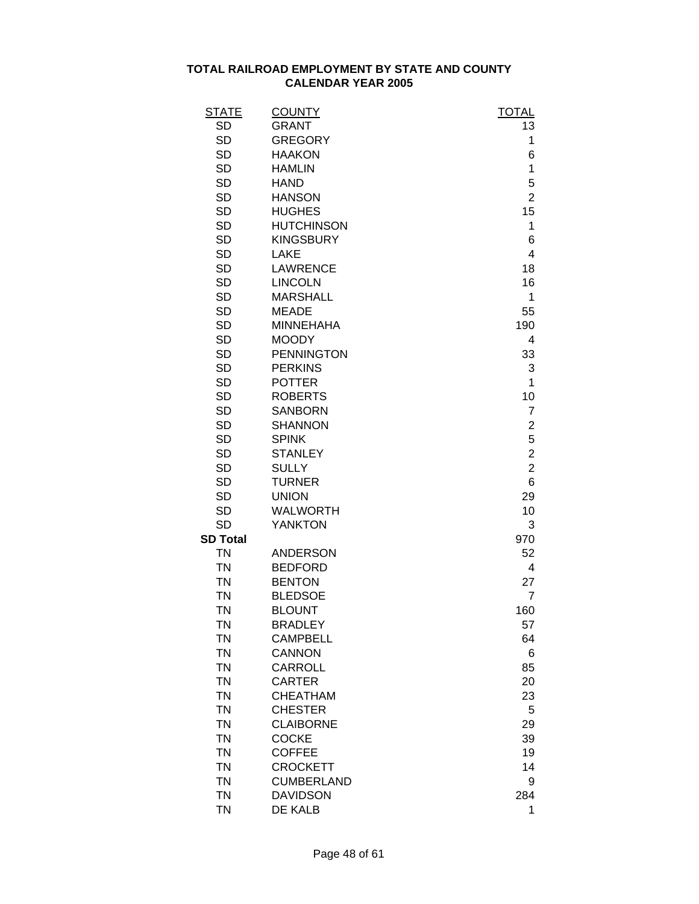| <b>STATE</b>    | <b>COUNTY</b>     | <b>TOTAL</b>   |
|-----------------|-------------------|----------------|
| <b>SD</b>       | <b>GRANT</b>      | 13             |
| SD              | <b>GREGORY</b>    | 1              |
| <b>SD</b>       | <b>HAAKON</b>     | 6              |
| <b>SD</b>       | <b>HAMLIN</b>     | 1              |
| <b>SD</b>       | <b>HAND</b>       | 5              |
| <b>SD</b>       | <b>HANSON</b>     | $\overline{2}$ |
| <b>SD</b>       | <b>HUGHES</b>     | 15             |
| <b>SD</b>       | <b>HUTCHINSON</b> | 1              |
| <b>SD</b>       | <b>KINGSBURY</b>  | 6              |
| <b>SD</b>       | <b>LAKE</b>       | 4              |
| <b>SD</b>       | <b>LAWRENCE</b>   | 18             |
| <b>SD</b>       | <b>LINCOLN</b>    | 16             |
| <b>SD</b>       | <b>MARSHALL</b>   | 1              |
| <b>SD</b>       | <b>MEADE</b>      | 55             |
| <b>SD</b>       | <b>MINNEHAHA</b>  | 190            |
| <b>SD</b>       | <b>MOODY</b>      | 4              |
| <b>SD</b>       | <b>PENNINGTON</b> | 33             |
| <b>SD</b>       | <b>PERKINS</b>    | 3              |
| <b>SD</b>       | <b>POTTER</b>     | 1              |
| <b>SD</b>       | <b>ROBERTS</b>    | 10             |
| <b>SD</b>       | <b>SANBORN</b>    | $\overline{7}$ |
| <b>SD</b>       | <b>SHANNON</b>    | 2              |
| <b>SD</b>       | <b>SPINK</b>      | 5              |
| <b>SD</b>       | <b>STANLEY</b>    | $\overline{2}$ |
| <b>SD</b>       | <b>SULLY</b>      | $\overline{2}$ |
| <b>SD</b>       | <b>TURNER</b>     | 6              |
| <b>SD</b>       | <b>UNION</b>      | 29             |
| <b>SD</b>       | <b>WALWORTH</b>   | 10             |
| <b>SD</b>       | <b>YANKTON</b>    | 3              |
| <b>SD Total</b> |                   | 970            |
| <b>TN</b>       | <b>ANDERSON</b>   | 52             |
| <b>TN</b>       | <b>BEDFORD</b>    | 4              |
| <b>TN</b>       | <b>BENTON</b>     | 27             |
| <b>TN</b>       | <b>BLEDSOE</b>    | $\overline{7}$ |
| ΤN              | <b>BLOUNT</b>     | 160            |
| <b>TN</b>       | <b>BRADLEY</b>    | 57             |
| <b>TN</b>       | <b>CAMPBELL</b>   | 64             |
| <b>TN</b>       | <b>CANNON</b>     | 6              |
| <b>TN</b>       | <b>CARROLL</b>    | 85             |
| <b>TN</b>       | <b>CARTER</b>     | 20             |
| <b>TN</b>       | <b>CHEATHAM</b>   | 23             |
| <b>TN</b>       | <b>CHESTER</b>    | 5              |
| <b>TN</b>       | <b>CLAIBORNE</b>  | 29             |
| <b>TN</b>       | <b>COCKE</b>      | 39             |
| <b>TN</b>       | <b>COFFEE</b>     | 19             |
| <b>TN</b>       | <b>CROCKETT</b>   | 14             |
| <b>TN</b>       | <b>CUMBERLAND</b> | 9              |
| <b>TN</b>       | <b>DAVIDSON</b>   | 284            |
| <b>TN</b>       | DE KALB           | 1              |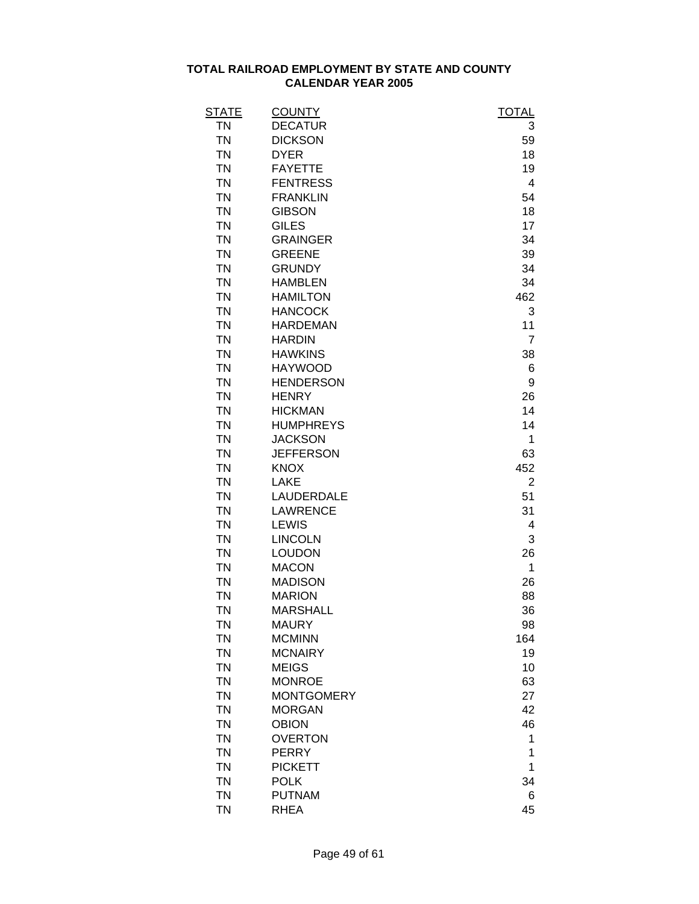| <b>STATE</b> | <b>COUNTY</b>     | <b>TOTAL</b>            |
|--------------|-------------------|-------------------------|
| <b>TN</b>    | <b>DECATUR</b>    | 3                       |
| <b>TN</b>    | <b>DICKSON</b>    | 59                      |
| <b>TN</b>    | <b>DYER</b>       | 18                      |
| <b>TN</b>    | <b>FAYETTE</b>    | 19                      |
| <b>TN</b>    | <b>FENTRESS</b>   | $\overline{\mathbf{4}}$ |
| <b>TN</b>    | <b>FRANKLIN</b>   | 54                      |
| <b>TN</b>    | <b>GIBSON</b>     | 18                      |
| <b>TN</b>    | <b>GILES</b>      | 17                      |
| <b>TN</b>    | <b>GRAINGER</b>   | 34                      |
| <b>TN</b>    | <b>GREENE</b>     | 39                      |
| <b>TN</b>    | <b>GRUNDY</b>     | 34                      |
| <b>TN</b>    | <b>HAMBLEN</b>    | 34                      |
| <b>TN</b>    | <b>HAMILTON</b>   | 462                     |
| <b>TN</b>    | <b>HANCOCK</b>    | 3                       |
| <b>TN</b>    | <b>HARDEMAN</b>   | 11                      |
| <b>TN</b>    | <b>HARDIN</b>     | 7                       |
| <b>TN</b>    | <b>HAWKINS</b>    | 38                      |
| <b>TN</b>    | <b>HAYWOOD</b>    | 6                       |
| <b>TN</b>    | <b>HENDERSON</b>  | 9                       |
| <b>TN</b>    | <b>HENRY</b>      | 26                      |
| <b>TN</b>    | <b>HICKMAN</b>    | 14                      |
| <b>TN</b>    | <b>HUMPHREYS</b>  | 14                      |
| <b>TN</b>    | <b>JACKSON</b>    | 1                       |
| <b>TN</b>    | <b>JEFFERSON</b>  | 63                      |
| <b>TN</b>    | <b>KNOX</b>       | 452                     |
| <b>TN</b>    | <b>LAKE</b>       | 2                       |
| <b>TN</b>    | LAUDERDALE        | 51                      |
| <b>TN</b>    | <b>LAWRENCE</b>   | 31                      |
| <b>TN</b>    | <b>LEWIS</b>      | 4                       |
| <b>TN</b>    | <b>LINCOLN</b>    | 3                       |
| <b>TN</b>    | <b>LOUDON</b>     | 26                      |
| <b>TN</b>    | <b>MACON</b>      | 1                       |
| <b>TN</b>    | <b>MADISON</b>    | 26                      |
| <b>TN</b>    | <b>MARION</b>     | 88                      |
| <b>TN</b>    | <b>MARSHALL</b>   | 36                      |
| <b>TN</b>    | <b>MAURY</b>      | 98                      |
| <b>TN</b>    | <b>MCMINN</b>     | 164                     |
| <b>TN</b>    | <b>MCNAIRY</b>    | 19                      |
| <b>TN</b>    | <b>MEIGS</b>      | 10                      |
| <b>TN</b>    | <b>MONROE</b>     | 63                      |
| <b>TN</b>    | <b>MONTGOMERY</b> | 27                      |
| <b>TN</b>    | <b>MORGAN</b>     | 42                      |
| <b>TN</b>    | <b>OBION</b>      | 46                      |
| <b>TN</b>    | <b>OVERTON</b>    | 1                       |
| <b>TN</b>    | <b>PERRY</b>      | 1                       |
| <b>TN</b>    | <b>PICKETT</b>    | 1                       |
| <b>TN</b>    | <b>POLK</b>       | 34                      |
| <b>TN</b>    | <b>PUTNAM</b>     | 6                       |
| <b>TN</b>    | <b>RHEA</b>       | 45                      |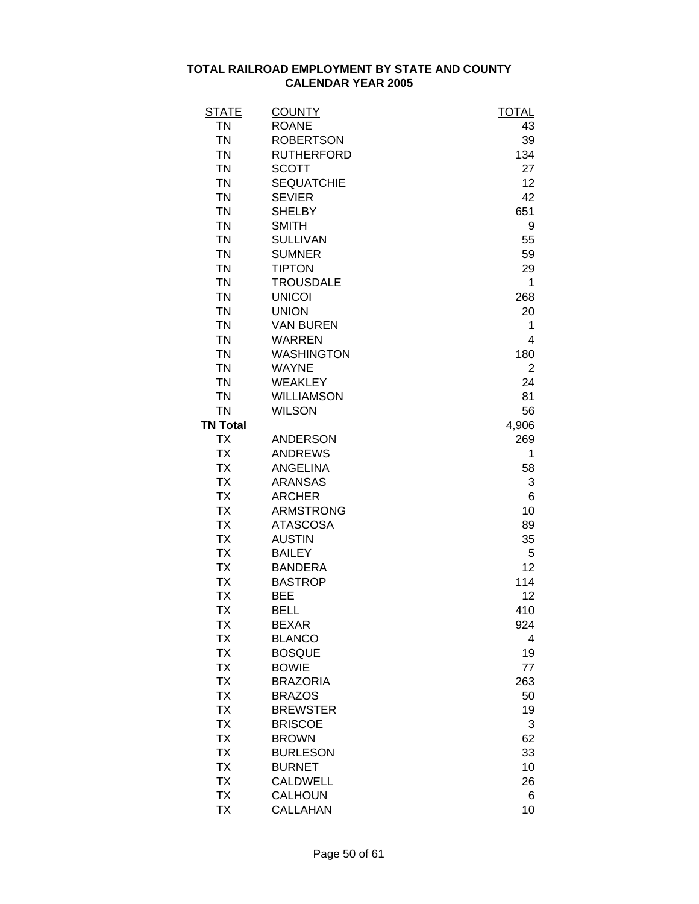| <b>STATE</b>    | <b>COUNTY</b>     | <b>TOTAL</b> |
|-----------------|-------------------|--------------|
| <b>TN</b>       | <b>ROANE</b>      | 43           |
| <b>TN</b>       | <b>ROBERTSON</b>  | 39           |
| <b>TN</b>       | <b>RUTHERFORD</b> | 134          |
| <b>TN</b>       | <b>SCOTT</b>      | 27           |
| <b>TN</b>       | <b>SEQUATCHIE</b> | 12           |
| <b>TN</b>       | <b>SEVIER</b>     | 42           |
| <b>TN</b>       | <b>SHELBY</b>     | 651          |
| <b>TN</b>       | <b>SMITH</b>      | 9            |
| <b>TN</b>       | <b>SULLIVAN</b>   | 55           |
| <b>TN</b>       | <b>SUMNER</b>     | 59           |
| <b>TN</b>       | <b>TIPTON</b>     | 29           |
| <b>TN</b>       | <b>TROUSDALE</b>  | 1            |
| <b>TN</b>       | <b>UNICOI</b>     | 268          |
| <b>TN</b>       | <b>UNION</b>      | 20           |
| <b>TN</b>       | <b>VAN BUREN</b>  | 1            |
| <b>TN</b>       | <b>WARREN</b>     | 4            |
| <b>TN</b>       | <b>WASHINGTON</b> | 180          |
| <b>TN</b>       | <b>WAYNE</b>      | 2            |
| <b>TN</b>       | <b>WEAKLEY</b>    | 24           |
| <b>TN</b>       | <b>WILLIAMSON</b> | 81           |
| <b>TN</b>       | <b>WILSON</b>     | 56           |
| <b>TN Total</b> |                   | 4,906        |
| <b>TX</b>       | <b>ANDERSON</b>   | 269          |
| <b>TX</b>       | <b>ANDREWS</b>    | 1            |
| <b>TX</b>       | <b>ANGELINA</b>   | 58           |
| <b>TX</b>       | <b>ARANSAS</b>    | 3            |
| <b>TX</b>       | <b>ARCHER</b>     | 6            |
| <b>TX</b>       | <b>ARMSTRONG</b>  | 10           |
| <b>TX</b>       | <b>ATASCOSA</b>   | 89           |
| <b>TX</b>       | <b>AUSTIN</b>     | 35           |
| <b>TX</b>       | <b>BAILEY</b>     | 5            |
| <b>TX</b>       | <b>BANDERA</b>    | 12           |
| <b>TX</b>       | <b>BASTROP</b>    | 114          |
| <b>TX</b>       | <b>BEE</b>        | 12           |
| <b>TX</b>       | <b>BELL</b>       | 410          |
| <b>TX</b>       | <b>BEXAR</b>      | 924          |
| <b>TX</b>       | <b>BLANCO</b>     | 4            |
| <b>TX</b>       | <b>BOSQUE</b>     | 19           |
| <b>TX</b>       | <b>BOWIE</b>      | 77           |
| <b>TX</b>       | <b>BRAZORIA</b>   | 263          |
| <b>TX</b>       | <b>BRAZOS</b>     | 50           |
| <b>TX</b>       | <b>BREWSTER</b>   | 19           |
| <b>TX</b>       | <b>BRISCOE</b>    | 3            |
| <b>TX</b>       | <b>BROWN</b>      | 62           |
| <b>TX</b>       | <b>BURLESON</b>   | 33           |
| <b>TX</b>       | <b>BURNET</b>     | 10           |
| <b>TX</b>       | <b>CALDWELL</b>   | 26           |
| <b>TX</b>       | <b>CALHOUN</b>    | 6            |
| <b>TX</b>       | <b>CALLAHAN</b>   | 10           |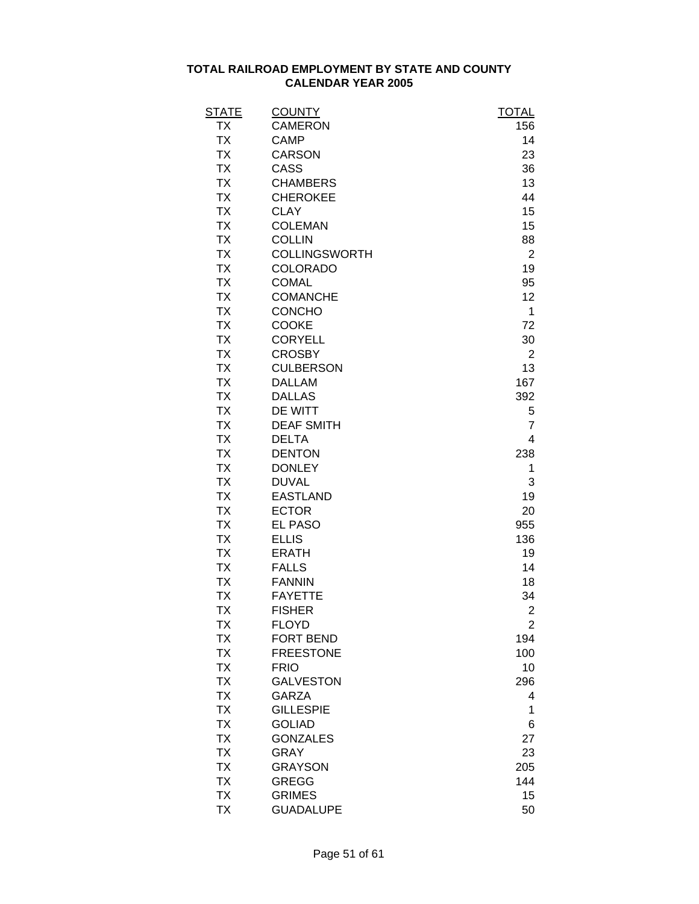| <b>STATE</b> | <b>COUNTY</b>        | <b>TOTAL</b>   |
|--------------|----------------------|----------------|
| ТX           | <b>CAMERON</b>       | 156            |
| <b>TX</b>    | <b>CAMP</b>          | 14             |
| <b>TX</b>    | <b>CARSON</b>        | 23             |
| <b>TX</b>    | CASS                 | 36             |
| <b>TX</b>    | <b>CHAMBERS</b>      | 13             |
| <b>TX</b>    | <b>CHEROKEE</b>      | 44             |
| <b>TX</b>    | <b>CLAY</b>          | 15             |
| <b>TX</b>    | <b>COLEMAN</b>       | 15             |
| <b>TX</b>    | <b>COLLIN</b>        | 88             |
| <b>TX</b>    | <b>COLLINGSWORTH</b> | $\overline{2}$ |
| <b>TX</b>    | <b>COLORADO</b>      | 19             |
| <b>TX</b>    | <b>COMAL</b>         | 95             |
| <b>TX</b>    | <b>COMANCHE</b>      | 12             |
| <b>TX</b>    | CONCHO               | 1              |
| <b>TX</b>    | COOKE                | 72             |
| <b>TX</b>    | <b>CORYELL</b>       | 30             |
| <b>TX</b>    | <b>CROSBY</b>        | $\overline{2}$ |
| <b>TX</b>    | <b>CULBERSON</b>     | 13             |
| <b>TX</b>    | <b>DALLAM</b>        | 167            |
| <b>TX</b>    | <b>DALLAS</b>        | 392            |
| <b>TX</b>    | DE WITT              | 5              |
| <b>TX</b>    | <b>DEAF SMITH</b>    | $\overline{7}$ |
| <b>TX</b>    | <b>DELTA</b>         | 4              |
| <b>TX</b>    | <b>DENTON</b>        | 238            |
| <b>TX</b>    | <b>DONLEY</b>        | 1              |
| <b>TX</b>    | <b>DUVAL</b>         | 3              |
| <b>TX</b>    | <b>EASTLAND</b>      | 19             |
| <b>TX</b>    | <b>ECTOR</b>         | 20             |
| <b>TX</b>    | <b>EL PASO</b>       | 955            |
| <b>TX</b>    | <b>ELLIS</b>         | 136            |
| <b>TX</b>    | <b>ERATH</b>         | 19             |
| <b>TX</b>    | <b>FALLS</b>         | 14             |
| <b>TX</b>    | <b>FANNIN</b>        | 18             |
| <b>TX</b>    | <b>FAYETTE</b>       | 34             |
| TΧ           | <b>FISHER</b>        | 2              |
| <b>TX</b>    | <b>FLOYD</b>         | $\overline{2}$ |
| <b>TX</b>    | FORT BEND            | 194            |
| <b>TX</b>    | <b>FREESTONE</b>     | 100            |
| <b>TX</b>    | <b>FRIO</b>          | 10             |
| <b>TX</b>    | <b>GALVESTON</b>     | 296            |
| <b>TX</b>    | <b>GARZA</b>         | 4              |
| <b>TX</b>    | <b>GILLESPIE</b>     | 1              |
| <b>TX</b>    | <b>GOLIAD</b>        | 6              |
| <b>TX</b>    | <b>GONZALES</b>      | 27             |
| <b>TX</b>    | <b>GRAY</b>          | 23             |
| <b>TX</b>    | <b>GRAYSON</b>       | 205            |
| <b>TX</b>    | <b>GREGG</b>         | 144            |
| <b>TX</b>    | <b>GRIMES</b>        | 15             |
| <b>TX</b>    | <b>GUADALUPE</b>     | 50             |
|              |                      |                |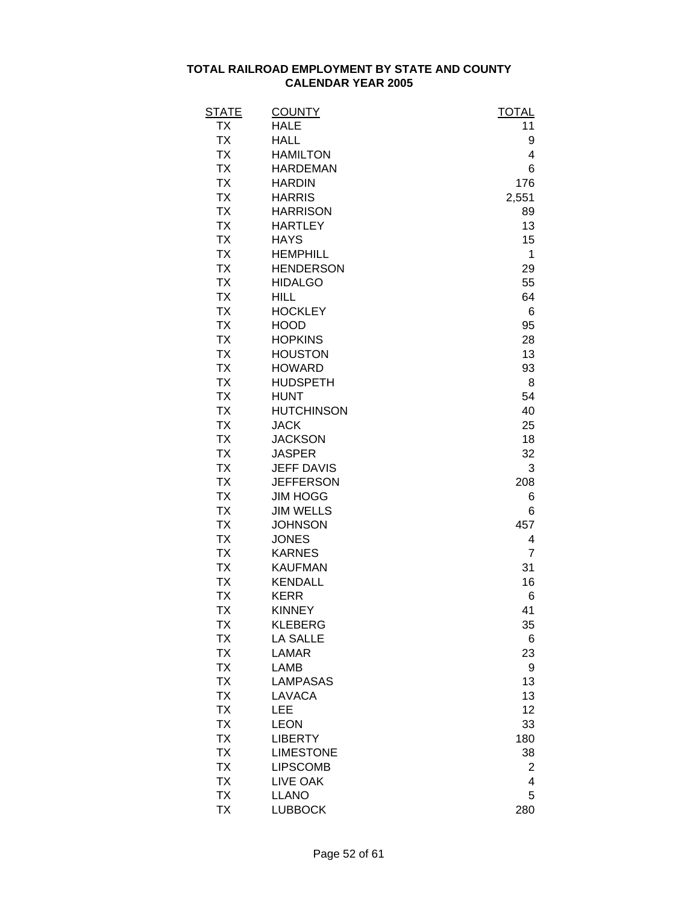| <b>STATE</b> | <b>COUNTY</b>     | <b>TOTAL</b>   |
|--------------|-------------------|----------------|
| <b>TX</b>    | <b>HALE</b>       | 11             |
| <b>TX</b>    | <b>HALL</b>       | 9              |
| <b>TX</b>    | <b>HAMILTON</b>   | 4              |
| <b>TX</b>    | <b>HARDEMAN</b>   | 6              |
| <b>TX</b>    | <b>HARDIN</b>     | 176            |
| <b>TX</b>    | <b>HARRIS</b>     | 2,551          |
| <b>TX</b>    | <b>HARRISON</b>   | 89             |
| <b>TX</b>    | <b>HARTLEY</b>    | 13             |
| <b>TX</b>    | <b>HAYS</b>       | 15             |
| <b>TX</b>    | <b>HEMPHILL</b>   | 1              |
| <b>TX</b>    | <b>HENDERSON</b>  | 29             |
| <b>TX</b>    | <b>HIDALGO</b>    | 55             |
| <b>TX</b>    | <b>HILL</b>       | 64             |
| <b>TX</b>    | <b>HOCKLEY</b>    | 6              |
| <b>TX</b>    | <b>HOOD</b>       | 95             |
| <b>TX</b>    | <b>HOPKINS</b>    | 28             |
| <b>TX</b>    | <b>HOUSTON</b>    | 13             |
| <b>TX</b>    | <b>HOWARD</b>     | 93             |
| <b>TX</b>    | <b>HUDSPETH</b>   | 8              |
| <b>TX</b>    | <b>HUNT</b>       | 54             |
| <b>TX</b>    | <b>HUTCHINSON</b> | 40             |
| <b>TX</b>    | <b>JACK</b>       | 25             |
| <b>TX</b>    | <b>JACKSON</b>    | 18             |
| <b>TX</b>    | <b>JASPER</b>     | 32             |
| <b>TX</b>    | <b>JEFF DAVIS</b> | 3              |
| <b>TX</b>    | <b>JEFFERSON</b>  | 208            |
| <b>TX</b>    | <b>JIM HOGG</b>   | 6              |
| <b>TX</b>    | <b>JIM WELLS</b>  | 6              |
| <b>TX</b>    | <b>JOHNSON</b>    | 457            |
| <b>TX</b>    | <b>JONES</b>      | 4              |
| <b>TX</b>    | <b>KARNES</b>     | $\overline{7}$ |
| <b>TX</b>    | <b>KAUFMAN</b>    | 31             |
| <b>TX</b>    | <b>KENDALL</b>    | 16             |
| <b>TX</b>    | <b>KERR</b>       | 6              |
| <b>TX</b>    | <b>KINNEY</b>     | 41             |
| <b>TX</b>    | <b>KLEBERG</b>    | 35             |
| <b>TX</b>    | <b>LA SALLE</b>   | 6              |
| <b>TX</b>    | <b>LAMAR</b>      | 23             |
| <b>TX</b>    | <b>LAMB</b>       | 9              |
| <b>TX</b>    | <b>LAMPASAS</b>   | 13             |
| <b>TX</b>    | <b>LAVACA</b>     | 13             |
| <b>TX</b>    | LEE               | 12             |
| <b>TX</b>    | <b>LEON</b>       | 33             |
| <b>TX</b>    | <b>LIBERTY</b>    | 180            |
| <b>TX</b>    | <b>LIMESTONE</b>  | 38             |
| <b>TX</b>    | <b>LIPSCOMB</b>   | 2              |
| <b>TX</b>    | <b>LIVE OAK</b>   | 4              |
| <b>TX</b>    | <b>LLANO</b>      | 5              |
| <b>TX</b>    | <b>LUBBOCK</b>    | 280            |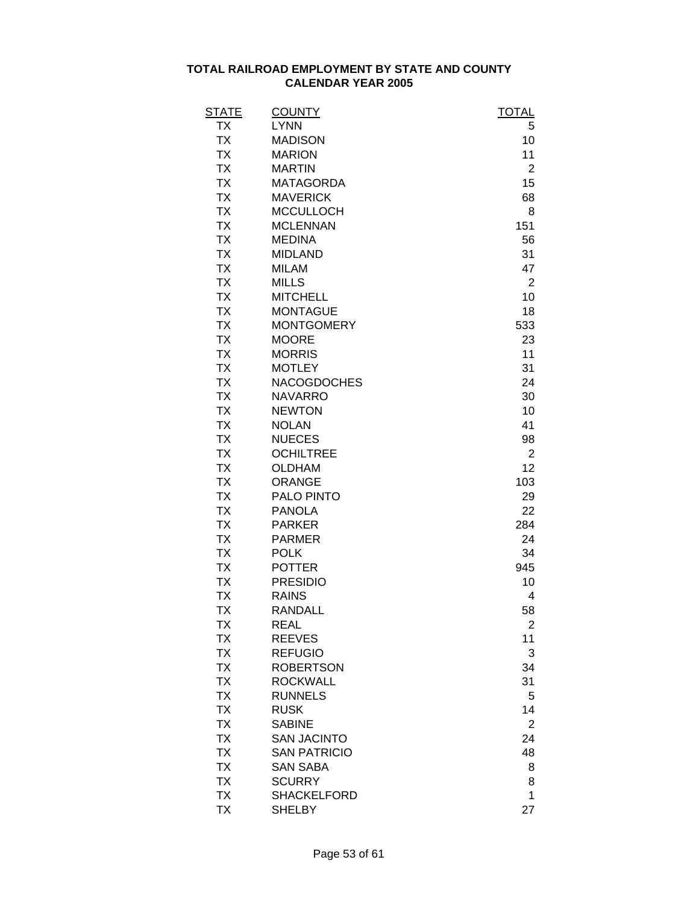| <b>STATE</b> | <b>COUNTY</b>       | <b>TOTAL</b>   |
|--------------|---------------------|----------------|
| ТX           | <b>LYNN</b>         | 5              |
| <b>TX</b>    | <b>MADISON</b>      | 10             |
| <b>TX</b>    | <b>MARION</b>       | 11             |
| <b>TX</b>    | <b>MARTIN</b>       | $\overline{2}$ |
| <b>TX</b>    | <b>MATAGORDA</b>    | 15             |
| <b>TX</b>    | <b>MAVERICK</b>     | 68             |
| <b>TX</b>    | <b>MCCULLOCH</b>    | 8              |
| <b>TX</b>    | <b>MCLENNAN</b>     | 151            |
| <b>TX</b>    | <b>MEDINA</b>       | 56             |
| <b>TX</b>    | <b>MIDLAND</b>      | 31             |
| <b>TX</b>    | <b>MILAM</b>        | 47             |
| <b>TX</b>    | <b>MILLS</b>        | $\overline{2}$ |
| <b>TX</b>    | <b>MITCHELL</b>     | 10             |
| <b>TX</b>    | <b>MONTAGUE</b>     | 18             |
| <b>TX</b>    | <b>MONTGOMERY</b>   | 533            |
| <b>TX</b>    | <b>MOORE</b>        | 23             |
| <b>TX</b>    | <b>MORRIS</b>       | 11             |
| <b>TX</b>    | <b>MOTLEY</b>       | 31             |
| <b>TX</b>    | <b>NACOGDOCHES</b>  | 24             |
| <b>TX</b>    | <b>NAVARRO</b>      | 30             |
| <b>TX</b>    | <b>NEWTON</b>       | 10             |
| <b>TX</b>    | <b>NOLAN</b>        | 41             |
| <b>TX</b>    | <b>NUECES</b>       | 98             |
| <b>TX</b>    | <b>OCHILTREE</b>    | $\overline{2}$ |
| <b>TX</b>    | <b>OLDHAM</b>       | 12             |
| <b>TX</b>    | <b>ORANGE</b>       | 103            |
| <b>TX</b>    | PALO PINTO          | 29             |
| <b>TX</b>    | <b>PANOLA</b>       | 22             |
| <b>TX</b>    | <b>PARKER</b>       | 284            |
| <b>TX</b>    | <b>PARMER</b>       | 24             |
| <b>TX</b>    | <b>POLK</b>         | 34             |
| <b>TX</b>    | <b>POTTER</b>       | 945            |
| <b>TX</b>    | <b>PRESIDIO</b>     | 10             |
| <b>TX</b>    | <b>RAINS</b>        | 4              |
| TΧ           | RANDALL             | 58             |
| <b>TX</b>    | <b>REAL</b>         | $\overline{2}$ |
| <b>TX</b>    | <b>REEVES</b>       | 11             |
| <b>TX</b>    | <b>REFUGIO</b>      | 3              |
| <b>TX</b>    | <b>ROBERTSON</b>    | 34             |
| <b>TX</b>    | <b>ROCKWALL</b>     | 31             |
| <b>TX</b>    | <b>RUNNELS</b>      | 5              |
| <b>TX</b>    | <b>RUSK</b>         | 14             |
| <b>TX</b>    | <b>SABINE</b>       |                |
| <b>TX</b>    | <b>SAN JACINTO</b>  | $\overline{2}$ |
|              |                     | 24             |
| <b>TX</b>    | <b>SAN PATRICIO</b> | 48             |
| <b>TX</b>    | <b>SAN SABA</b>     | 8              |
| <b>TX</b>    | <b>SCURRY</b>       | 8              |
| <b>TX</b>    | <b>SHACKELFORD</b>  | 1              |
| <b>TX</b>    | <b>SHELBY</b>       | 27             |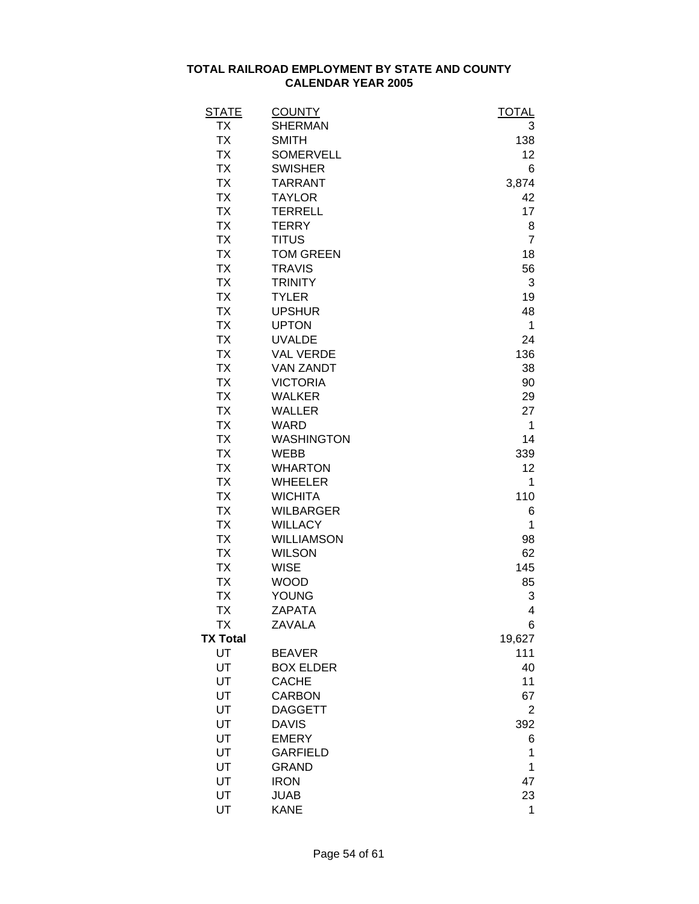| <b>STATE</b>    | <b>COUNTY</b>     | <b>TOTAL</b>   |
|-----------------|-------------------|----------------|
| <b>TX</b>       | <b>SHERMAN</b>    | 3              |
| <b>TX</b>       | <b>SMITH</b>      | 138            |
| <b>TX</b>       | <b>SOMERVELL</b>  | 12             |
| <b>TX</b>       | <b>SWISHER</b>    | 6              |
| <b>TX</b>       | <b>TARRANT</b>    | 3,874          |
| <b>TX</b>       | <b>TAYLOR</b>     | 42             |
| <b>TX</b>       | <b>TERRELL</b>    | 17             |
| <b>TX</b>       | <b>TERRY</b>      | 8              |
| <b>TX</b>       | <b>TITUS</b>      | $\overline{7}$ |
| <b>TX</b>       | <b>TOM GREEN</b>  | 18             |
| <b>TX</b>       | <b>TRAVIS</b>     | 56             |
| <b>TX</b>       | <b>TRINITY</b>    | 3              |
| <b>TX</b>       | <b>TYLER</b>      | 19             |
| <b>TX</b>       | <b>UPSHUR</b>     | 48             |
| <b>TX</b>       | <b>UPTON</b>      | 1              |
| <b>TX</b>       | <b>UVALDE</b>     | 24             |
| <b>TX</b>       | <b>VAL VERDE</b>  | 136            |
| <b>TX</b>       | <b>VAN ZANDT</b>  | 38             |
| <b>TX</b>       | <b>VICTORIA</b>   | 90             |
| <b>TX</b>       | <b>WALKER</b>     | 29             |
| <b>TX</b>       | <b>WALLER</b>     | 27             |
| <b>TX</b>       | <b>WARD</b>       | 1              |
| <b>TX</b>       | <b>WASHINGTON</b> | 14             |
| <b>TX</b>       | <b>WEBB</b>       | 339            |
| <b>TX</b>       | <b>WHARTON</b>    | 12             |
| <b>TX</b>       | <b>WHEELER</b>    | 1              |
| <b>TX</b>       | <b>WICHITA</b>    | 110            |
| <b>TX</b>       | <b>WILBARGER</b>  | 6              |
| <b>TX</b>       | <b>WILLACY</b>    | 1              |
| <b>TX</b>       | <b>WILLIAMSON</b> | 98             |
| <b>TX</b>       | <b>WILSON</b>     | 62             |
| <b>TX</b>       | <b>WISE</b>       | 145            |
| <b>TX</b>       | <b>WOOD</b>       | 85             |
| <b>TX</b>       | <b>YOUNG</b>      | 3              |
| TΧ              | ZAPATA            | 4              |
| TX              | <b>ZAVALA</b>     | 6              |
| <b>TX Total</b> |                   | 19,627         |
| UT              | <b>BEAVER</b>     | 111            |
| UT              | <b>BOX ELDER</b>  | 40             |
| UT              | <b>CACHE</b>      | 11             |
| UT              | <b>CARBON</b>     | 67             |
| UT              | <b>DAGGETT</b>    | $\overline{2}$ |
| UT              | <b>DAVIS</b>      | 392            |
| UT              | <b>EMERY</b>      | 6              |
| UT              | <b>GARFIELD</b>   | 1              |
| UT              | <b>GRAND</b>      | 1              |
| UT              | <b>IRON</b>       | 47             |
| UT              | <b>JUAB</b>       | 23             |
| UT              | <b>KANE</b>       | 1              |
|                 |                   |                |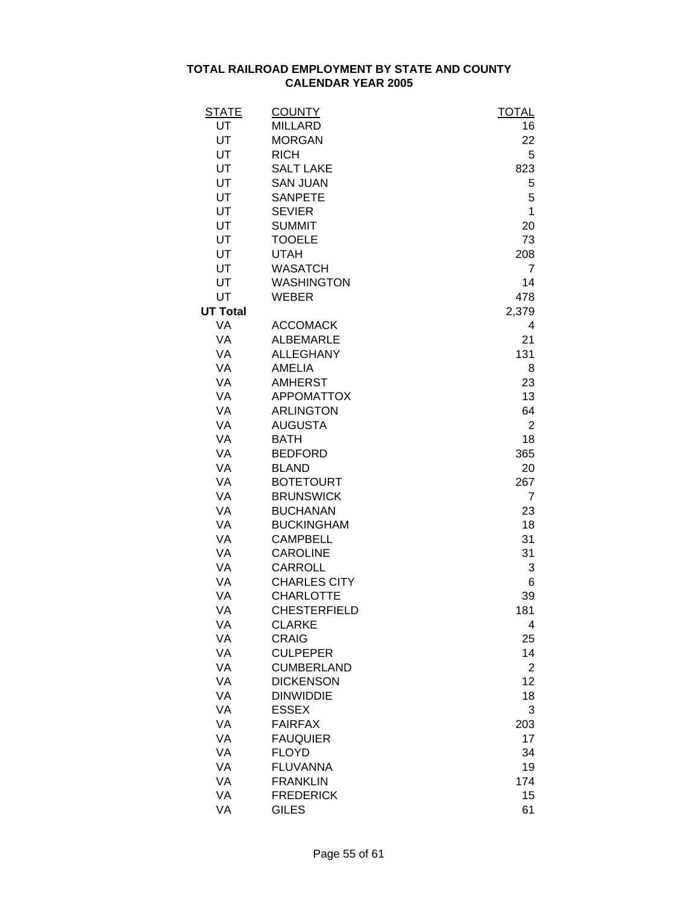| <b>STATE</b>    | <b>COUNTY</b>       | <b>TOTAL</b>   |
|-----------------|---------------------|----------------|
| UT              | <b>MILLARD</b>      | 16             |
| UT              | <b>MORGAN</b>       | 22             |
| UT              | <b>RICH</b>         | 5              |
| UT              | <b>SALT LAKE</b>    | 823            |
| UT              | <b>SAN JUAN</b>     | 5              |
| UT              | <b>SANPETE</b>      | 5              |
| UT              | <b>SEVIER</b>       | 1              |
| UT              | <b>SUMMIT</b>       | 20             |
| UT              | <b>TOOELE</b>       | 73             |
| UT              | <b>UTAH</b>         | 208            |
| UT              | <b>WASATCH</b>      | $\overline{7}$ |
| UT              | <b>WASHINGTON</b>   | 14             |
| UT              | <b>WEBER</b>        | 478            |
| <b>UT Total</b> |                     | 2,379          |
| VA              | <b>ACCOMACK</b>     | 4              |
| VA              | <b>ALBEMARLE</b>    | 21             |
| VA              | <b>ALLEGHANY</b>    | 131            |
| VA              | <b>AMELIA</b>       | 8              |
| VA              | <b>AMHERST</b>      | 23             |
| VA              | <b>APPOMATTOX</b>   | 13             |
| VA              | <b>ARLINGTON</b>    | 64             |
| VA              | <b>AUGUSTA</b>      | $\overline{2}$ |
| VA              | <b>BATH</b>         | 18             |
| VA              | <b>BEDFORD</b>      | 365            |
| VA              | <b>BLAND</b>        | 20             |
| VA              | <b>BOTETOURT</b>    | 267            |
| VA              | <b>BRUNSWICK</b>    | 7              |
| VA              | <b>BUCHANAN</b>     | 23             |
| VA              | <b>BUCKINGHAM</b>   | 18             |
| VA              | <b>CAMPBELL</b>     | 31             |
| VA              | <b>CAROLINE</b>     | 31             |
| VA              | CARROLL             | 3              |
| VA              | <b>CHARLES CITY</b> | 6              |
| VA              | <b>CHARLOTTE</b>    | 39             |
| VA              | <b>CHESTERFIELD</b> | 181            |
| VA              | <b>CLARKE</b>       | 4              |
| VA              | <b>CRAIG</b>        | 25             |
| VA              | <b>CULPEPER</b>     | 14             |
| VA              | <b>CUMBERLAND</b>   | $\overline{2}$ |
| VA              | <b>DICKENSON</b>    | 12             |
| VA              | <b>DINWIDDIE</b>    | 18             |
| VA              | <b>ESSEX</b>        | 3              |
| VA              | <b>FAIRFAX</b>      | 203            |
| VA              | <b>FAUQUIER</b>     | 17             |
| VA              | <b>FLOYD</b>        | 34             |
| VA              | <b>FLUVANNA</b>     | 19             |
| VA              | <b>FRANKLIN</b>     | 174            |
| VA              | <b>FREDERICK</b>    | 15             |
| VA              | <b>GILES</b>        | 61             |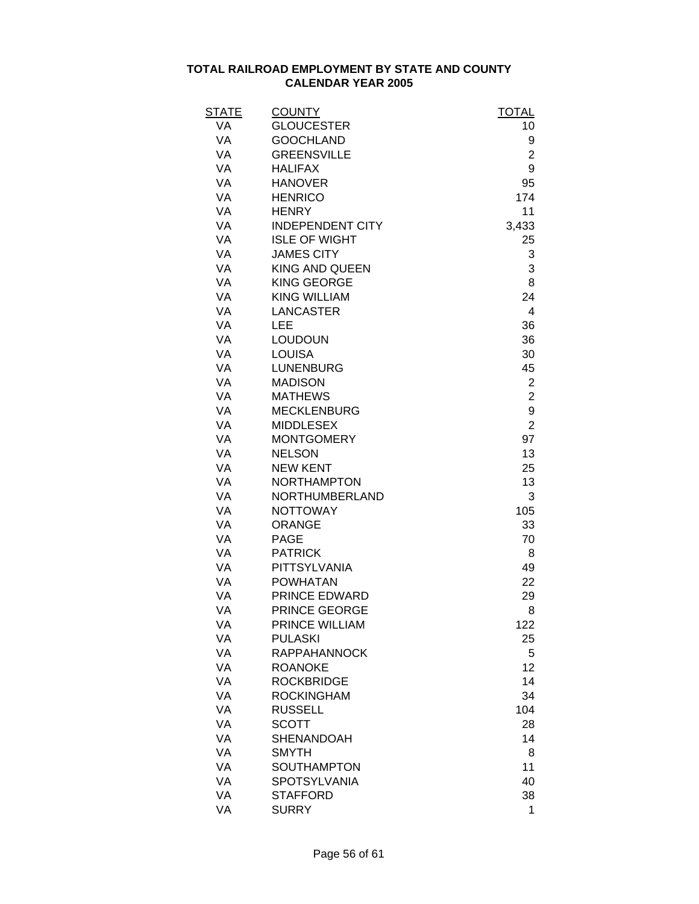| <b>STATE</b> | <b>COUNTY</b>                      | <b>TOTAL</b>   |
|--------------|------------------------------------|----------------|
| VA           | <b>GLOUCESTER</b>                  | 10             |
| <b>VA</b>    | <b>GOOCHLAND</b>                   | 9              |
| VA           | <b>GREENSVILLE</b>                 | $\overline{2}$ |
| VA           | <b>HALIFAX</b>                     | 9              |
| VA           | <b>HANOVER</b>                     | 95             |
| VA           | <b>HENRICO</b>                     | 174            |
| VA           | <b>HENRY</b>                       | 11             |
| VA           | <b>INDEPENDENT CITY</b>            | 3,433          |
| VA           | <b>ISLE OF WIGHT</b>               | 25             |
| VA           | <b>JAMES CITY</b>                  | 3              |
| VA           | <b>KING AND QUEEN</b>              | 3              |
| VA           | <b>KING GEORGE</b>                 | 8              |
| VA           | <b>KING WILLIAM</b>                | 24             |
| VA           | <b>LANCASTER</b>                   | 4              |
| VA           | LEE                                | 36             |
| VA           | <b>LOUDOUN</b>                     | 36             |
| VA           | <b>LOUISA</b>                      | 30             |
| VA           | <b>LUNENBURG</b>                   | 45             |
| VA           | <b>MADISON</b>                     | $\overline{c}$ |
| VA           | <b>MATHEWS</b>                     | $\overline{2}$ |
| VA           | <b>MECKLENBURG</b>                 | 9              |
| VA           | <b>MIDDLESEX</b>                   | $\overline{2}$ |
| VA           | <b>MONTGOMERY</b>                  | 97             |
| VA           | <b>NELSON</b>                      | 13             |
| VA           | <b>NEW KENT</b>                    | 25             |
| VA           | <b>NORTHAMPTON</b>                 | 13             |
| VA           | NORTHUMBERLAND                     | 3              |
| VA           | <b>NOTTOWAY</b>                    | 105            |
| VA           | <b>ORANGE</b>                      | 33             |
| VA           | <b>PAGE</b>                        | 70             |
| VA           | <b>PATRICK</b>                     | 8              |
| VA           | PITTSYLVANIA                       | 49             |
| VA           | <b>POWHATAN</b>                    | 22             |
| VA           | PRINCE EDWARD                      | 29             |
| VA           | PRINCE GEORGE                      | 8              |
| VA           | PRINCE WILLIAM                     | 122            |
| VA           | <b>PULASKI</b>                     | 25             |
| VA           | <b>RAPPAHANNOCK</b>                | 5              |
| VA           | <b>ROANOKE</b>                     | 12             |
| VA           | <b>ROCKBRIDGE</b>                  | 14             |
| VA           | <b>ROCKINGHAM</b>                  | 34             |
| VA           | <b>RUSSELL</b>                     | 104            |
| VA           | <b>SCOTT</b>                       | 28             |
| VA           | <b>SHENANDOAH</b>                  | 14             |
| VA           |                                    |                |
|              | <b>SMYTH</b><br><b>SOUTHAMPTON</b> | 8              |
| VA           |                                    | 11             |
| VA           | <b>SPOTSYLVANIA</b>                | 40             |
| VA           | <b>STAFFORD</b>                    | 38             |
| VA           | <b>SURRY</b>                       | 1              |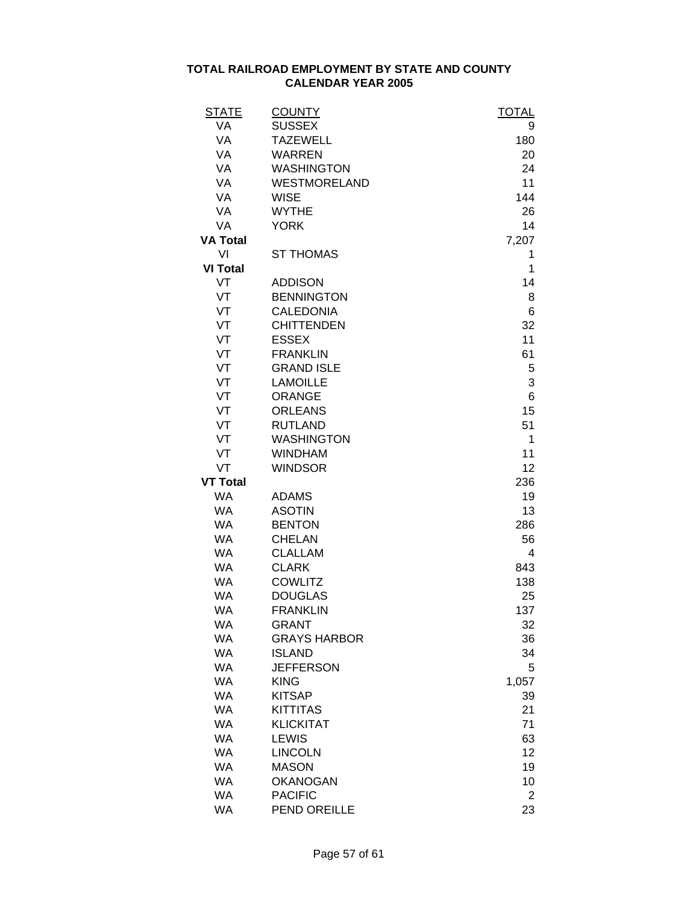| VA<br>9<br>VA<br><b>TAZEWELL</b><br>180<br>VA<br><b>WARREN</b><br>20<br>VA<br><b>WASHINGTON</b><br>24<br>11<br>VA<br><b>WESTMORELAND</b><br>VA<br><b>WISE</b><br>144<br>VA<br><b>WYTHE</b><br>26<br><b>YORK</b><br>VA<br>14<br>7,207<br><b>ST THOMAS</b><br>VI<br>1<br><b>VI Total</b><br>1<br>VT<br><b>ADDISON</b><br>14<br>VT<br><b>BENNINGTON</b><br>8<br>VT<br><b>CALEDONIA</b><br>6<br>VT<br><b>CHITTENDEN</b><br>32<br>VT<br><b>ESSEX</b><br>11<br>VT<br><b>FRANKLIN</b><br>61<br>VT<br><b>GRAND ISLE</b><br>5<br>VT<br>3<br><b>LAMOILLE</b><br>VT<br>6<br><b>ORANGE</b><br>VT<br><b>ORLEANS</b><br>15<br>VT<br>51<br><b>RUTLAND</b><br>VT<br><b>WASHINGTON</b><br>1<br>VT<br><b>WINDHAM</b><br>11<br>VT<br>12<br><b>WINDSOR</b><br>236<br><b>WA</b><br><b>ADAMS</b><br>19<br><b>ASOTIN</b><br><b>WA</b><br>13<br><b>WA</b><br><b>BENTON</b><br>286<br><b>WA</b><br><b>CHELAN</b><br>56<br><b>WA</b><br><b>CLALLAM</b><br>4<br><b>CLARK</b><br><b>WA</b><br>843<br><b>COWLITZ</b><br><b>WA</b><br>138<br><b>WA</b><br><b>DOUGLAS</b><br>25<br><b>WA</b><br><b>FRANKLIN</b><br>137<br><b>WA</b><br>GRANT<br>32<br><b>WA</b><br><b>GRAYS HARBOR</b><br>36<br><b>WA</b><br><b>ISLAND</b><br>34<br><b>WA</b><br><b>JEFFERSON</b><br>5<br><b>WA</b><br><b>KING</b><br>1,057<br><b>WA</b><br><b>KITSAP</b><br>39<br><b>WA</b><br><b>KITTITAS</b><br>21<br>71<br><b>WA</b><br><b>KLICKITAT</b><br><b>WA</b><br><b>LEWIS</b><br>63<br>12<br><b>WA</b><br><b>LINCOLN</b><br><b>WA</b><br><b>MASON</b><br>19<br><b>WA</b><br><b>OKANOGAN</b><br>10<br><b>WA</b><br><b>PACIFIC</b><br>2<br><b>WA</b><br><b>PEND OREILLE</b><br>23 | <u>STATE</u>    | <b>COUNTY</b> | <b>TOTAL</b> |
|------------------------------------------------------------------------------------------------------------------------------------------------------------------------------------------------------------------------------------------------------------------------------------------------------------------------------------------------------------------------------------------------------------------------------------------------------------------------------------------------------------------------------------------------------------------------------------------------------------------------------------------------------------------------------------------------------------------------------------------------------------------------------------------------------------------------------------------------------------------------------------------------------------------------------------------------------------------------------------------------------------------------------------------------------------------------------------------------------------------------------------------------------------------------------------------------------------------------------------------------------------------------------------------------------------------------------------------------------------------------------------------------------------------------------------------------------------------------------------------------------------------------------------------------------------------------------------------------------------------------------|-----------------|---------------|--------------|
|                                                                                                                                                                                                                                                                                                                                                                                                                                                                                                                                                                                                                                                                                                                                                                                                                                                                                                                                                                                                                                                                                                                                                                                                                                                                                                                                                                                                                                                                                                                                                                                                                              |                 | <b>SUSSEX</b> |              |
|                                                                                                                                                                                                                                                                                                                                                                                                                                                                                                                                                                                                                                                                                                                                                                                                                                                                                                                                                                                                                                                                                                                                                                                                                                                                                                                                                                                                                                                                                                                                                                                                                              |                 |               |              |
|                                                                                                                                                                                                                                                                                                                                                                                                                                                                                                                                                                                                                                                                                                                                                                                                                                                                                                                                                                                                                                                                                                                                                                                                                                                                                                                                                                                                                                                                                                                                                                                                                              |                 |               |              |
|                                                                                                                                                                                                                                                                                                                                                                                                                                                                                                                                                                                                                                                                                                                                                                                                                                                                                                                                                                                                                                                                                                                                                                                                                                                                                                                                                                                                                                                                                                                                                                                                                              |                 |               |              |
|                                                                                                                                                                                                                                                                                                                                                                                                                                                                                                                                                                                                                                                                                                                                                                                                                                                                                                                                                                                                                                                                                                                                                                                                                                                                                                                                                                                                                                                                                                                                                                                                                              |                 |               |              |
|                                                                                                                                                                                                                                                                                                                                                                                                                                                                                                                                                                                                                                                                                                                                                                                                                                                                                                                                                                                                                                                                                                                                                                                                                                                                                                                                                                                                                                                                                                                                                                                                                              |                 |               |              |
|                                                                                                                                                                                                                                                                                                                                                                                                                                                                                                                                                                                                                                                                                                                                                                                                                                                                                                                                                                                                                                                                                                                                                                                                                                                                                                                                                                                                                                                                                                                                                                                                                              |                 |               |              |
|                                                                                                                                                                                                                                                                                                                                                                                                                                                                                                                                                                                                                                                                                                                                                                                                                                                                                                                                                                                                                                                                                                                                                                                                                                                                                                                                                                                                                                                                                                                                                                                                                              |                 |               |              |
|                                                                                                                                                                                                                                                                                                                                                                                                                                                                                                                                                                                                                                                                                                                                                                                                                                                                                                                                                                                                                                                                                                                                                                                                                                                                                                                                                                                                                                                                                                                                                                                                                              | <b>VA Total</b> |               |              |
|                                                                                                                                                                                                                                                                                                                                                                                                                                                                                                                                                                                                                                                                                                                                                                                                                                                                                                                                                                                                                                                                                                                                                                                                                                                                                                                                                                                                                                                                                                                                                                                                                              |                 |               |              |
|                                                                                                                                                                                                                                                                                                                                                                                                                                                                                                                                                                                                                                                                                                                                                                                                                                                                                                                                                                                                                                                                                                                                                                                                                                                                                                                                                                                                                                                                                                                                                                                                                              |                 |               |              |
|                                                                                                                                                                                                                                                                                                                                                                                                                                                                                                                                                                                                                                                                                                                                                                                                                                                                                                                                                                                                                                                                                                                                                                                                                                                                                                                                                                                                                                                                                                                                                                                                                              |                 |               |              |
|                                                                                                                                                                                                                                                                                                                                                                                                                                                                                                                                                                                                                                                                                                                                                                                                                                                                                                                                                                                                                                                                                                                                                                                                                                                                                                                                                                                                                                                                                                                                                                                                                              |                 |               |              |
|                                                                                                                                                                                                                                                                                                                                                                                                                                                                                                                                                                                                                                                                                                                                                                                                                                                                                                                                                                                                                                                                                                                                                                                                                                                                                                                                                                                                                                                                                                                                                                                                                              |                 |               |              |
|                                                                                                                                                                                                                                                                                                                                                                                                                                                                                                                                                                                                                                                                                                                                                                                                                                                                                                                                                                                                                                                                                                                                                                                                                                                                                                                                                                                                                                                                                                                                                                                                                              |                 |               |              |
|                                                                                                                                                                                                                                                                                                                                                                                                                                                                                                                                                                                                                                                                                                                                                                                                                                                                                                                                                                                                                                                                                                                                                                                                                                                                                                                                                                                                                                                                                                                                                                                                                              |                 |               |              |
|                                                                                                                                                                                                                                                                                                                                                                                                                                                                                                                                                                                                                                                                                                                                                                                                                                                                                                                                                                                                                                                                                                                                                                                                                                                                                                                                                                                                                                                                                                                                                                                                                              |                 |               |              |
|                                                                                                                                                                                                                                                                                                                                                                                                                                                                                                                                                                                                                                                                                                                                                                                                                                                                                                                                                                                                                                                                                                                                                                                                                                                                                                                                                                                                                                                                                                                                                                                                                              |                 |               |              |
|                                                                                                                                                                                                                                                                                                                                                                                                                                                                                                                                                                                                                                                                                                                                                                                                                                                                                                                                                                                                                                                                                                                                                                                                                                                                                                                                                                                                                                                                                                                                                                                                                              |                 |               |              |
|                                                                                                                                                                                                                                                                                                                                                                                                                                                                                                                                                                                                                                                                                                                                                                                                                                                                                                                                                                                                                                                                                                                                                                                                                                                                                                                                                                                                                                                                                                                                                                                                                              |                 |               |              |
|                                                                                                                                                                                                                                                                                                                                                                                                                                                                                                                                                                                                                                                                                                                                                                                                                                                                                                                                                                                                                                                                                                                                                                                                                                                                                                                                                                                                                                                                                                                                                                                                                              |                 |               |              |
|                                                                                                                                                                                                                                                                                                                                                                                                                                                                                                                                                                                                                                                                                                                                                                                                                                                                                                                                                                                                                                                                                                                                                                                                                                                                                                                                                                                                                                                                                                                                                                                                                              |                 |               |              |
|                                                                                                                                                                                                                                                                                                                                                                                                                                                                                                                                                                                                                                                                                                                                                                                                                                                                                                                                                                                                                                                                                                                                                                                                                                                                                                                                                                                                                                                                                                                                                                                                                              |                 |               |              |
|                                                                                                                                                                                                                                                                                                                                                                                                                                                                                                                                                                                                                                                                                                                                                                                                                                                                                                                                                                                                                                                                                                                                                                                                                                                                                                                                                                                                                                                                                                                                                                                                                              |                 |               |              |
|                                                                                                                                                                                                                                                                                                                                                                                                                                                                                                                                                                                                                                                                                                                                                                                                                                                                                                                                                                                                                                                                                                                                                                                                                                                                                                                                                                                                                                                                                                                                                                                                                              |                 |               |              |
|                                                                                                                                                                                                                                                                                                                                                                                                                                                                                                                                                                                                                                                                                                                                                                                                                                                                                                                                                                                                                                                                                                                                                                                                                                                                                                                                                                                                                                                                                                                                                                                                                              | <b>VT Total</b> |               |              |
|                                                                                                                                                                                                                                                                                                                                                                                                                                                                                                                                                                                                                                                                                                                                                                                                                                                                                                                                                                                                                                                                                                                                                                                                                                                                                                                                                                                                                                                                                                                                                                                                                              |                 |               |              |
|                                                                                                                                                                                                                                                                                                                                                                                                                                                                                                                                                                                                                                                                                                                                                                                                                                                                                                                                                                                                                                                                                                                                                                                                                                                                                                                                                                                                                                                                                                                                                                                                                              |                 |               |              |
|                                                                                                                                                                                                                                                                                                                                                                                                                                                                                                                                                                                                                                                                                                                                                                                                                                                                                                                                                                                                                                                                                                                                                                                                                                                                                                                                                                                                                                                                                                                                                                                                                              |                 |               |              |
|                                                                                                                                                                                                                                                                                                                                                                                                                                                                                                                                                                                                                                                                                                                                                                                                                                                                                                                                                                                                                                                                                                                                                                                                                                                                                                                                                                                                                                                                                                                                                                                                                              |                 |               |              |
|                                                                                                                                                                                                                                                                                                                                                                                                                                                                                                                                                                                                                                                                                                                                                                                                                                                                                                                                                                                                                                                                                                                                                                                                                                                                                                                                                                                                                                                                                                                                                                                                                              |                 |               |              |
|                                                                                                                                                                                                                                                                                                                                                                                                                                                                                                                                                                                                                                                                                                                                                                                                                                                                                                                                                                                                                                                                                                                                                                                                                                                                                                                                                                                                                                                                                                                                                                                                                              |                 |               |              |
|                                                                                                                                                                                                                                                                                                                                                                                                                                                                                                                                                                                                                                                                                                                                                                                                                                                                                                                                                                                                                                                                                                                                                                                                                                                                                                                                                                                                                                                                                                                                                                                                                              |                 |               |              |
|                                                                                                                                                                                                                                                                                                                                                                                                                                                                                                                                                                                                                                                                                                                                                                                                                                                                                                                                                                                                                                                                                                                                                                                                                                                                                                                                                                                                                                                                                                                                                                                                                              |                 |               |              |
|                                                                                                                                                                                                                                                                                                                                                                                                                                                                                                                                                                                                                                                                                                                                                                                                                                                                                                                                                                                                                                                                                                                                                                                                                                                                                                                                                                                                                                                                                                                                                                                                                              |                 |               |              |
|                                                                                                                                                                                                                                                                                                                                                                                                                                                                                                                                                                                                                                                                                                                                                                                                                                                                                                                                                                                                                                                                                                                                                                                                                                                                                                                                                                                                                                                                                                                                                                                                                              |                 |               |              |
|                                                                                                                                                                                                                                                                                                                                                                                                                                                                                                                                                                                                                                                                                                                                                                                                                                                                                                                                                                                                                                                                                                                                                                                                                                                                                                                                                                                                                                                                                                                                                                                                                              |                 |               |              |
|                                                                                                                                                                                                                                                                                                                                                                                                                                                                                                                                                                                                                                                                                                                                                                                                                                                                                                                                                                                                                                                                                                                                                                                                                                                                                                                                                                                                                                                                                                                                                                                                                              |                 |               |              |
|                                                                                                                                                                                                                                                                                                                                                                                                                                                                                                                                                                                                                                                                                                                                                                                                                                                                                                                                                                                                                                                                                                                                                                                                                                                                                                                                                                                                                                                                                                                                                                                                                              |                 |               |              |
|                                                                                                                                                                                                                                                                                                                                                                                                                                                                                                                                                                                                                                                                                                                                                                                                                                                                                                                                                                                                                                                                                                                                                                                                                                                                                                                                                                                                                                                                                                                                                                                                                              |                 |               |              |
|                                                                                                                                                                                                                                                                                                                                                                                                                                                                                                                                                                                                                                                                                                                                                                                                                                                                                                                                                                                                                                                                                                                                                                                                                                                                                                                                                                                                                                                                                                                                                                                                                              |                 |               |              |
|                                                                                                                                                                                                                                                                                                                                                                                                                                                                                                                                                                                                                                                                                                                                                                                                                                                                                                                                                                                                                                                                                                                                                                                                                                                                                                                                                                                                                                                                                                                                                                                                                              |                 |               |              |
|                                                                                                                                                                                                                                                                                                                                                                                                                                                                                                                                                                                                                                                                                                                                                                                                                                                                                                                                                                                                                                                                                                                                                                                                                                                                                                                                                                                                                                                                                                                                                                                                                              |                 |               |              |
|                                                                                                                                                                                                                                                                                                                                                                                                                                                                                                                                                                                                                                                                                                                                                                                                                                                                                                                                                                                                                                                                                                                                                                                                                                                                                                                                                                                                                                                                                                                                                                                                                              |                 |               |              |
|                                                                                                                                                                                                                                                                                                                                                                                                                                                                                                                                                                                                                                                                                                                                                                                                                                                                                                                                                                                                                                                                                                                                                                                                                                                                                                                                                                                                                                                                                                                                                                                                                              |                 |               |              |
|                                                                                                                                                                                                                                                                                                                                                                                                                                                                                                                                                                                                                                                                                                                                                                                                                                                                                                                                                                                                                                                                                                                                                                                                                                                                                                                                                                                                                                                                                                                                                                                                                              |                 |               |              |
|                                                                                                                                                                                                                                                                                                                                                                                                                                                                                                                                                                                                                                                                                                                                                                                                                                                                                                                                                                                                                                                                                                                                                                                                                                                                                                                                                                                                                                                                                                                                                                                                                              |                 |               |              |
|                                                                                                                                                                                                                                                                                                                                                                                                                                                                                                                                                                                                                                                                                                                                                                                                                                                                                                                                                                                                                                                                                                                                                                                                                                                                                                                                                                                                                                                                                                                                                                                                                              |                 |               |              |
|                                                                                                                                                                                                                                                                                                                                                                                                                                                                                                                                                                                                                                                                                                                                                                                                                                                                                                                                                                                                                                                                                                                                                                                                                                                                                                                                                                                                                                                                                                                                                                                                                              |                 |               |              |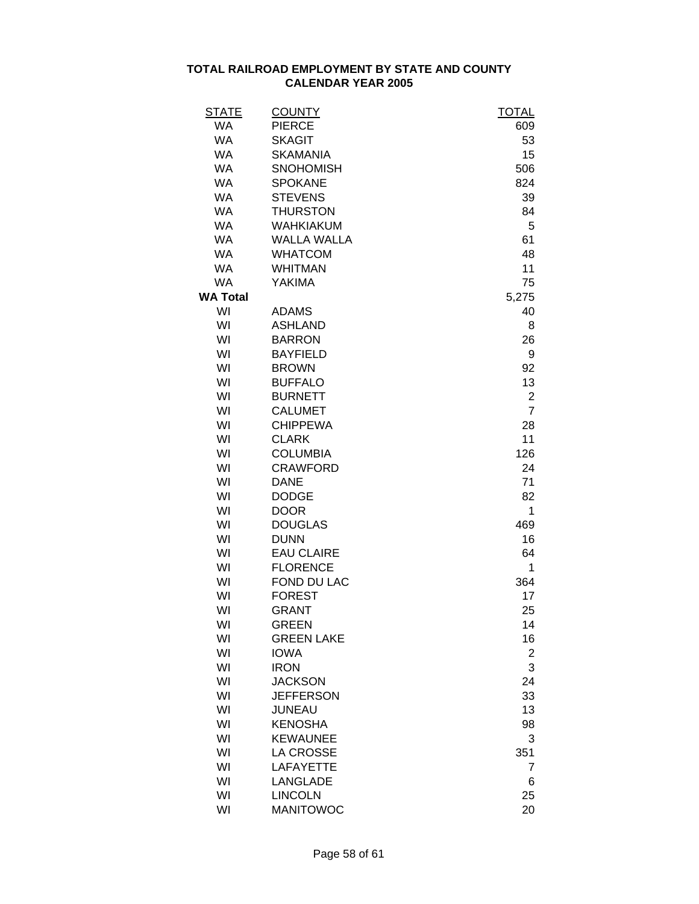| <b>STATE</b>    | <b>COUNTY</b>      | <b>TOTAL</b>            |
|-----------------|--------------------|-------------------------|
| <b>WA</b>       | <b>PIERCE</b>      | 609                     |
| <b>WA</b>       | <b>SKAGIT</b>      | 53                      |
| <b>WA</b>       | <b>SKAMANIA</b>    | 15                      |
| <b>WA</b>       | <b>SNOHOMISH</b>   | 506                     |
| <b>WA</b>       | <b>SPOKANE</b>     | 824                     |
| <b>WA</b>       | <b>STEVENS</b>     | 39                      |
| <b>WA</b>       | <b>THURSTON</b>    | 84                      |
| <b>WA</b>       | <b>WAHKIAKUM</b>   | 5                       |
| <b>WA</b>       | <b>WALLA WALLA</b> | 61                      |
| <b>WA</b>       | <b>WHATCOM</b>     | 48                      |
| <b>WA</b>       | <b>WHITMAN</b>     | 11                      |
| <b>WA</b>       | <b>YAKIMA</b>      | 75                      |
| <b>WA Total</b> |                    | 5,275                   |
| WI              | <b>ADAMS</b>       | 40                      |
| WI              | <b>ASHLAND</b>     | 8                       |
| WI              | <b>BARRON</b>      | 26                      |
| WI              | <b>BAYFIELD</b>    | 9                       |
| WI              | <b>BROWN</b>       | 92                      |
| WI              | <b>BUFFALO</b>     | 13                      |
| WI              | <b>BURNETT</b>     | $\overline{\mathbf{c}}$ |
| WI              | <b>CALUMET</b>     | $\overline{7}$          |
| WI              | <b>CHIPPEWA</b>    | 28                      |
| WI              | <b>CLARK</b>       | 11                      |
| WI              | <b>COLUMBIA</b>    | 126                     |
| WI              | <b>CRAWFORD</b>    | 24                      |
| WI              | <b>DANE</b>        | 71                      |
| WI              | <b>DODGE</b>       | 82                      |
| WI              | <b>DOOR</b>        | 1                       |
| WI              | <b>DOUGLAS</b>     | 469                     |
| WI              | <b>DUNN</b>        | 16                      |
| WI              | <b>EAU CLAIRE</b>  | 64                      |
| WI              | <b>FLORENCE</b>    | 1                       |
| WI              | FOND DU LAC        | 364                     |
| WI              | <b>FOREST</b>      | 17                      |
| WI              | <b>GRANT</b>       | 25                      |
| WI              | <b>GREEN</b>       | 14                      |
| WI              | <b>GREEN LAKE</b>  | 16                      |
| WI              | <b>IOWA</b>        | $\overline{2}$          |
| WI              | <b>IRON</b>        | 3                       |
| WI              | <b>JACKSON</b>     | 24                      |
| WI              | <b>JEFFERSON</b>   | 33                      |
| WI              | <b>JUNEAU</b>      | 13                      |
| WI              | <b>KENOSHA</b>     | 98                      |
| WI              | <b>KEWAUNEE</b>    | 3                       |
| WI              | <b>LA CROSSE</b>   | 351                     |
| WI              | <b>LAFAYETTE</b>   | 7                       |
| WI              | <b>LANGLADE</b>    | 6                       |
| WI              | <b>LINCOLN</b>     | 25                      |
| WI              | <b>MANITOWOC</b>   | 20                      |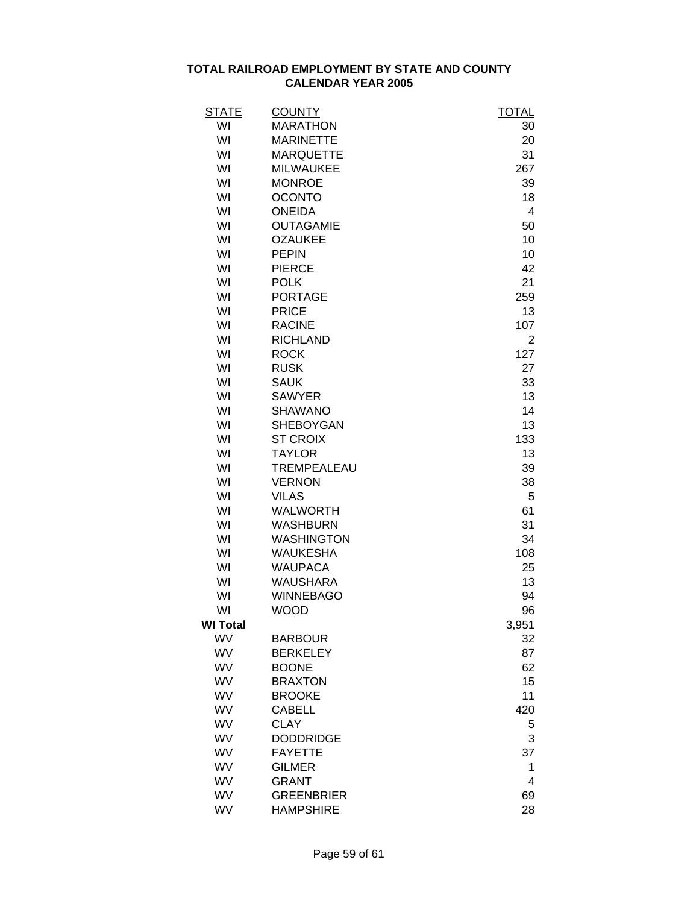| <b>STATE</b>    | <b>COUNTY</b>                      | <b>TOTAL</b> |
|-----------------|------------------------------------|--------------|
| WI              | <b>MARATHON</b>                    | 30           |
| WI              | <b>MARINETTE</b>                   | 20           |
| WI              | <b>MARQUETTE</b>                   | 31           |
| WI              | <b>MILWAUKEE</b>                   | 267          |
| WI              | <b>MONROE</b>                      | 39           |
| WI              | <b>OCONTO</b>                      | 18           |
| WI              | <b>ONEIDA</b>                      | 4            |
| WI              | <b>OUTAGAMIE</b>                   | 50           |
| WI              | <b>OZAUKEE</b>                     | 10           |
| WI              | <b>PEPIN</b>                       | 10           |
| WI              | <b>PIERCE</b>                      | 42           |
| WI              | <b>POLK</b>                        | 21           |
| WI              | <b>PORTAGE</b>                     | 259          |
| WI              | <b>PRICE</b>                       | 13           |
| WI              | <b>RACINE</b>                      | 107          |
| WI              | <b>RICHLAND</b>                    | 2            |
| WI              | <b>ROCK</b>                        | 127          |
| WI              | <b>RUSK</b>                        | 27           |
| WI              | <b>SAUK</b>                        | 33           |
| WI              | <b>SAWYER</b>                      | 13           |
| WI              | <b>SHAWANO</b>                     | 14           |
| WI              | <b>SHEBOYGAN</b>                   | 13           |
| WI              | <b>ST CROIX</b>                    | 133          |
| WI              | <b>TAYLOR</b>                      | 13           |
| WI              | TREMPEALEAU                        | 39           |
| WI              | <b>VERNON</b>                      | 38           |
| WI              | <b>VILAS</b>                       | 5            |
| WI              | <b>WALWORTH</b>                    | 61           |
| WI              | <b>WASHBURN</b>                    | 31           |
| WI              | <b>WASHINGTON</b>                  | 34           |
| WI              | <b>WAUKESHA</b>                    | 108          |
| WI              | <b>WAUPACA</b>                     | 25           |
| WI              | <b>WAUSHARA</b>                    | 13           |
| WI              | <b>WINNEBAGO</b>                   | 94           |
| WI              | <b>WOOD</b>                        | 96           |
| <b>WI Total</b> |                                    | 3,951        |
| <b>WV</b>       | <b>BARBOUR</b>                     | 32           |
| WV              | <b>BERKELEY</b>                    | 87           |
| WV              | <b>BOONE</b>                       | 62           |
| <b>WV</b>       | <b>BRAXTON</b>                     | 15           |
| WV              | <b>BROOKE</b>                      | 11           |
| WV              | <b>CABELL</b>                      | 420          |
| WV              | <b>CLAY</b>                        |              |
| WV              |                                    | 5            |
| WV              | <b>DODDRIDGE</b><br><b>FAYETTE</b> | 3            |
|                 |                                    | 37           |
| WV              | <b>GILMER</b>                      | 1            |
| WV              | <b>GRANT</b>                       | 4            |
| WV              | <b>GREENBRIER</b>                  | 69           |
| WV              | <b>HAMPSHIRE</b>                   | 28           |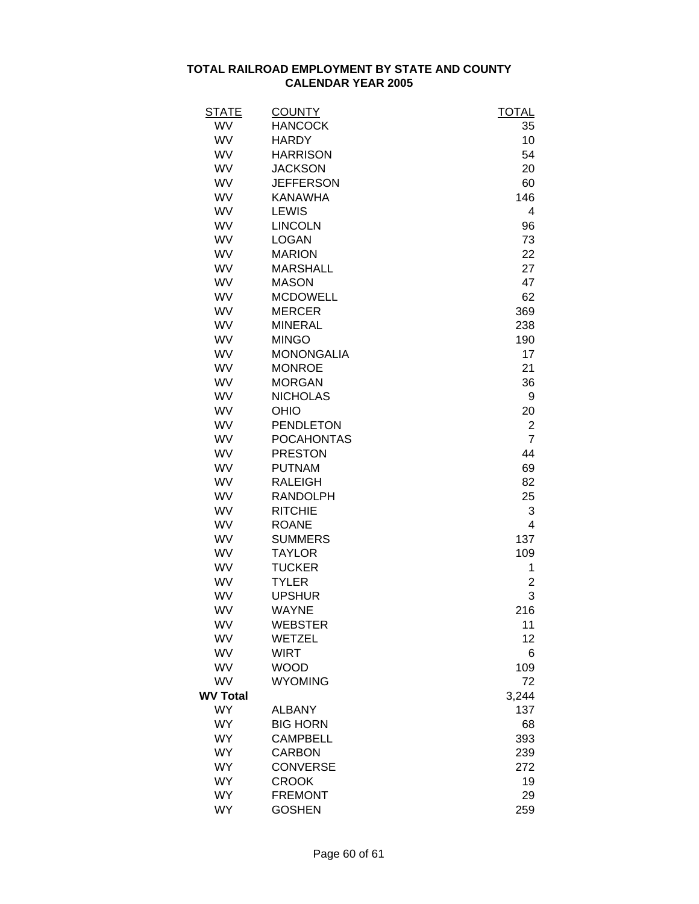| STATE           | <b>COUNTY</b>     | <b>TOTAL</b>   |
|-----------------|-------------------|----------------|
| WV              | <b>HANCOCK</b>    | 35             |
| <b>WV</b>       | <b>HARDY</b>      | 10             |
| WV              | <b>HARRISON</b>   | 54             |
| WV              | <b>JACKSON</b>    | 20             |
| WV              | <b>JEFFERSON</b>  | 60             |
| WV              | <b>KANAWHA</b>    | 146            |
| WV              | <b>LEWIS</b>      | 4              |
| WV              | <b>LINCOLN</b>    | 96             |
| WV              | <b>LOGAN</b>      | 73             |
| WV              | <b>MARION</b>     | 22             |
| <b>WV</b>       | <b>MARSHALL</b>   | 27             |
| WV              | <b>MASON</b>      | 47             |
| WV              | <b>MCDOWELL</b>   | 62             |
| <b>WV</b>       | <b>MERCER</b>     | 369            |
| WV              | <b>MINERAL</b>    | 238            |
| WV              | <b>MINGO</b>      | 190            |
| WV              | <b>MONONGALIA</b> | 17             |
| WV              | <b>MONROE</b>     | 21             |
| WV              | <b>MORGAN</b>     | 36             |
| WV              | <b>NICHOLAS</b>   | 9              |
| WV              | OHIO              | 20             |
| WV              | <b>PENDLETON</b>  | $\overline{c}$ |
| WV              | <b>POCAHONTAS</b> | $\overline{7}$ |
| WV              | <b>PRESTON</b>    | 44             |
| <b>WV</b>       | <b>PUTNAM</b>     | 69             |
| <b>WV</b>       | <b>RALEIGH</b>    | 82             |
| WV              | <b>RANDOLPH</b>   | 25             |
| WV              | <b>RITCHIE</b>    | 3              |
| WV              | <b>ROANE</b>      | 4              |
| WV              | <b>SUMMERS</b>    | 137            |
| WV              | <b>TAYLOR</b>     | 109            |
| WV              | <b>TUCKER</b>     | 1              |
| WV              | <b>TYLER</b>      | 2              |
| WV              | <b>UPSHUR</b>     | 3              |
| WV              | <b>WAYNE</b>      | 216            |
| WV              | <b>WEBSTER</b>    | 11             |
| WV              | <b>WETZEL</b>     | 12             |
| WV              | <b>WIRT</b>       | 6              |
| <b>WV</b>       | <b>WOOD</b>       | 109            |
| WV              | <b>WYOMING</b>    | 72             |
| <b>WV Total</b> |                   | 3,244          |
| <b>WY</b>       | <b>ALBANY</b>     | 137            |
| <b>WY</b>       | <b>BIG HORN</b>   | 68             |
| <b>WY</b>       | <b>CAMPBELL</b>   | 393            |
| <b>WY</b>       | <b>CARBON</b>     | 239            |
| <b>WY</b>       | <b>CONVERSE</b>   | 272            |
| <b>WY</b>       | <b>CROOK</b>      | 19             |
| <b>WY</b>       | <b>FREMONT</b>    | 29             |
| <b>WY</b>       | <b>GOSHEN</b>     | 259            |